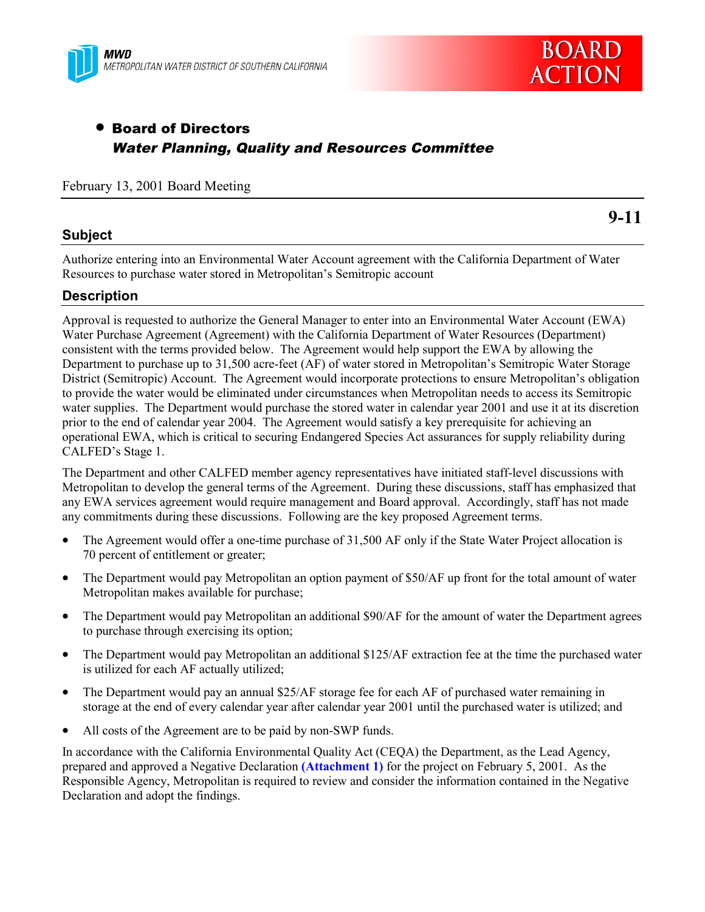



# • Board of Directors Water Planning, Quality and Resources Committee

#### February 13, 2001 Board Meeting

#### **Subject**

**9-11**

Authorize entering into an Environmental Water Account agreement with the California Department of Water Resources to purchase water stored in Metropolitan's Semitropic account

#### **Description**

Approval is requested to authorize the General Manager to enter into an Environmental Water Account (EWA) Water Purchase Agreement (Agreement) with the California Department of Water Resources (Department) consistent with the terms provided below. The Agreement would help support the EWA by allowing the Department to purchase up to 31,500 acre-feet (AF) of water stored in Metropolitan's Semitropic Water Storage District (Semitropic) Account. The Agreement would incorporate protections to ensure Metropolitan's obligation to provide the water would be eliminated under circumstances when Metropolitan needs to access its Semitropic water supplies. The Department would purchase the stored water in calendar year 2001 and use it at its discretion prior to the end of calendar year 2004. The Agreement would satisfy a key prerequisite for achieving an operational EWA, which is critical to securing Endangered Species Act assurances for supply reliability during CALFED's Stage 1.

The Department and other CALFED member agency representatives have initiated staff-level discussions with Metropolitan to develop the general terms of the Agreement. During these discussions, staff has emphasized that any EWA services agreement would require management and Board approval. Accordingly, staff has not made any commitments during these discussions. Following are the key proposed Agreement terms.

- The Agreement would offer a one-time purchase of 31,500 AF only if the State Water Project allocation is 70 percent of entitlement or greater;
- The Department would pay Metropolitan an option payment of \$50/AF up front for the total amount of water Metropolitan makes available for purchase;
- The Department would pay Metropolitan an additional \$90/AF for the amount of water the Department agrees to purchase through exercising its option;
- The Department would pay Metropolitan an additional \$125/AF extraction fee at the time the purchased water is utilized for each AF actually utilized;
- The Department would pay an annual \$25/AF storage fee for each AF of purchased water remaining in storage at the end of every calendar year after calendar year 2001 until the purchased water is utilized; and
- All costs of the Agreement are to be paid by non-SWP funds.

In accordance with the California Environmental Quality Act (CEQA) the Department, as the Lead Agency, prepared and approved a Negative Declaration **(Attachment 1)** for the project on February 5, 2001. As the Responsible Agency, Metropolitan is required to review and consider the information contained in the Negative Declaration and adopt the findings.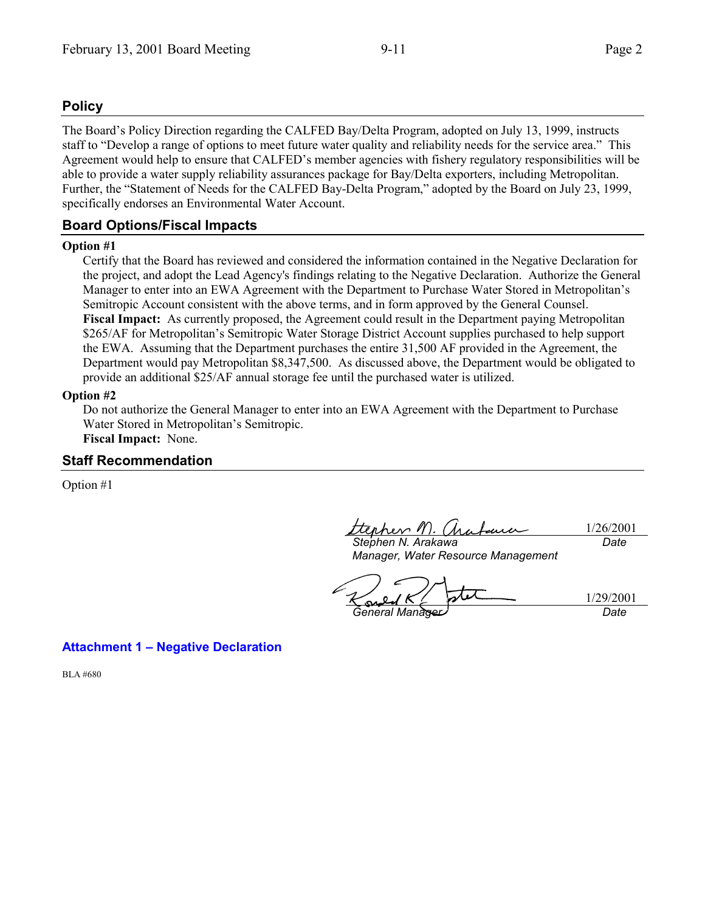### **Policy**

The Board's Policy Direction regarding the CALFED Bay/Delta Program, adopted on July 13, 1999, instructs staff to "Develop a range of options to meet future water quality and reliability needs for the service area." This Agreement would help to ensure that CALFED's member agencies with fishery regulatory responsibilities will be able to provide a water supply reliability assurances package for Bay/Delta exporters, including Metropolitan. Further, the "Statement of Needs for the CALFED Bay-Delta Program," adopted by the Board on July 23, 1999, specifically endorses an Environmental Water Account.

### **Board Options/Fiscal Impacts**

#### **Option #1**

Certify that the Board has reviewed and considered the information contained in the Negative Declaration for the project, and adopt the Lead Agency's findings relating to the Negative Declaration. Authorize the General Manager to enter into an EWA Agreement with the Department to Purchase Water Stored in Metropolitan's Semitropic Account consistent with the above terms, and in form approved by the General Counsel. **Fiscal Impact:** As currently proposed, the Agreement could result in the Department paying Metropolitan \$265/AF for Metropolitan's Semitropic Water Storage District Account supplies purchased to help support the EWA. Assuming that the Department purchases the entire 31,500 AF provided in the Agreement, the Department would pay Metropolitan \$8,347,500. As discussed above, the Department would be obligated to provide an additional \$25/AF annual storage fee until the purchased water is utilized.

#### **Option #2**

Do not authorize the General Manager to enter into an EWA Agreement with the Department to Purchase Water Stored in Metropolitan's Semitropic. **Fiscal Impact:** None.

مى

#### **Staff Recommendation**

Option #1

ttenher M. Cha 1/26/2001 *Date*

*General Manager Date*

*Stephen N. Arakawa Manager, Water Resource Management*

1/29/2001

**Attachment 1 – Negative Declaration**

BLA #680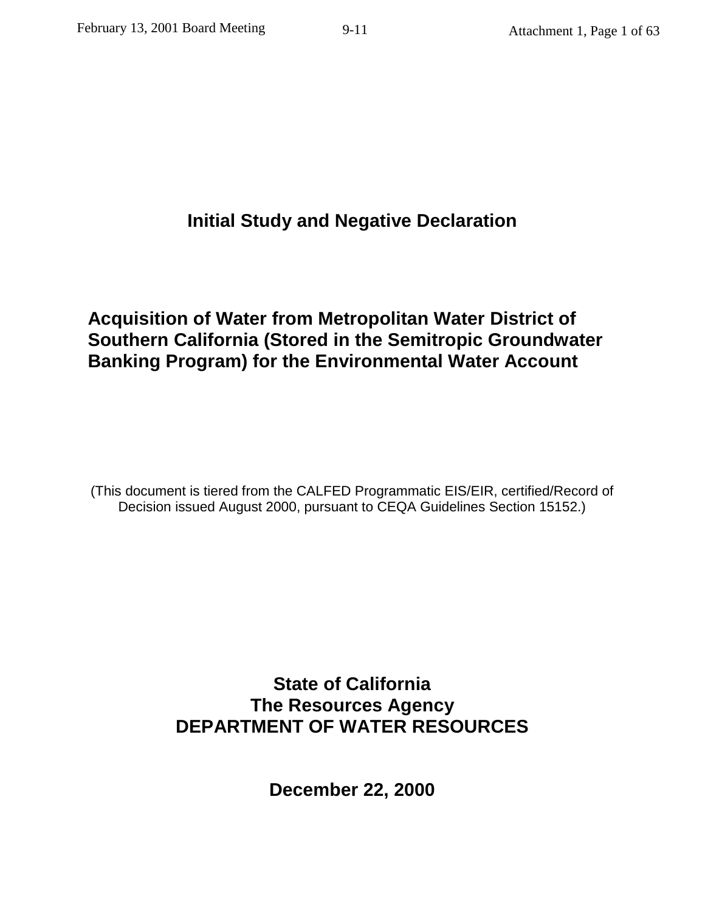# **Initial Study and Negative Declaration**

# **Acquisition of Water from Metropolitan Water District of Southern California (Stored in the Semitropic Groundwater Banking Program) for the Environmental Water Account**

(This document is tiered from the CALFED Programmatic EIS/EIR, certified/Record of Decision issued August 2000, pursuant to CEQA Guidelines Section 15152.)

> **State of California The Resources Agency DEPARTMENT OF WATER RESOURCES**

> > **December 22, 2000**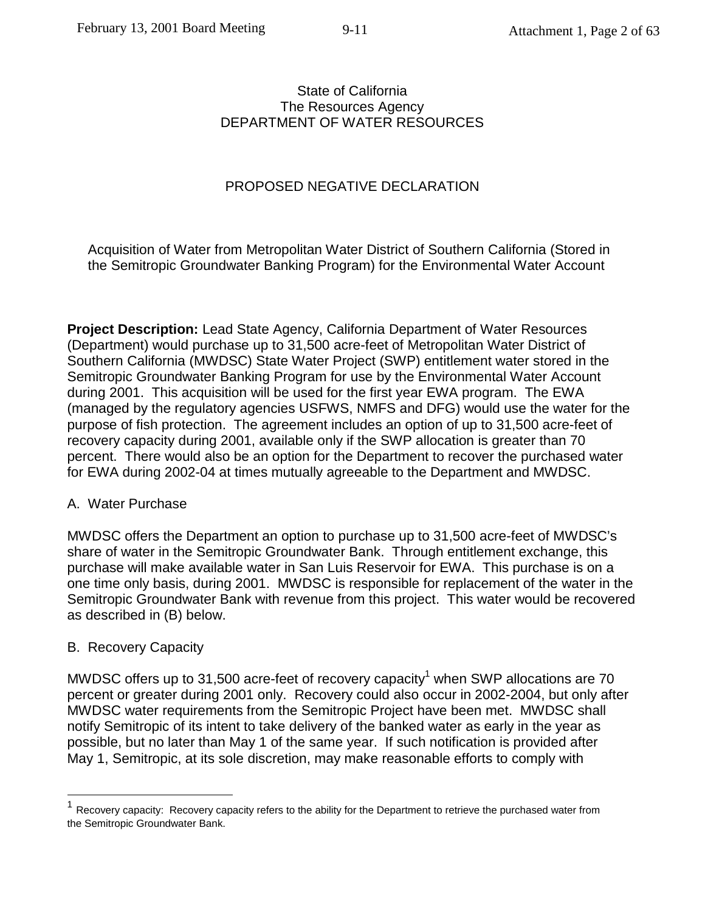#### State of California The Resources Agency DEPARTMENT OF WATER RESOURCES

## PROPOSED NEGATIVE DECLARATION

Acquisition of Water from Metropolitan Water District of Southern California (Stored in the Semitropic Groundwater Banking Program) for the Environmental Water Account

**Project Description:** Lead State Agency, California Department of Water Resources (Department) would purchase up to 31,500 acre-feet of Metropolitan Water District of Southern California (MWDSC) State Water Project (SWP) entitlement water stored in the Semitropic Groundwater Banking Program for use by the Environmental Water Account during 2001. This acquisition will be used for the first year EWA program. The EWA (managed by the regulatory agencies USFWS, NMFS and DFG) would use the water for the purpose of fish protection. The agreement includes an option of up to 31,500 acre-feet of recovery capacity during 2001, available only if the SWP allocation is greater than 70 percent. There would also be an option for the Department to recover the purchased water for EWA during 2002-04 at times mutually agreeable to the Department and MWDSC.

#### A. Water Purchase

MWDSC offers the Department an option to purchase up to 31,500 acre-feet of MWDSC's share of water in the Semitropic Groundwater Bank. Through entitlement exchange, this purchase will make available water in San Luis Reservoir for EWA. This purchase is on a one time only basis, during 2001. MWDSC is responsible for replacement of the water in the Semitropic Groundwater Bank with revenue from this project. This water would be recovered as described in (B) below.

#### B. Recovery Capacity

1

MWDSC offers up to 31,500 acre-feet of recovery capacity<sup>1</sup> when SWP allocations are 70 percent or greater during 2001 only. Recovery could also occur in 2002-2004, but only after MWDSC water requirements from the Semitropic Project have been met. MWDSC shall notify Semitropic of its intent to take delivery of the banked water as early in the year as possible, but no later than May 1 of the same year. If such notification is provided after May 1, Semitropic, at its sole discretion, may make reasonable efforts to comply with

Recovery capacity: Recovery capacity refers to the ability for the Department to retrieve the purchased water from the Semitropic Groundwater Bank.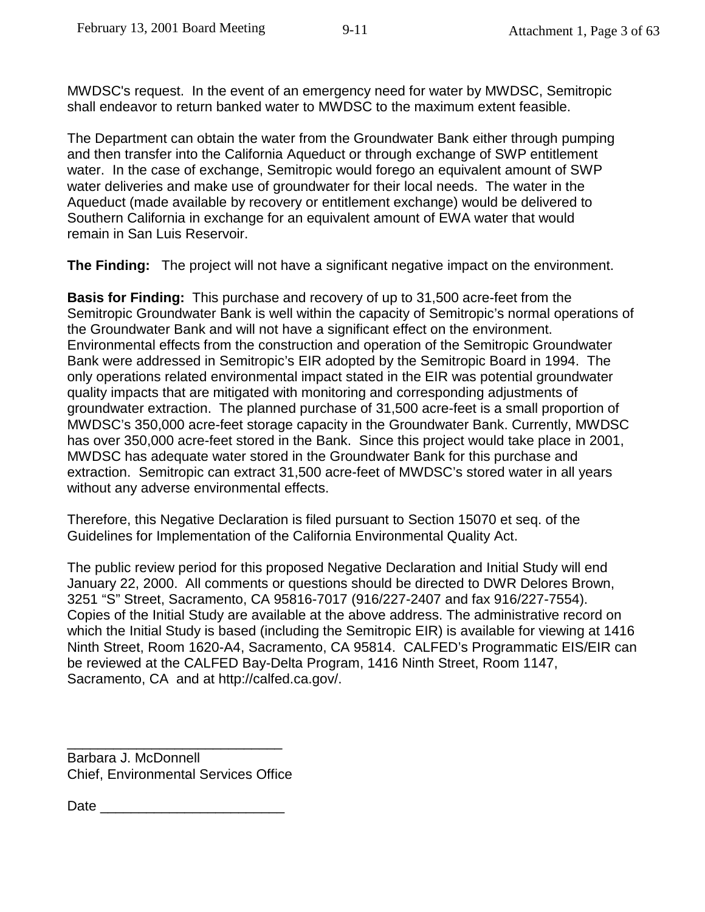MWDSC's request. In the event of an emergency need for water by MWDSC, Semitropic shall endeavor to return banked water to MWDSC to the maximum extent feasible.

The Department can obtain the water from the Groundwater Bank either through pumping and then transfer into the California Aqueduct or through exchange of SWP entitlement water. In the case of exchange, Semitropic would forego an equivalent amount of SWP water deliveries and make use of groundwater for their local needs. The water in the Aqueduct (made available by recovery or entitlement exchange) would be delivered to Southern California in exchange for an equivalent amount of EWA water that would remain in San Luis Reservoir.

**The Finding:** The project will not have a significant negative impact on the environment.

**Basis for Finding:** This purchase and recovery of up to 31,500 acre-feet from the Semitropic Groundwater Bank is well within the capacity of Semitropic's normal operations of the Groundwater Bank and will not have a significant effect on the environment. Environmental effects from the construction and operation of the Semitropic Groundwater Bank were addressed in Semitropic's EIR adopted by the Semitropic Board in 1994. The only operations related environmental impact stated in the EIR was potential groundwater quality impacts that are mitigated with monitoring and corresponding adjustments of groundwater extraction. The planned purchase of 31,500 acre-feet is a small proportion of MWDSC's 350,000 acre-feet storage capacity in the Groundwater Bank. Currently, MWDSC has over 350,000 acre-feet stored in the Bank. Since this project would take place in 2001, MWDSC has adequate water stored in the Groundwater Bank for this purchase and extraction. Semitropic can extract 31,500 acre-feet of MWDSC's stored water in all years without any adverse environmental effects.

Therefore, this Negative Declaration is filed pursuant to Section 15070 et seq. of the Guidelines for Implementation of the California Environmental Quality Act.

The public review period for this proposed Negative Declaration and Initial Study will end January 22, 2000. All comments or questions should be directed to DWR Delores Brown, 3251 "S" Street, Sacramento, CA 95816-7017 (916/227-2407 and fax 916/227-7554). Copies of the Initial Study are available at the above address. The administrative record on which the Initial Study is based (including the Semitropic EIR) is available for viewing at 1416 Ninth Street, Room 1620-A4, Sacramento, CA 95814. CALFED's Programmatic EIS/EIR can be reviewed at the CALFED Bay-Delta Program, 1416 Ninth Street, Room 1147, Sacramento, CA and at http://calfed.ca.gov/.

Barbara J. McDonnell Chief, Environmental Services Office

\_\_\_\_\_\_\_\_\_\_\_\_\_\_\_\_\_\_\_\_\_\_\_\_\_\_\_\_

Date \_\_\_\_\_\_\_\_\_\_\_\_\_\_\_\_\_\_\_\_\_\_\_\_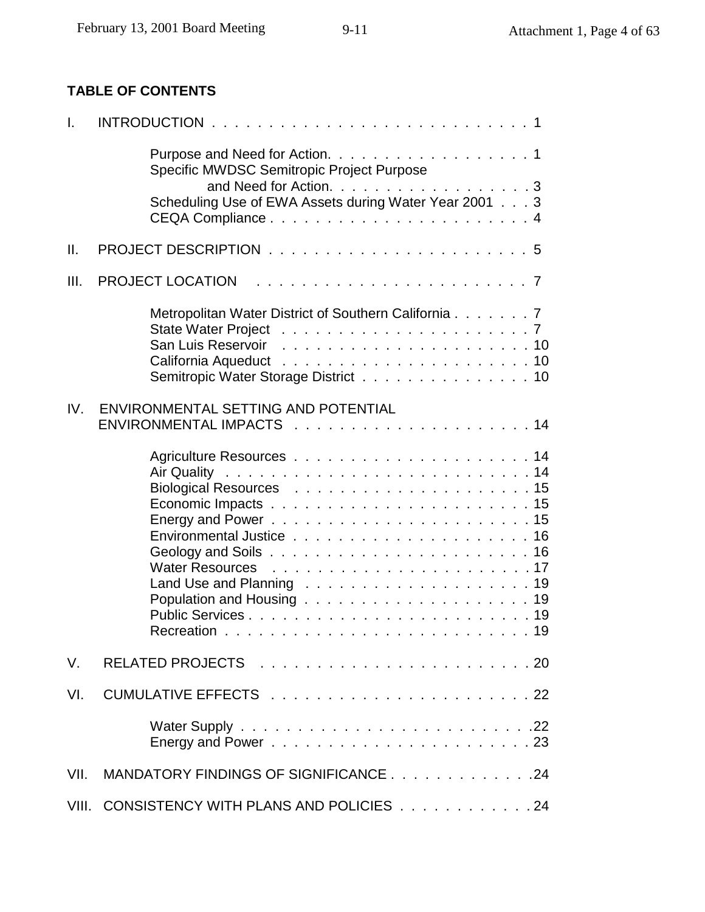# **TABLE OF CONTENTS**

| L.   |                                                                                              |
|------|----------------------------------------------------------------------------------------------|
|      | Purpose and Need for Action. 1<br>Specific MWDSC Semitropic Project Purpose                  |
|      | and Need for Action. 3<br>Scheduling Use of EWA Assets during Water Year 2001 3              |
| II.  |                                                                                              |
| III. | <b>PROJECT LOCATION</b>                                                                      |
|      | Metropolitan Water District of Southern California 7<br>Semitropic Water Storage District 10 |
| IV.  | ENVIRONMENTAL SETTING AND POTENTIAL                                                          |
|      |                                                                                              |
| V.   |                                                                                              |
| VI.  |                                                                                              |
|      |                                                                                              |
|      | VII. MANDATORY FINDINGS OF SIGNIFICANCE 24                                                   |
|      | VIII. CONSISTENCY WITH PLANS AND POLICIES 24                                                 |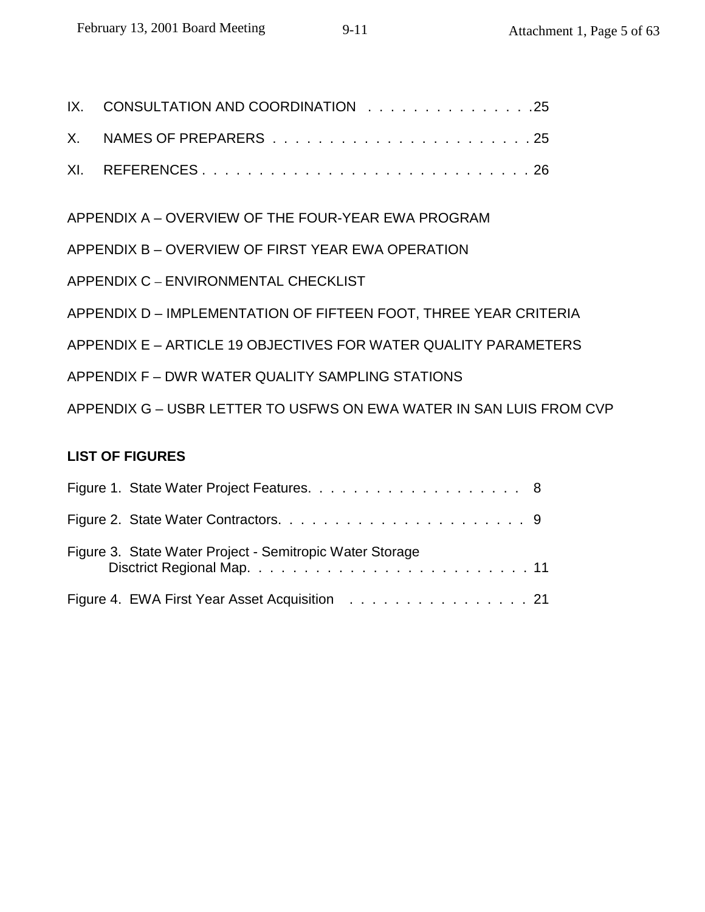| IX. CONSULTATION AND COORDINATION I.I.I.I.I.I.I.I.I.I.I.25 |  |
|------------------------------------------------------------|--|
|                                                            |  |
|                                                            |  |

APPENDIX A – OVERVIEW OF THE FOUR-YEAR EWA PROGRAM

APPENDIX B – OVERVIEW OF FIRST YEAR EWA OPERATION

APPENDIX C – ENVIRONMENTAL CHECKLIST

APPENDIX D – IMPLEMENTATION OF FIFTEEN FOOT, THREE YEAR CRITERIA

APPENDIX E – ARTICLE 19 OBJECTIVES FOR WATER QUALITY PARAMETERS

APPENDIX F – DWR WATER QUALITY SAMPLING STATIONS

APPENDIX G – USBR LETTER TO USFWS ON EWA WATER IN SAN LUIS FROM CVP

# **LIST OF FIGURES**

| Figure 3. State Water Project - Semitropic Water Storage |  |
|----------------------------------------------------------|--|
| Figure 4. EWA First Year Asset Acquisition 21            |  |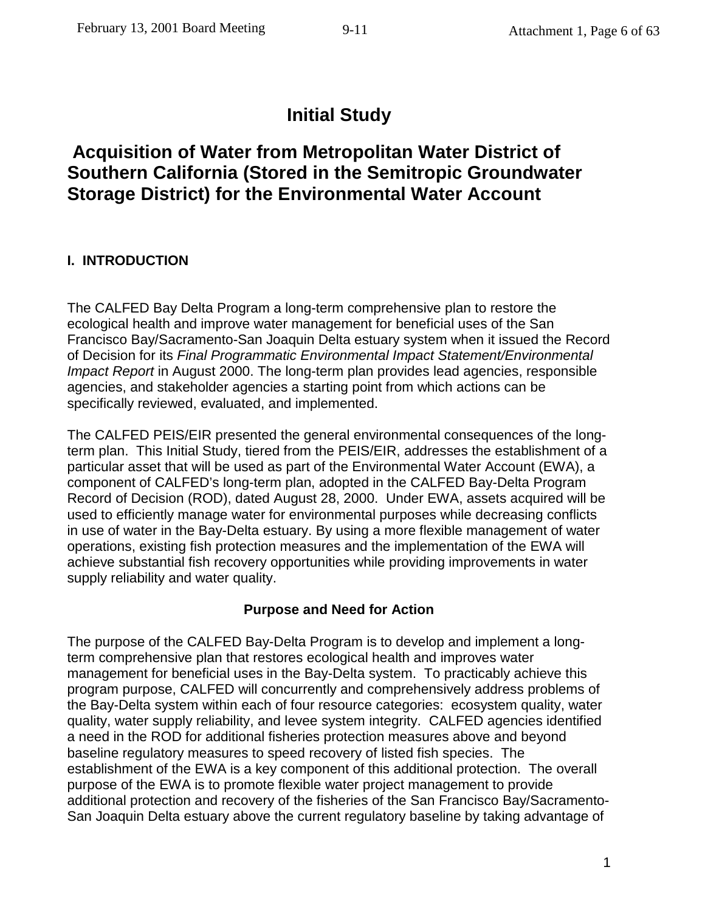# **Initial Study**

# **Acquisition of Water from Metropolitan Water District of Southern California (Stored in the Semitropic Groundwater Storage District) for the Environmental Water Account**

# **I. INTRODUCTION**

The CALFED Bay Delta Program a long-term comprehensive plan to restore the ecological health and improve water management for beneficial uses of the San Francisco Bay/Sacramento-San Joaquin Delta estuary system when it issued the Record of Decision for its *Final Programmatic Environmental Impact Statement/Environmental Impact Report* in August 2000. The long-term plan provides lead agencies, responsible agencies, and stakeholder agencies a starting point from which actions can be specifically reviewed, evaluated, and implemented.

The CALFED PEIS/EIR presented the general environmental consequences of the longterm plan. This Initial Study, tiered from the PEIS/EIR, addresses the establishment of a particular asset that will be used as part of the Environmental Water Account (EWA), a component of CALFED's long-term plan, adopted in the CALFED Bay-Delta Program Record of Decision (ROD), dated August 28, 2000. Under EWA, assets acquired will be used to efficiently manage water for environmental purposes while decreasing conflicts in use of water in the Bay-Delta estuary. By using a more flexible management of water operations, existing fish protection measures and the implementation of the EWA will achieve substantial fish recovery opportunities while providing improvements in water supply reliability and water quality.

# **Purpose and Need for Action**

The purpose of the CALFED Bay-Delta Program is to develop and implement a longterm comprehensive plan that restores ecological health and improves water management for beneficial uses in the Bay-Delta system. To practicably achieve this program purpose, CALFED will concurrently and comprehensively address problems of the Bay-Delta system within each of four resource categories: ecosystem quality, water quality, water supply reliability, and levee system integrity. CALFED agencies identified a need in the ROD for additional fisheries protection measures above and beyond baseline regulatory measures to speed recovery of listed fish species. The establishment of the EWA is a key component of this additional protection. The overall purpose of the EWA is to promote flexible water project management to provide additional protection and recovery of the fisheries of the San Francisco Bay/Sacramento-San Joaquin Delta estuary above the current regulatory baseline by taking advantage of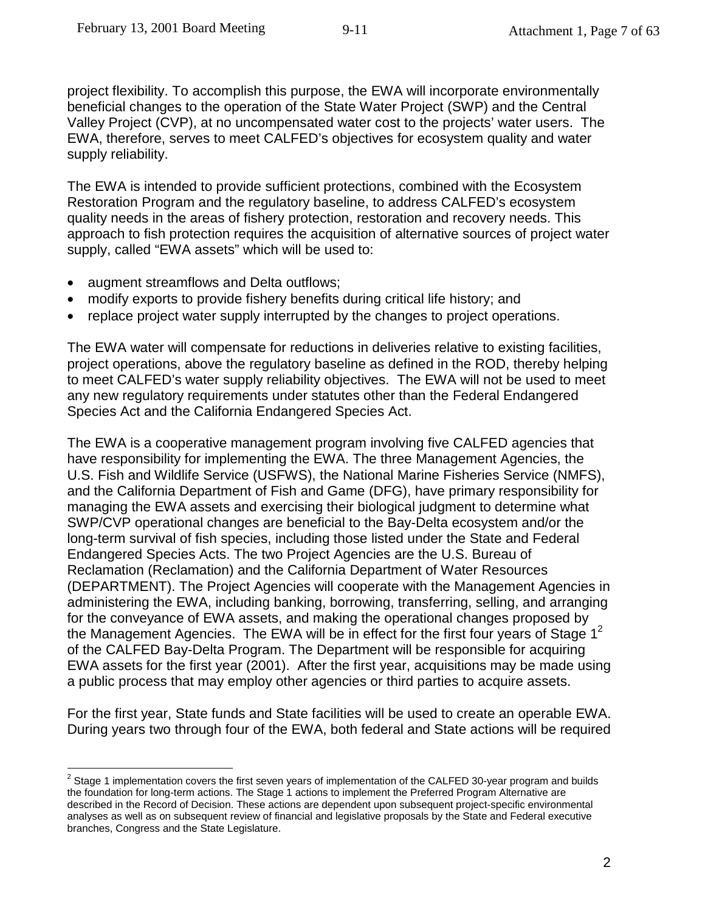project flexibility. To accomplish this purpose, the EWA will incorporate environmentally beneficial changes to the operation of the State Water Project (SWP) and the Central Valley Project (CVP), at no uncompensated water cost to the projects' water users. The EWA, therefore, serves to meet CALFED's objectives for ecosystem quality and water supply reliability.

The EWA is intended to provide sufficient protections, combined with the Ecosystem Restoration Program and the regulatory baseline, to address CALFED's ecosystem quality needs in the areas of fishery protection, restoration and recovery needs. This approach to fish protection requires the acquisition of alternative sources of project water supply, called "EWA assets" which will be used to:

- augment streamflows and Delta outflows;
- modify exports to provide fishery benefits during critical life history; and
- replace project water supply interrupted by the changes to project operations.

The EWA water will compensate for reductions in deliveries relative to existing facilities, project operations, above the regulatory baseline as defined in the ROD, thereby helping to meet CALFED's water supply reliability objectives. The EWA will not be used to meet any new regulatory requirements under statutes other than the Federal Endangered Species Act and the California Endangered Species Act.

The EWA is a cooperative management program involving five CALFED agencies that have responsibility for implementing the EWA. The three Management Agencies, the U.S. Fish and Wildlife Service (USFWS), the National Marine Fisheries Service (NMFS), and the California Department of Fish and Game (DFG), have primary responsibility for managing the EWA assets and exercising their biological judgment to determine what SWP/CVP operational changes are beneficial to the Bay-Delta ecosystem and/or the long-term survival of fish species, including those listed under the State and Federal Endangered Species Acts. The two Project Agencies are the U.S. Bureau of Reclamation (Reclamation) and the California Department of Water Resources (DEPARTMENT). The Project Agencies will cooperate with the Management Agencies in administering the EWA, including banking, borrowing, transferring, selling, and arranging for the conveyance of EWA assets, and making the operational changes proposed by the Management Agencies. The EWA will be in effect for the first four years of Stage  $1<sup>2</sup>$ of the CALFED Bay-Delta Program. The Department will be responsible for acquiring EWA assets for the first year (2001). After the first year, acquisitions may be made using a public process that may employ other agencies or third parties to acquire assets.

For the first year, State funds and State facilities will be used to create an operable EWA. During years two through four of the EWA, both federal and State actions will be required

<sup>1</sup>  $^{2}$  Stage 1 implementation covers the first seven years of implementation of the CALFED 30-year program and builds the foundation for long-term actions. The Stage 1 actions to implement the Preferred Program Alternative are described in the Record of Decision. These actions are dependent upon subsequent project-specific environmental analyses as well as on subsequent review of financial and legislative proposals by the State and Federal executive branches, Congress and the State Legislature.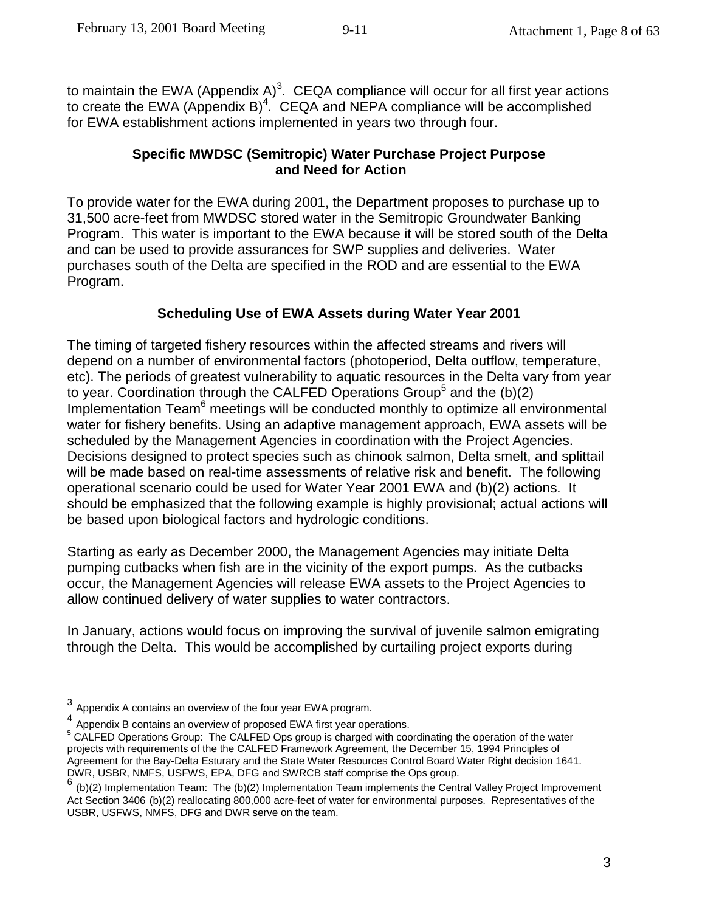to maintain the EWA (Appendix A)<sup>3</sup>. CEQA compliance will occur for all first year actions to create the EWA (Appendix B)<sup>4</sup>. CEQA and NEPA compliance will be accomplished for EWA establishment actions implemented in years two through four.

### **Specific MWDSC (Semitropic) Water Purchase Project Purpose and Need for Action**

To provide water for the EWA during 2001, the Department proposes to purchase up to 31,500 acre-feet from MWDSC stored water in the Semitropic Groundwater Banking Program. This water is important to the EWA because it will be stored south of the Delta and can be used to provide assurances for SWP supplies and deliveries. Water purchases south of the Delta are specified in the ROD and are essential to the EWA Program.

# **Scheduling Use of EWA Assets during Water Year 2001**

The timing of targeted fishery resources within the affected streams and rivers will depend on a number of environmental factors (photoperiod, Delta outflow, temperature, etc). The periods of greatest vulnerability to aquatic resources in the Delta vary from year to year. Coordination through the CALFED Operations Group<sup>5</sup> and the (b)(2) Implementation Team<sup>6</sup> meetings will be conducted monthly to optimize all environmental water for fishery benefits. Using an adaptive management approach, EWA assets will be scheduled by the Management Agencies in coordination with the Project Agencies. Decisions designed to protect species such as chinook salmon, Delta smelt, and splittail will be made based on real-time assessments of relative risk and benefit. The following operational scenario could be used for Water Year 2001 EWA and (b)(2) actions. It should be emphasized that the following example is highly provisional; actual actions will be based upon biological factors and hydrologic conditions.

Starting as early as December 2000, the Management Agencies may initiate Delta pumping cutbacks when fish are in the vicinity of the export pumps. As the cutbacks occur, the Management Agencies will release EWA assets to the Project Agencies to allow continued delivery of water supplies to water contractors.

In January, actions would focus on improving the survival of juvenile salmon emigrating through the Delta. This would be accomplished by curtailing project exports during

1

<sup>3</sup> Appendix A contains an overview of the four year EWA program.

<sup>4</sup> Appendix B contains an overview of proposed EWA first year operations.

<sup>&</sup>lt;sup>5</sup> CALFED Operations Group: The CALFED Ops group is charged with coordinating the operation of the water projects with requirements of the the CALFED Framework Agreement, the December 15, 1994 Principles of Agreement for the Bay-Delta Esturary and the State Water Resources Control Board Water Right decision 1641. DWR, USBR, NMFS, USFWS, EPA, DFG and SWRCB staff comprise the Ops group.

<sup>6</sup> (b)(2) Implementation Team: The (b)(2) Implementation Team implements the Central Valley Project Improvement Act Section 3406 (b)(2) reallocating 800,000 acre-feet of water for environmental purposes. Representatives of the USBR, USFWS, NMFS, DFG and DWR serve on the team.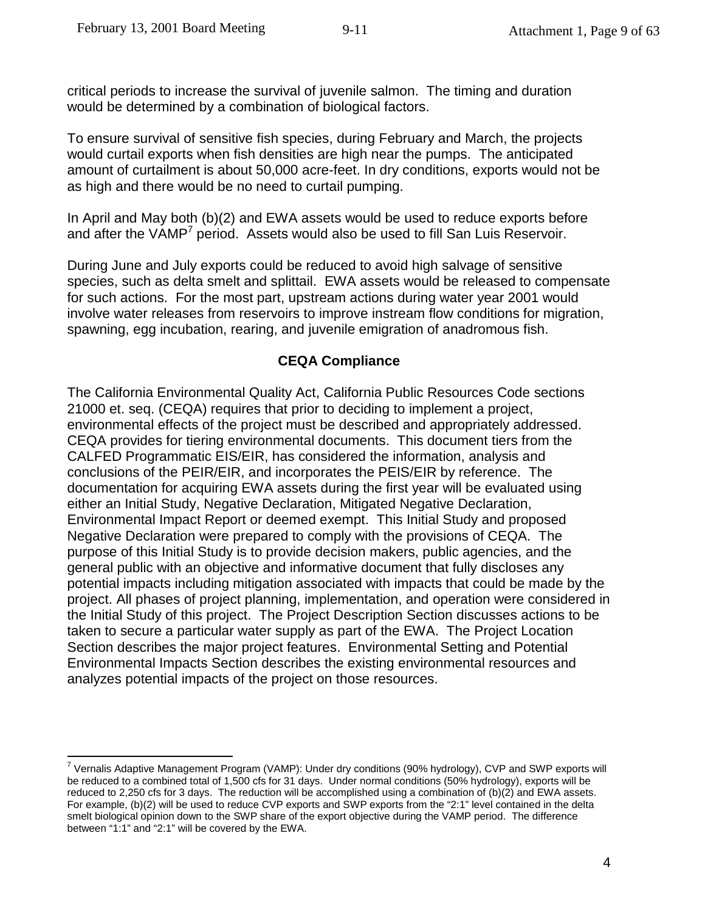critical periods to increase the survival of juvenile salmon. The timing and duration would be determined by a combination of biological factors.

To ensure survival of sensitive fish species, during February and March, the projects would curtail exports when fish densities are high near the pumps. The anticipated amount of curtailment is about 50,000 acre-feet. In dry conditions, exports would not be as high and there would be no need to curtail pumping.

In April and May both (b)(2) and EWA assets would be used to reduce exports before and after the VAMP<sup>7</sup> period. Assets would also be used to fill San Luis Reservoir.

During June and July exports could be reduced to avoid high salvage of sensitive species, such as delta smelt and splittail. EWA assets would be released to compensate for such actions. For the most part, upstream actions during water year 2001 would involve water releases from reservoirs to improve instream flow conditions for migration, spawning, egg incubation, rearing, and juvenile emigration of anadromous fish.

### **CEQA Compliance**

The California Environmental Quality Act, California Public Resources Code sections 21000 et. seq. (CEQA) requires that prior to deciding to implement a project, environmental effects of the project must be described and appropriately addressed. CEQA provides for tiering environmental documents. This document tiers from the CALFED Programmatic EIS/EIR, has considered the information, analysis and conclusions of the PEIR/EIR, and incorporates the PEIS/EIR by reference. The documentation for acquiring EWA assets during the first year will be evaluated using either an Initial Study, Negative Declaration, Mitigated Negative Declaration, Environmental Impact Report or deemed exempt. This Initial Study and proposed Negative Declaration were prepared to comply with the provisions of CEQA. The purpose of this Initial Study is to provide decision makers, public agencies, and the general public with an objective and informative document that fully discloses any potential impacts including mitigation associated with impacts that could be made by the project. All phases of project planning, implementation, and operation were considered in the Initial Study of this project. The Project Description Section discusses actions to be taken to secure a particular water supply as part of the EWA. The Project Location Section describes the major project features. Environmental Setting and Potential Environmental Impacts Section describes the existing environmental resources and analyzes potential impacts of the project on those resources.

<sup>1</sup> <sup>7</sup> Vernalis Adaptive Management Program (VAMP): Under dry conditions (90% hydrology), CVP and SWP exports will be reduced to a combined total of 1,500 cfs for 31 days. Under normal conditions (50% hydrology), exports will be reduced to 2,250 cfs for 3 days. The reduction will be accomplished using a combination of (b)(2) and EWA assets. For example, (b)(2) will be used to reduce CVP exports and SWP exports from the "2:1" level contained in the delta smelt biological opinion down to the SWP share of the export objective during the VAMP period. The difference between "1:1" and "2:1" will be covered by the EWA.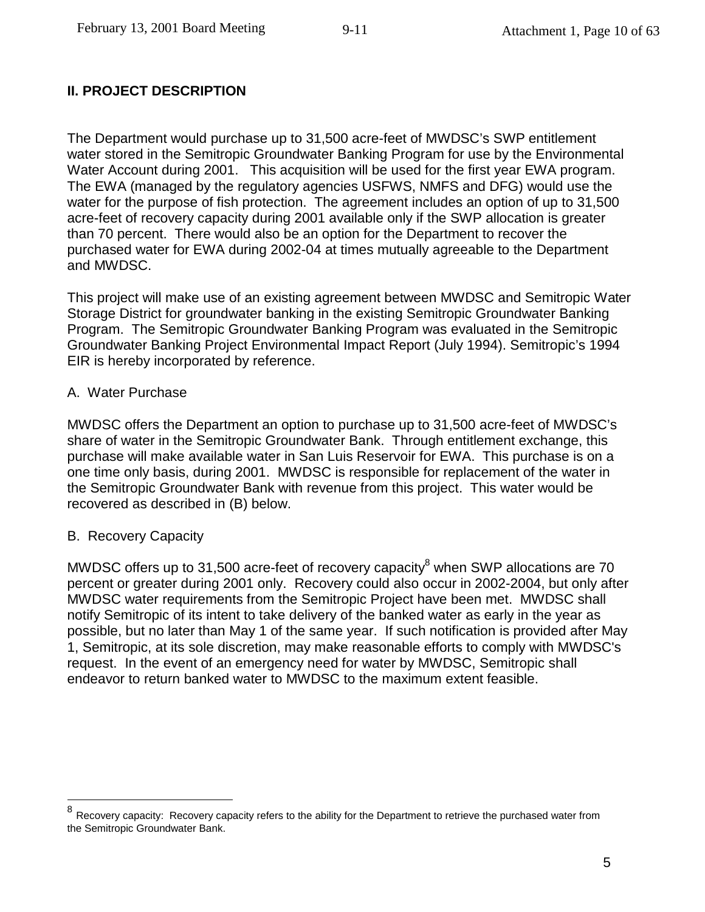# **II. PROJECT DESCRIPTION**

The Department would purchase up to 31,500 acre-feet of MWDSC's SWP entitlement water stored in the Semitropic Groundwater Banking Program for use by the Environmental Water Account during 2001. This acquisition will be used for the first year EWA program. The EWA (managed by the regulatory agencies USFWS, NMFS and DFG) would use the water for the purpose of fish protection. The agreement includes an option of up to 31,500 acre-feet of recovery capacity during 2001 available only if the SWP allocation is greater than 70 percent. There would also be an option for the Department to recover the purchased water for EWA during 2002-04 at times mutually agreeable to the Department and MWDSC.

This project will make use of an existing agreement between MWDSC and Semitropic Water Storage District for groundwater banking in the existing Semitropic Groundwater Banking Program. The Semitropic Groundwater Banking Program was evaluated in the Semitropic Groundwater Banking Project Environmental Impact Report (July 1994). Semitropic's 1994 EIR is hereby incorporated by reference.

#### A. Water Purchase

MWDSC offers the Department an option to purchase up to 31,500 acre-feet of MWDSC's share of water in the Semitropic Groundwater Bank. Through entitlement exchange, this purchase will make available water in San Luis Reservoir for EWA. This purchase is on a one time only basis, during 2001. MWDSC is responsible for replacement of the water in the Semitropic Groundwater Bank with revenue from this project. This water would be recovered as described in (B) below.

#### B. Recovery Capacity

1

MWDSC offers up to 31,500 acre-feet of recovery capacity $^8$  when SWP allocations are 70 percent or greater during 2001 only. Recovery could also occur in 2002-2004, but only after MWDSC water requirements from the Semitropic Project have been met. MWDSC shall notify Semitropic of its intent to take delivery of the banked water as early in the year as possible, but no later than May 1 of the same year. If such notification is provided after May 1, Semitropic, at its sole discretion, may make reasonable efforts to comply with MWDSC's request. In the event of an emergency need for water by MWDSC, Semitropic shall endeavor to return banked water to MWDSC to the maximum extent feasible.

Recovery capacity: Recovery capacity refers to the ability for the Department to retrieve the purchased water from the Semitropic Groundwater Bank.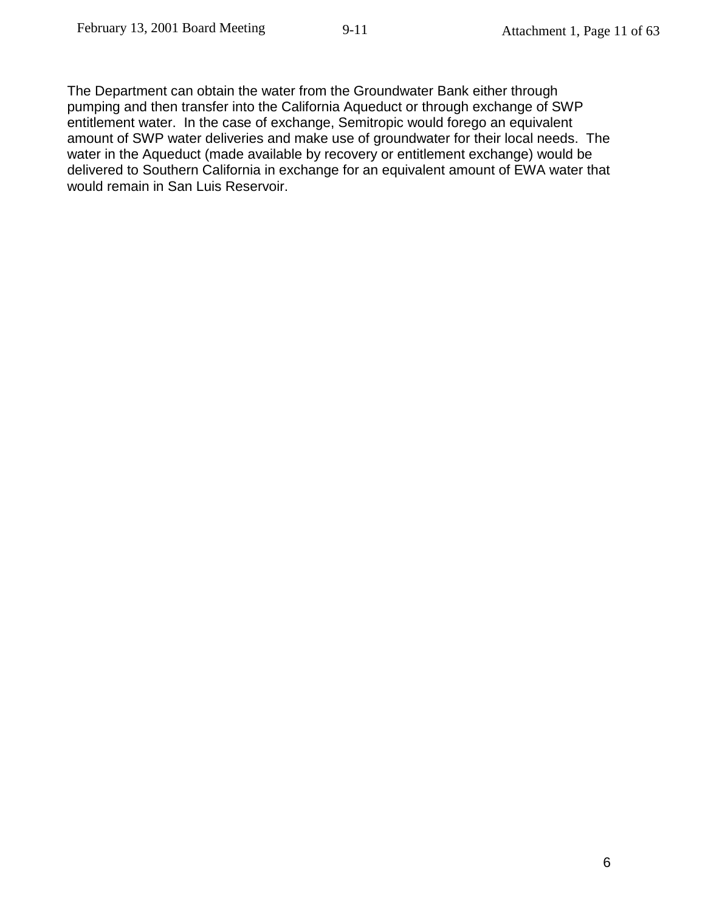The Department can obtain the water from the Groundwater Bank either through pumping and then transfer into the California Aqueduct or through exchange of SWP entitlement water. In the case of exchange, Semitropic would forego an equivalent amount of SWP water deliveries and make use of groundwater for their local needs. The water in the Aqueduct (made available by recovery or entitlement exchange) would be delivered to Southern California in exchange for an equivalent amount of EWA water that would remain in San Luis Reservoir.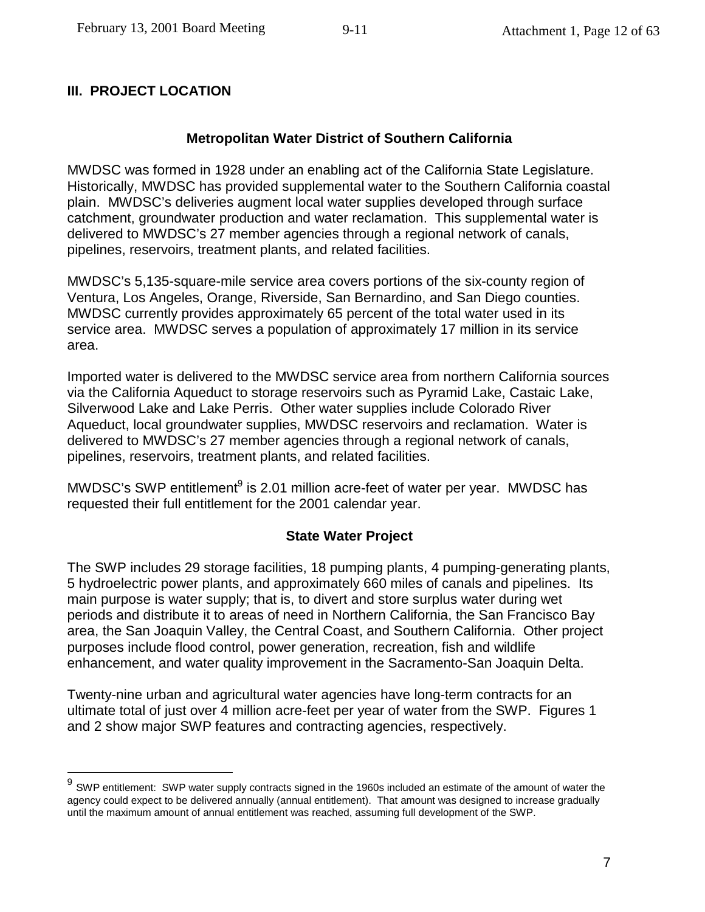# **III. PROJECT LOCATION**

1

#### **Metropolitan Water District of Southern California**

MWDSC was formed in 1928 under an enabling act of the California State Legislature. Historically, MWDSC has provided supplemental water to the Southern California coastal plain. MWDSC's deliveries augment local water supplies developed through surface catchment, groundwater production and water reclamation. This supplemental water is delivered to MWDSC's 27 member agencies through a regional network of canals, pipelines, reservoirs, treatment plants, and related facilities.

MWDSC's 5,135-square-mile service area covers portions of the six-county region of Ventura, Los Angeles, Orange, Riverside, San Bernardino, and San Diego counties. MWDSC currently provides approximately 65 percent of the total water used in its service area. MWDSC serves a population of approximately 17 million in its service area.

Imported water is delivered to the MWDSC service area from northern California sources via the California Aqueduct to storage reservoirs such as Pyramid Lake, Castaic Lake, Silverwood Lake and Lake Perris. Other water supplies include Colorado River Aqueduct, local groundwater supplies, MWDSC reservoirs and reclamation. Water is delivered to MWDSC's 27 member agencies through a regional network of canals, pipelines, reservoirs, treatment plants, and related facilities.

MWDSC's SWP entitlement<sup>9</sup> is 2.01 million acre-feet of water per year. MWDSC has requested their full entitlement for the 2001 calendar year.

#### **State Water Project**

The SWP includes 29 storage facilities, 18 pumping plants, 4 pumping-generating plants, 5 hydroelectric power plants, and approximately 660 miles of canals and pipelines. Its main purpose is water supply; that is, to divert and store surplus water during wet periods and distribute it to areas of need in Northern California, the San Francisco Bay area, the San Joaquin Valley, the Central Coast, and Southern California. Other project purposes include flood control, power generation, recreation, fish and wildlife enhancement, and water quality improvement in the Sacramento-San Joaquin Delta.

Twenty-nine urban and agricultural water agencies have long-term contracts for an ultimate total of just over 4 million acre-feet per year of water from the SWP. Figures 1 and 2 show major SWP features and contracting agencies, respectively.

 $9$  SWP entitlement: SWP water supply contracts signed in the 1960s included an estimate of the amount of water the agency could expect to be delivered annually (annual entitlement). That amount was designed to increase gradually until the maximum amount of annual entitlement was reached, assuming full development of the SWP.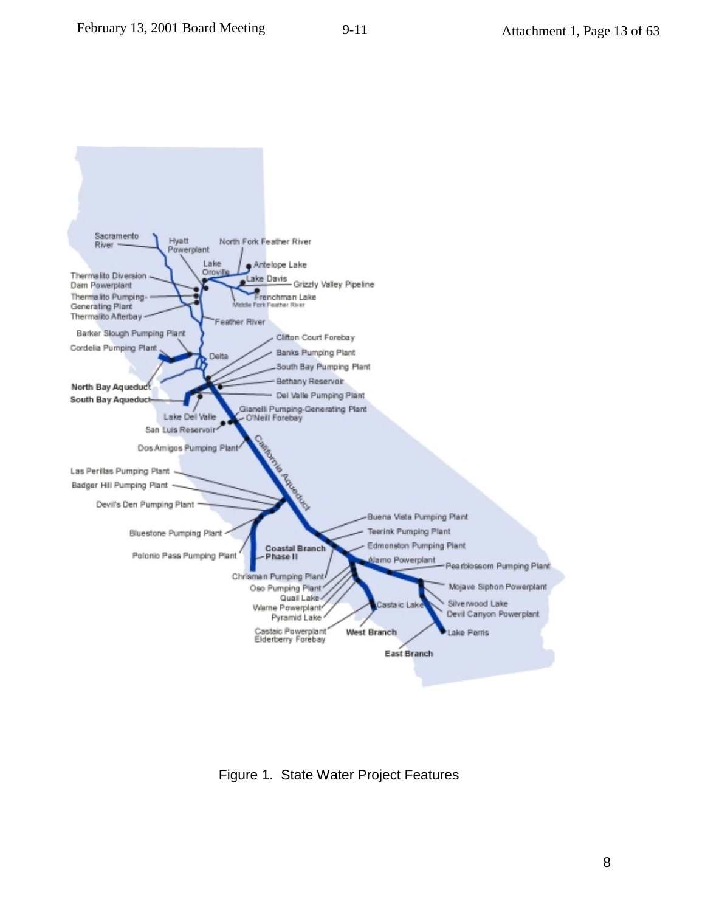

Figure 1. State Water Project Features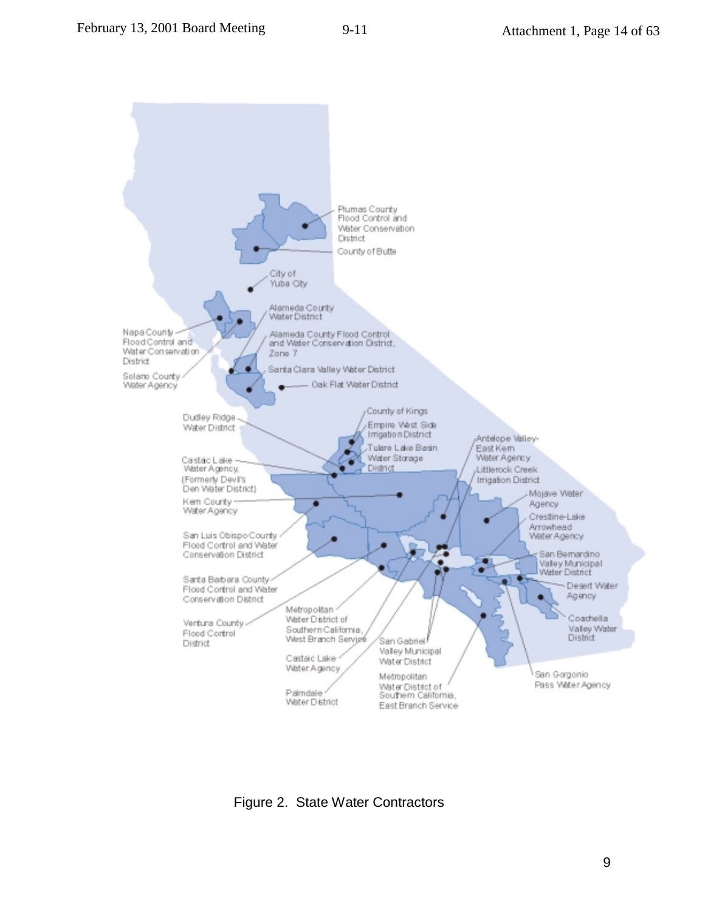

Figure 2. State Water Contractors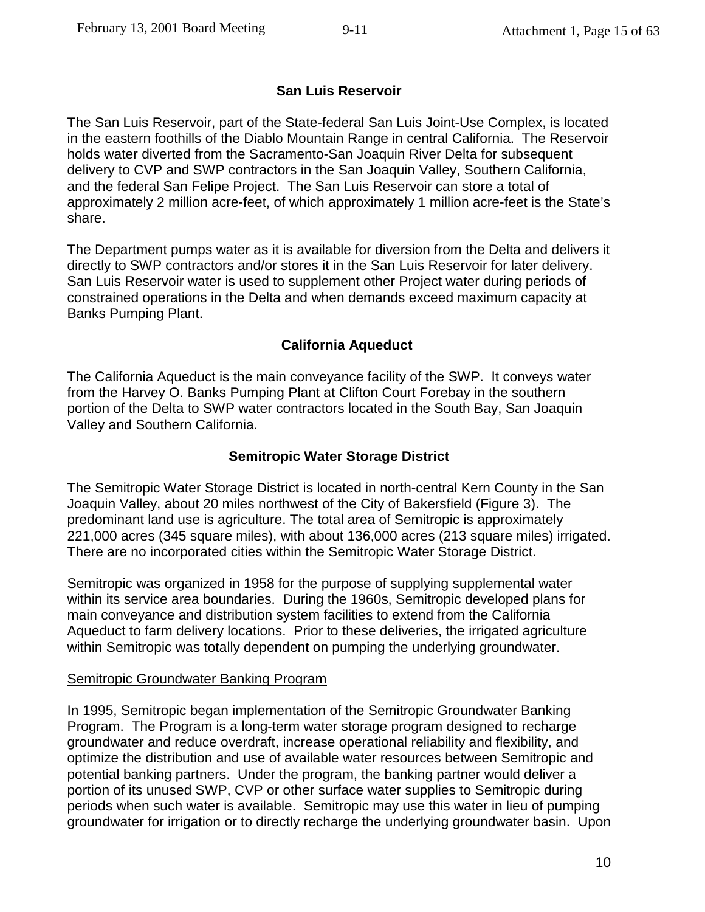#### **San Luis Reservoir**

The San Luis Reservoir, part of the State-federal San Luis Joint-Use Complex, is located in the eastern foothills of the Diablo Mountain Range in central California. The Reservoir holds water diverted from the Sacramento-San Joaquin River Delta for subsequent delivery to CVP and SWP contractors in the San Joaquin Valley, Southern California, and the federal San Felipe Project. The San Luis Reservoir can store a total of approximately 2 million acre-feet, of which approximately 1 million acre-feet is the State's share.

The Department pumps water as it is available for diversion from the Delta and delivers it directly to SWP contractors and/or stores it in the San Luis Reservoir for later delivery. San Luis Reservoir water is used to supplement other Project water during periods of constrained operations in the Delta and when demands exceed maximum capacity at Banks Pumping Plant.

#### **California Aqueduct**

The California Aqueduct is the main conveyance facility of the SWP. It conveys water from the Harvey O. Banks Pumping Plant at Clifton Court Forebay in the southern portion of the Delta to SWP water contractors located in the South Bay, San Joaquin Valley and Southern California.

#### **Semitropic Water Storage District**

The Semitropic Water Storage District is located in north-central Kern County in the San Joaquin Valley, about 20 miles northwest of the City of Bakersfield (Figure 3). The predominant land use is agriculture. The total area of Semitropic is approximately 221,000 acres (345 square miles), with about 136,000 acres (213 square miles) irrigated. There are no incorporated cities within the Semitropic Water Storage District.

Semitropic was organized in 1958 for the purpose of supplying supplemental water within its service area boundaries. During the 1960s, Semitropic developed plans for main conveyance and distribution system facilities to extend from the California Aqueduct to farm delivery locations. Prior to these deliveries, the irrigated agriculture within Semitropic was totally dependent on pumping the underlying groundwater.

#### Semitropic Groundwater Banking Program

In 1995, Semitropic began implementation of the Semitropic Groundwater Banking Program. The Program is a long-term water storage program designed to recharge groundwater and reduce overdraft, increase operational reliability and flexibility, and optimize the distribution and use of available water resources between Semitropic and potential banking partners. Under the program, the banking partner would deliver a portion of its unused SWP, CVP or other surface water supplies to Semitropic during periods when such water is available. Semitropic may use this water in lieu of pumping groundwater for irrigation or to directly recharge the underlying groundwater basin. Upon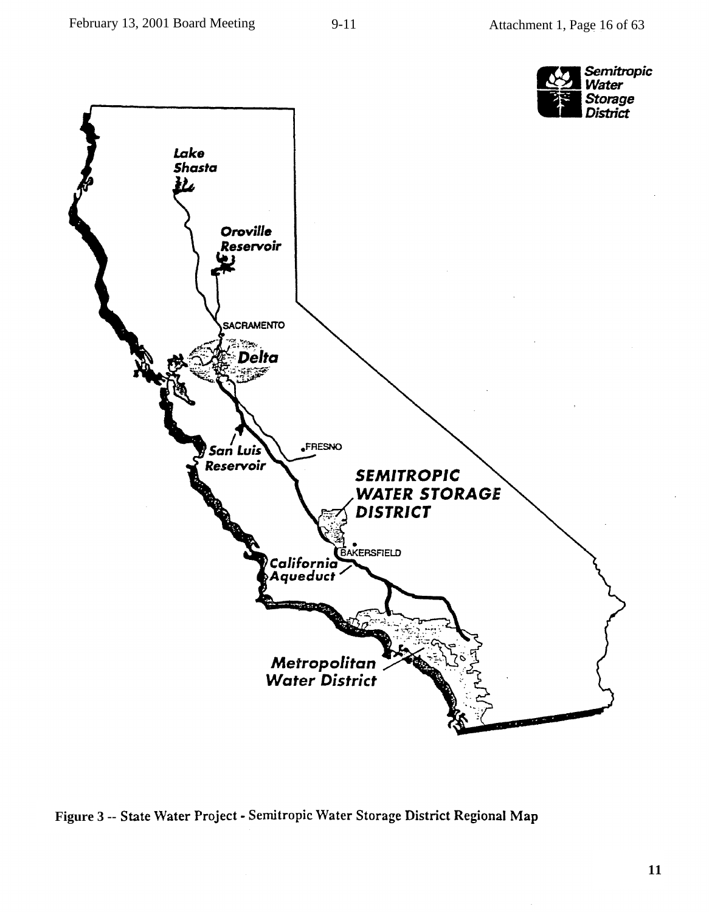



Figure 3 -- State Water Project - Semitropic Water Storage District Regional Map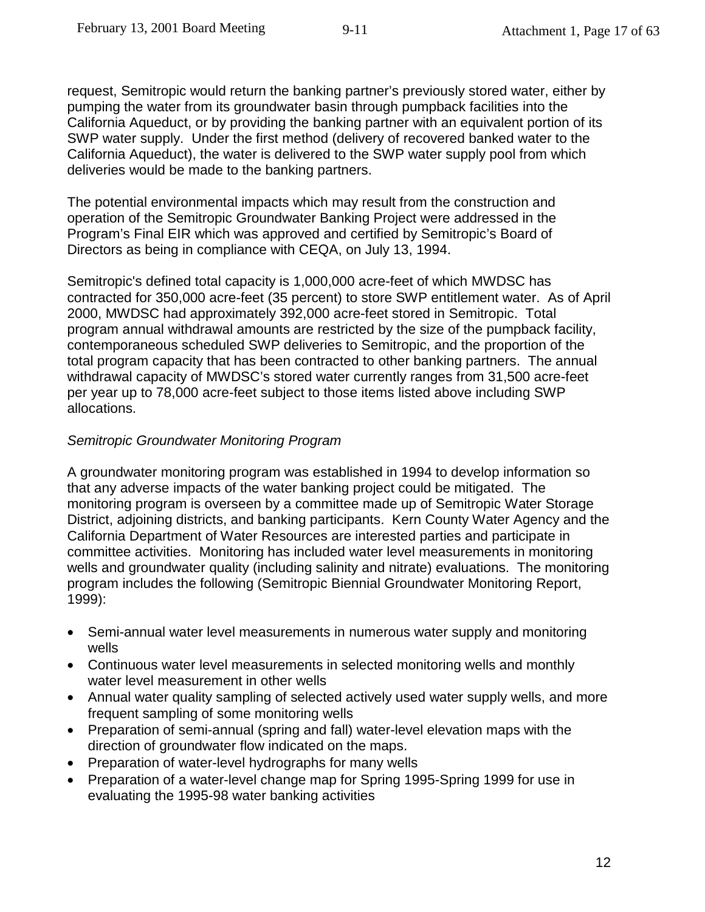request, Semitropic would return the banking partner's previously stored water, either by pumping the water from its groundwater basin through pumpback facilities into the California Aqueduct, or by providing the banking partner with an equivalent portion of its SWP water supply. Under the first method (delivery of recovered banked water to the California Aqueduct), the water is delivered to the SWP water supply pool from which deliveries would be made to the banking partners.

The potential environmental impacts which may result from the construction and operation of the Semitropic Groundwater Banking Project were addressed in the Program's Final EIR which was approved and certified by Semitropic's Board of Directors as being in compliance with CEQA, on July 13, 1994.

Semitropic's defined total capacity is 1,000,000 acre-feet of which MWDSC has contracted for 350,000 acre-feet (35 percent) to store SWP entitlement water. As of April 2000, MWDSC had approximately 392,000 acre-feet stored in Semitropic. Total program annual withdrawal amounts are restricted by the size of the pumpback facility, contemporaneous scheduled SWP deliveries to Semitropic, and the proportion of the total program capacity that has been contracted to other banking partners. The annual withdrawal capacity of MWDSC's stored water currently ranges from 31,500 acre-feet per year up to 78,000 acre-feet subject to those items listed above including SWP allocations.

### *Semitropic Groundwater Monitoring Program*

A groundwater monitoring program was established in 1994 to develop information so that any adverse impacts of the water banking project could be mitigated. The monitoring program is overseen by a committee made up of Semitropic Water Storage District, adjoining districts, and banking participants. Kern County Water Agency and the California Department of Water Resources are interested parties and participate in committee activities. Monitoring has included water level measurements in monitoring wells and groundwater quality (including salinity and nitrate) evaluations. The monitoring program includes the following (Semitropic Biennial Groundwater Monitoring Report, 1999):

- Semi-annual water level measurements in numerous water supply and monitoring wells
- Continuous water level measurements in selected monitoring wells and monthly water level measurement in other wells
- Annual water quality sampling of selected actively used water supply wells, and more frequent sampling of some monitoring wells
- Preparation of semi-annual (spring and fall) water-level elevation maps with the direction of groundwater flow indicated on the maps.
- Preparation of water-level hydrographs for many wells
- Preparation of a water-level change map for Spring 1995-Spring 1999 for use in evaluating the 1995-98 water banking activities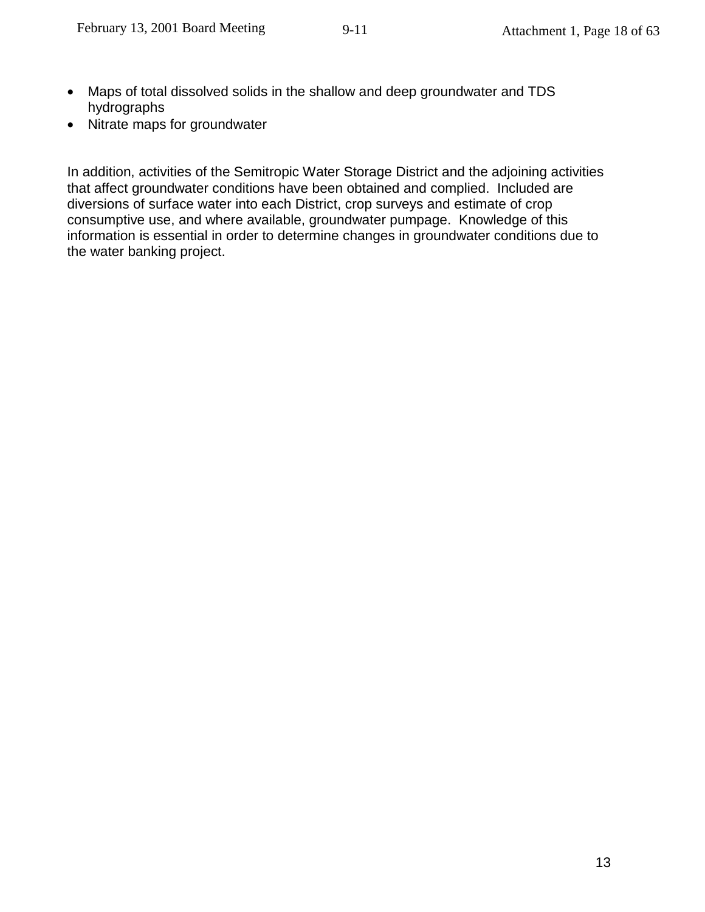- Maps of total dissolved solids in the shallow and deep groundwater and TDS hydrographs
- Nitrate maps for groundwater

In addition, activities of the Semitropic Water Storage District and the adjoining activities that affect groundwater conditions have been obtained and complied. Included are diversions of surface water into each District, crop surveys and estimate of crop consumptive use, and where available, groundwater pumpage. Knowledge of this information is essential in order to determine changes in groundwater conditions due to the water banking project.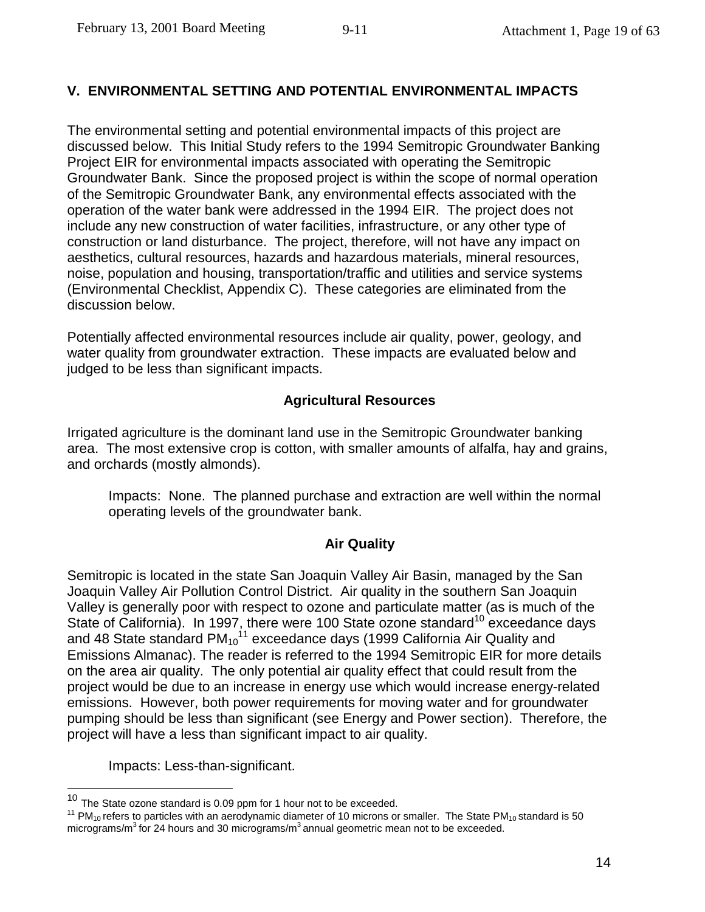## **V. ENVIRONMENTAL SETTING AND POTENTIAL ENVIRONMENTAL IMPACTS**

The environmental setting and potential environmental impacts of this project are discussed below. This Initial Study refers to the 1994 Semitropic Groundwater Banking Project EIR for environmental impacts associated with operating the Semitropic Groundwater Bank. Since the proposed project is within the scope of normal operation of the Semitropic Groundwater Bank, any environmental effects associated with the operation of the water bank were addressed in the 1994 EIR. The project does not include any new construction of water facilities, infrastructure, or any other type of construction or land disturbance. The project, therefore, will not have any impact on aesthetics, cultural resources, hazards and hazardous materials, mineral resources, noise, population and housing, transportation/traffic and utilities and service systems (Environmental Checklist, Appendix C). These categories are eliminated from the discussion below.

Potentially affected environmental resources include air quality, power, geology, and water quality from groundwater extraction. These impacts are evaluated below and judged to be less than significant impacts.

#### **Agricultural Resources**

Irrigated agriculture is the dominant land use in the Semitropic Groundwater banking area. The most extensive crop is cotton, with smaller amounts of alfalfa, hay and grains, and orchards (mostly almonds).

Impacts: None. The planned purchase and extraction are well within the normal operating levels of the groundwater bank.

# **Air Quality**

Semitropic is located in the state San Joaquin Valley Air Basin, managed by the San Joaquin Valley Air Pollution Control District. Air quality in the southern San Joaquin Valley is generally poor with respect to ozone and particulate matter (as is much of the State of California). In 1997, there were 100 State ozone standard<sup>10</sup> exceedance days and 48 State standard PM<sub>10</sub><sup>11</sup> exceedance days (1999 California Air Quality and Emissions Almanac). The reader is referred to the 1994 Semitropic EIR for more details on the area air quality. The only potential air quality effect that could result from the project would be due to an increase in energy use which would increase energy-related emissions. However, both power requirements for moving water and for groundwater pumping should be less than significant (see Energy and Power section). Therefore, the project will have a less than significant impact to air quality.

Impacts: Less-than-significant.

1

 $10$  The State ozone standard is 0.09 ppm for 1 hour not to be exceeded.

 $11$  PM<sub>10</sub> refers to particles with an aerodynamic diameter of 10 microns or smaller. The State PM<sub>10</sub> standard is 50 micrograms/m<sup>3</sup> for 24 hours and 30 micrograms/m<sup>3</sup> annual geometric mean not to be exceeded.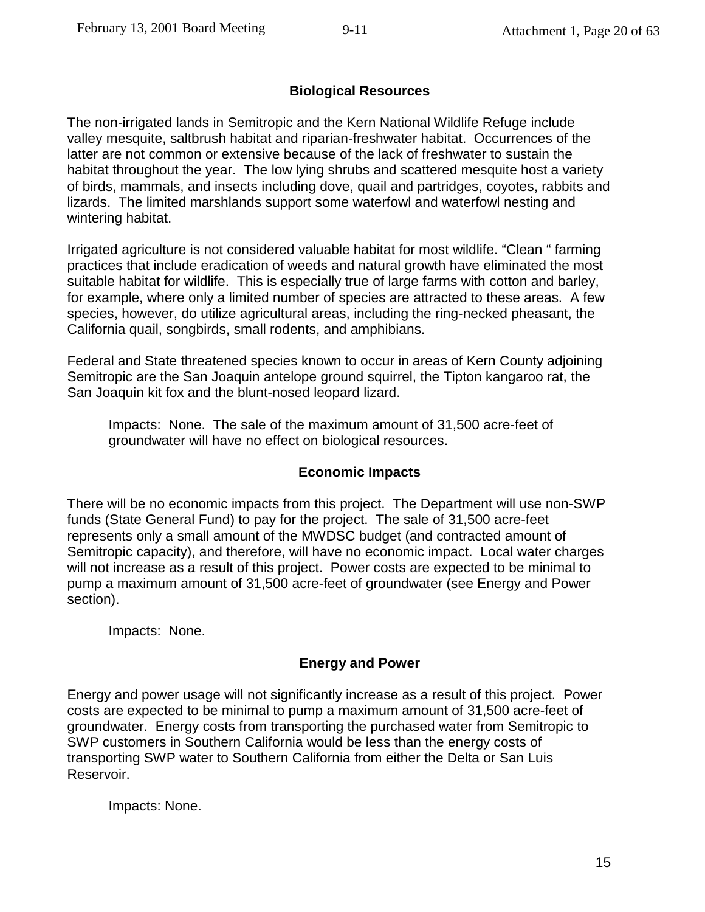### **Biological Resources**

The non-irrigated lands in Semitropic and the Kern National Wildlife Refuge include valley mesquite, saltbrush habitat and riparian-freshwater habitat. Occurrences of the latter are not common or extensive because of the lack of freshwater to sustain the habitat throughout the year. The low lying shrubs and scattered mesquite host a variety of birds, mammals, and insects including dove, quail and partridges, coyotes, rabbits and lizards. The limited marshlands support some waterfowl and waterfowl nesting and wintering habitat.

Irrigated agriculture is not considered valuable habitat for most wildlife. "Clean " farming practices that include eradication of weeds and natural growth have eliminated the most suitable habitat for wildlife. This is especially true of large farms with cotton and barley, for example, where only a limited number of species are attracted to these areas. A few species, however, do utilize agricultural areas, including the ring-necked pheasant, the California quail, songbirds, small rodents, and amphibians.

Federal and State threatened species known to occur in areas of Kern County adjoining Semitropic are the San Joaquin antelope ground squirrel, the Tipton kangaroo rat, the San Joaquin kit fox and the blunt-nosed leopard lizard.

Impacts: None. The sale of the maximum amount of 31,500 acre-feet of groundwater will have no effect on biological resources.

# **Economic Impacts**

There will be no economic impacts from this project. The Department will use non-SWP funds (State General Fund) to pay for the project. The sale of 31,500 acre-feet represents only a small amount of the MWDSC budget (and contracted amount of Semitropic capacity), and therefore, will have no economic impact. Local water charges will not increase as a result of this project. Power costs are expected to be minimal to pump a maximum amount of 31,500 acre-feet of groundwater (see Energy and Power section).

Impacts: None.

#### **Energy and Power**

Energy and power usage will not significantly increase as a result of this project. Power costs are expected to be minimal to pump a maximum amount of 31,500 acre-feet of groundwater. Energy costs from transporting the purchased water from Semitropic to SWP customers in Southern California would be less than the energy costs of transporting SWP water to Southern California from either the Delta or San Luis Reservoir.

Impacts: None.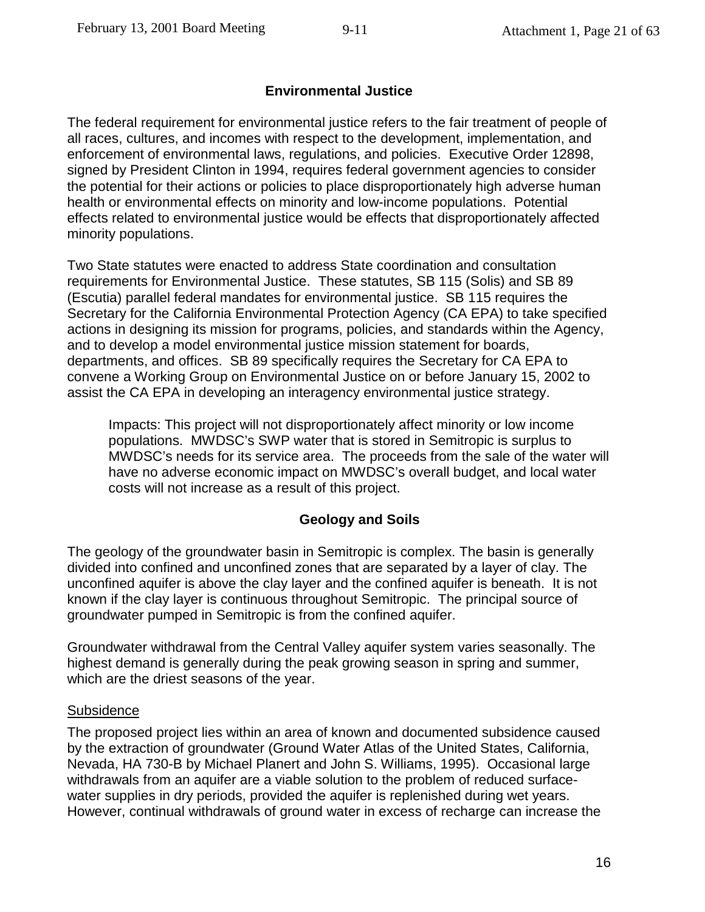### **Environmental Justice**

The federal requirement for environmental justice refers to the fair treatment of people of all races, cultures, and incomes with respect to the development, implementation, and enforcement of environmental laws, regulations, and policies. Executive Order 12898, signed by President Clinton in 1994, requires federal government agencies to consider the potential for their actions or policies to place disproportionately high adverse human health or environmental effects on minority and low-income populations. Potential effects related to environmental justice would be effects that disproportionately affected minority populations.

Two State statutes were enacted to address State coordination and consultation requirements for Environmental Justice. These statutes, SB 115 (Solis) and SB 89 (Escutia) parallel federal mandates for environmental justice. SB 115 requires the Secretary for the California Environmental Protection Agency (CA EPA) to take specified actions in designing its mission for programs, policies, and standards within the Agency, and to develop a model environmental justice mission statement for boards, departments, and offices. SB 89 specifically requires the Secretary for CA EPA to convene a Working Group on Environmental Justice on or before January 15, 2002 to assist the CA EPA in developing an interagency environmental justice strategy.

Impacts: This project will not disproportionately affect minority or low income populations. MWDSC's SWP water that is stored in Semitropic is surplus to MWDSC's needs for its service area. The proceeds from the sale of the water will have no adverse economic impact on MWDSC's overall budget, and local water costs will not increase as a result of this project.

#### **Geology and Soils**

The geology of the groundwater basin in Semitropic is complex. The basin is generally divided into confined and unconfined zones that are separated by a layer of clay. The unconfined aquifer is above the clay layer and the confined aquifer is beneath. It is not known if the clay layer is continuous throughout Semitropic. The principal source of groundwater pumped in Semitropic is from the confined aquifer.

Groundwater withdrawal from the Central Valley aquifer system varies seasonally. The highest demand is generally during the peak growing season in spring and summer, which are the driest seasons of the year.

#### **Subsidence**

The proposed project lies within an area of known and documented subsidence caused by the extraction of groundwater (Ground Water Atlas of the United States, California, Nevada, HA 730-B by Michael Planert and John S. Williams, 1995). Occasional large withdrawals from an aquifer are a viable solution to the problem of reduced surfacewater supplies in dry periods, provided the aquifer is replenished during wet years. However, continual withdrawals of ground water in excess of recharge can increase the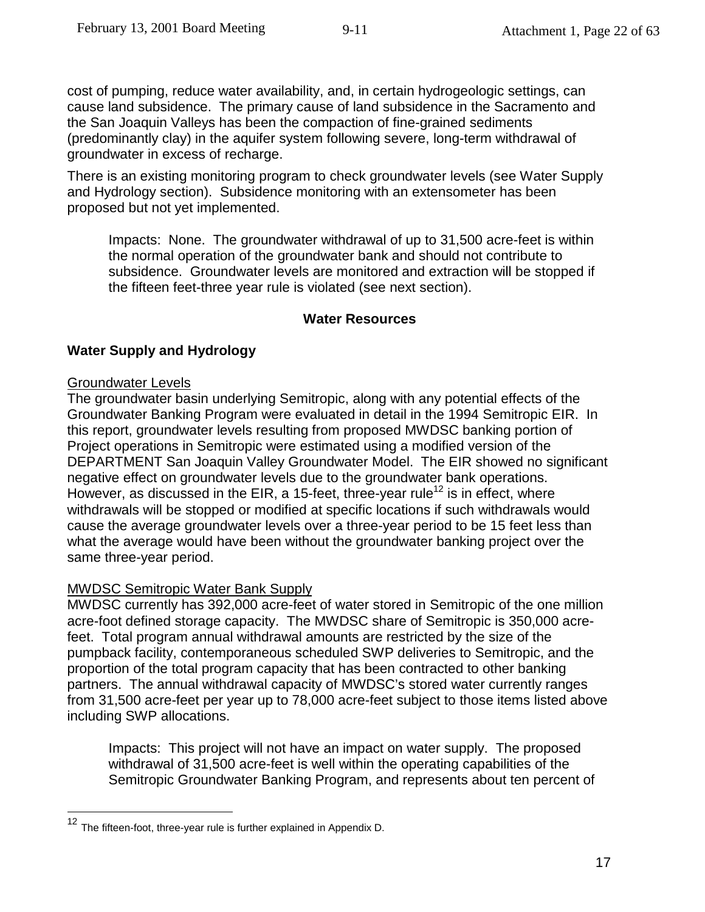cost of pumping, reduce water availability, and, in certain hydrogeologic settings, can cause land subsidence. The primary cause of land subsidence in the Sacramento and the San Joaquin Valleys has been the compaction of fine-grained sediments (predominantly clay) in the aquifer system following severe, long-term withdrawal of groundwater in excess of recharge.

There is an existing monitoring program to check groundwater levels (see Water Supply and Hydrology section). Subsidence monitoring with an extensometer has been proposed but not yet implemented.

Impacts: None. The groundwater withdrawal of up to 31,500 acre-feet is within the normal operation of the groundwater bank and should not contribute to subsidence. Groundwater levels are monitored and extraction will be stopped if the fifteen feet-three year rule is violated (see next section).

#### **Water Resources**

#### **Water Supply and Hydrology**

#### Groundwater Levels

<u>.</u>

The groundwater basin underlying Semitropic, along with any potential effects of the Groundwater Banking Program were evaluated in detail in the 1994 Semitropic EIR. In this report, groundwater levels resulting from proposed MWDSC banking portion of Project operations in Semitropic were estimated using a modified version of the DEPARTMENT San Joaquin Valley Groundwater Model. The EIR showed no significant negative effect on groundwater levels due to the groundwater bank operations. However, as discussed in the EIR, a 15-feet, three-year rule<sup>12</sup> is in effect, where withdrawals will be stopped or modified at specific locations if such withdrawals would cause the average groundwater levels over a three-year period to be 15 feet less than what the average would have been without the groundwater banking project over the same three-year period.

#### MWDSC Semitropic Water Bank Supply

MWDSC currently has 392,000 acre-feet of water stored in Semitropic of the one million acre-foot defined storage capacity. The MWDSC share of Semitropic is 350,000 acrefeet. Total program annual withdrawal amounts are restricted by the size of the pumpback facility, contemporaneous scheduled SWP deliveries to Semitropic, and the proportion of the total program capacity that has been contracted to other banking partners. The annual withdrawal capacity of MWDSC's stored water currently ranges from 31,500 acre-feet per year up to 78,000 acre-feet subject to those items listed above including SWP allocations.

Impacts: This project will not have an impact on water supply. The proposed withdrawal of 31,500 acre-feet is well within the operating capabilities of the Semitropic Groundwater Banking Program, and represents about ten percent of

<sup>&</sup>lt;sup>12</sup> The fifteen-foot, three-year rule is further explained in Appendix D.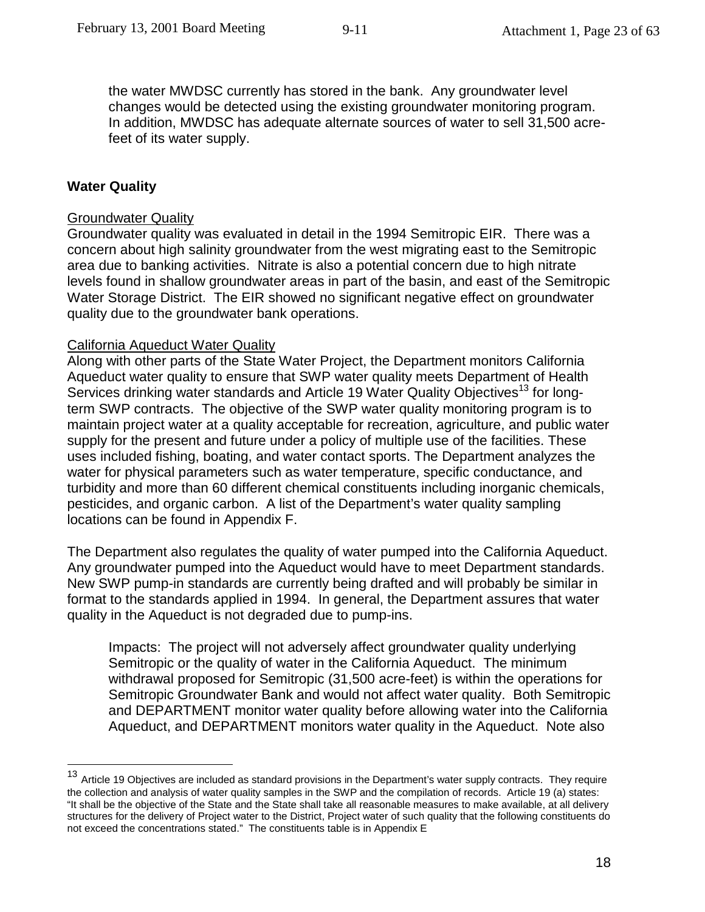the water MWDSC currently has stored in the bank. Any groundwater level changes would be detected using the existing groundwater monitoring program. In addition, MWDSC has adequate alternate sources of water to sell 31,500 acrefeet of its water supply.

#### **Water Quality**

1

#### Groundwater Quality

Groundwater quality was evaluated in detail in the 1994 Semitropic EIR. There was a concern about high salinity groundwater from the west migrating east to the Semitropic area due to banking activities. Nitrate is also a potential concern due to high nitrate levels found in shallow groundwater areas in part of the basin, and east of the Semitropic Water Storage District. The EIR showed no significant negative effect on groundwater quality due to the groundwater bank operations.

#### California Aqueduct Water Quality

Along with other parts of the State Water Project, the Department monitors California Aqueduct water quality to ensure that SWP water quality meets Department of Health Services drinking water standards and Article 19 Water Quality Objectives<sup>13</sup> for longterm SWP contracts. The objective of the SWP water quality monitoring program is to maintain project water at a quality acceptable for recreation, agriculture, and public water supply for the present and future under a policy of multiple use of the facilities. These uses included fishing, boating, and water contact sports. The Department analyzes the water for physical parameters such as water temperature, specific conductance, and turbidity and more than 60 different chemical constituents including inorganic chemicals, pesticides, and organic carbon. A list of the Department's water quality sampling locations can be found in Appendix F.

The Department also regulates the quality of water pumped into the California Aqueduct. Any groundwater pumped into the Aqueduct would have to meet Department standards. New SWP pump-in standards are currently being drafted and will probably be similar in format to the standards applied in 1994. In general, the Department assures that water quality in the Aqueduct is not degraded due to pump-ins.

Impacts: The project will not adversely affect groundwater quality underlying Semitropic or the quality of water in the California Aqueduct. The minimum withdrawal proposed for Semitropic (31,500 acre-feet) is within the operations for Semitropic Groundwater Bank and would not affect water quality. Both Semitropic and DEPARTMENT monitor water quality before allowing water into the California Aqueduct, and DEPARTMENT monitors water quality in the Aqueduct. Note also

<sup>&</sup>lt;sup>13</sup> Article 19 Objectives are included as standard provisions in the Department's water supply contracts. They require the collection and analysis of water quality samples in the SWP and the compilation of records. Article 19 (a) states: "It shall be the objective of the State and the State shall take all reasonable measures to make available, at all delivery structures for the delivery of Project water to the District, Project water of such quality that the following constituents do not exceed the concentrations stated." The constituents table is in Appendix E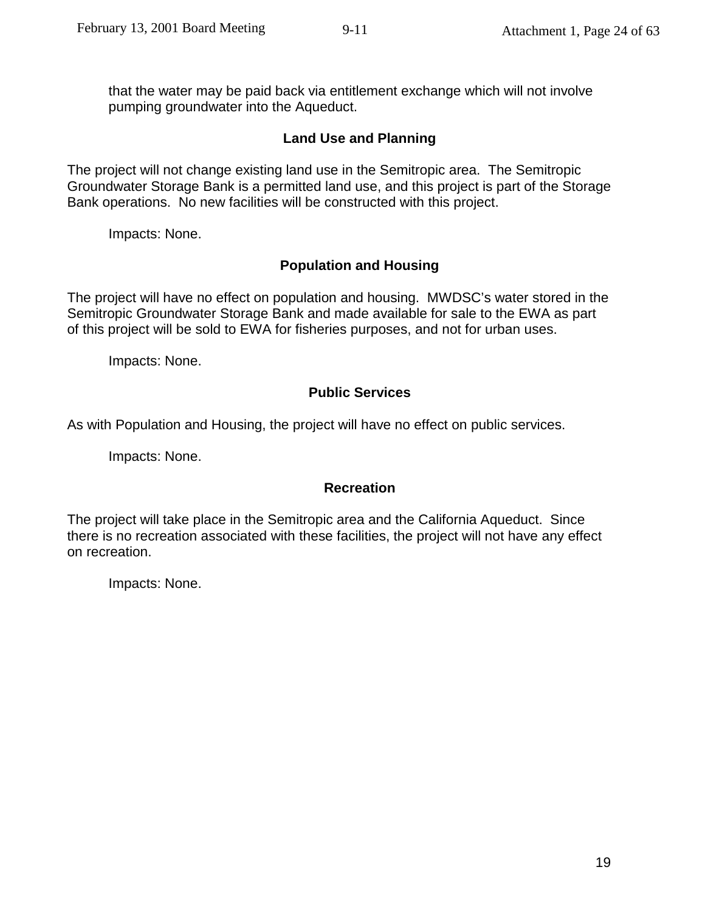that the water may be paid back via entitlement exchange which will not involve pumping groundwater into the Aqueduct.

# **Land Use and Planning**

The project will not change existing land use in the Semitropic area. The Semitropic Groundwater Storage Bank is a permitted land use, and this project is part of the Storage Bank operations. No new facilities will be constructed with this project.

Impacts: None.

# **Population and Housing**

The project will have no effect on population and housing. MWDSC's water stored in the Semitropic Groundwater Storage Bank and made available for sale to the EWA as part of this project will be sold to EWA for fisheries purposes, and not for urban uses.

Impacts: None.

# **Public Services**

As with Population and Housing, the project will have no effect on public services.

Impacts: None.

#### **Recreation**

The project will take place in the Semitropic area and the California Aqueduct. Since there is no recreation associated with these facilities, the project will not have any effect on recreation.

Impacts: None.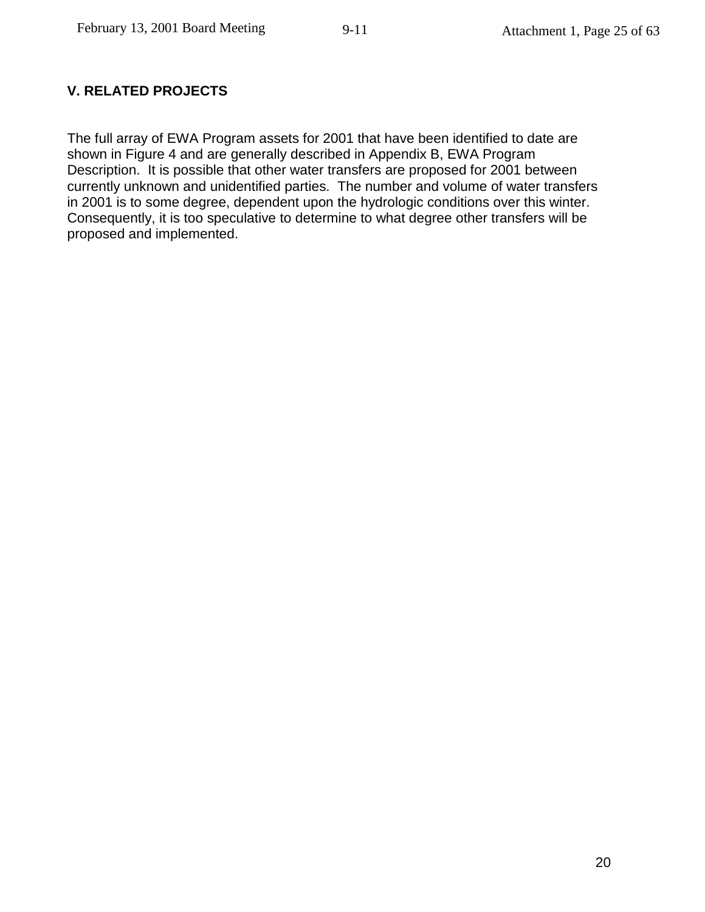# **V. RELATED PROJECTS**

The full array of EWA Program assets for 2001 that have been identified to date are shown in Figure 4 and are generally described in Appendix B, EWA Program Description. It is possible that other water transfers are proposed for 2001 between currently unknown and unidentified parties. The number and volume of water transfers in 2001 is to some degree, dependent upon the hydrologic conditions over this winter. Consequently, it is too speculative to determine to what degree other transfers will be proposed and implemented.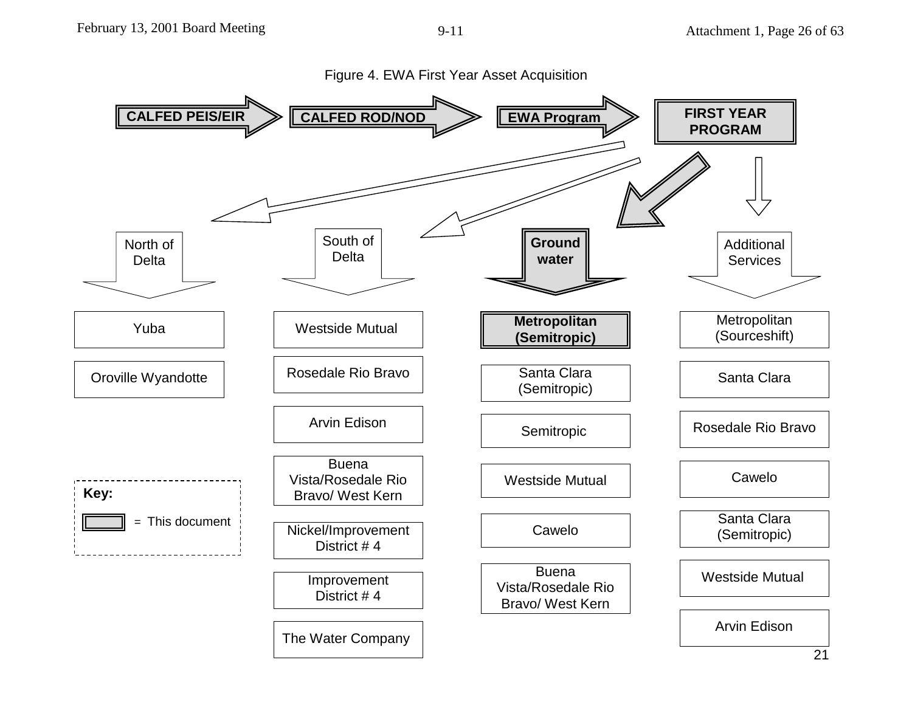### $g \t 9-11$

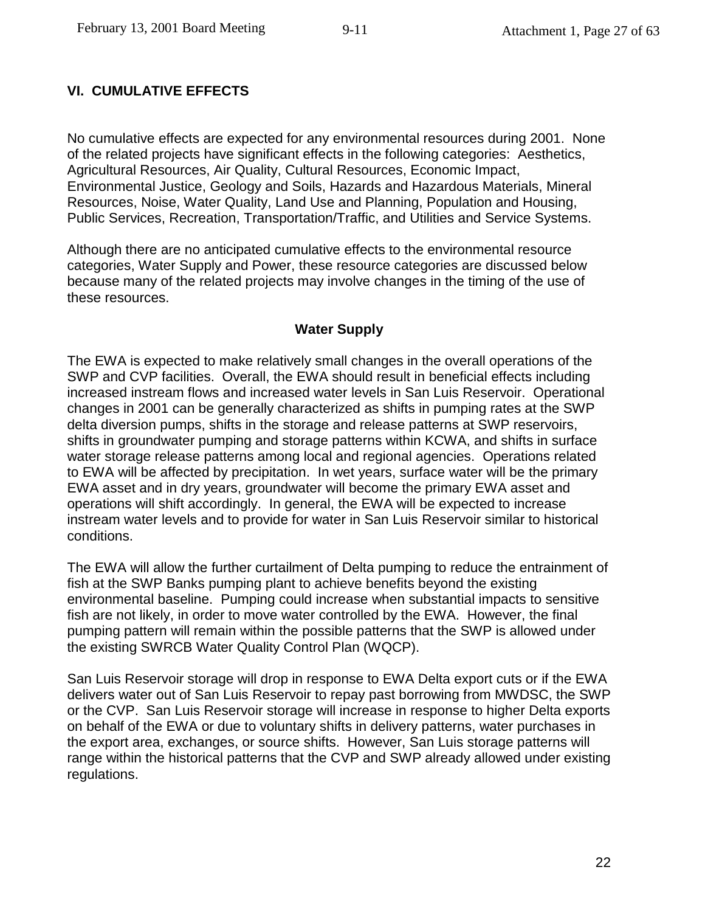# **VI. CUMULATIVE EFFECTS**

No cumulative effects are expected for any environmental resources during 2001. None of the related projects have significant effects in the following categories: Aesthetics, Agricultural Resources, Air Quality, Cultural Resources, Economic Impact, Environmental Justice, Geology and Soils, Hazards and Hazardous Materials, Mineral Resources, Noise, Water Quality, Land Use and Planning, Population and Housing, Public Services, Recreation, Transportation/Traffic, and Utilities and Service Systems.

Although there are no anticipated cumulative effects to the environmental resource categories, Water Supply and Power, these resource categories are discussed below because many of the related projects may involve changes in the timing of the use of these resources.

#### **Water Supply**

The EWA is expected to make relatively small changes in the overall operations of the SWP and CVP facilities. Overall, the EWA should result in beneficial effects including increased instream flows and increased water levels in San Luis Reservoir. Operational changes in 2001 can be generally characterized as shifts in pumping rates at the SWP delta diversion pumps, shifts in the storage and release patterns at SWP reservoirs, shifts in groundwater pumping and storage patterns within KCWA, and shifts in surface water storage release patterns among local and regional agencies. Operations related to EWA will be affected by precipitation. In wet years, surface water will be the primary EWA asset and in dry years, groundwater will become the primary EWA asset and operations will shift accordingly. In general, the EWA will be expected to increase instream water levels and to provide for water in San Luis Reservoir similar to historical conditions.

The EWA will allow the further curtailment of Delta pumping to reduce the entrainment of fish at the SWP Banks pumping plant to achieve benefits beyond the existing environmental baseline. Pumping could increase when substantial impacts to sensitive fish are not likely, in order to move water controlled by the EWA. However, the final pumping pattern will remain within the possible patterns that the SWP is allowed under the existing SWRCB Water Quality Control Plan (WQCP).

San Luis Reservoir storage will drop in response to EWA Delta export cuts or if the EWA delivers water out of San Luis Reservoir to repay past borrowing from MWDSC, the SWP or the CVP. San Luis Reservoir storage will increase in response to higher Delta exports on behalf of the EWA or due to voluntary shifts in delivery patterns, water purchases in the export area, exchanges, or source shifts. However, San Luis storage patterns will range within the historical patterns that the CVP and SWP already allowed under existing regulations.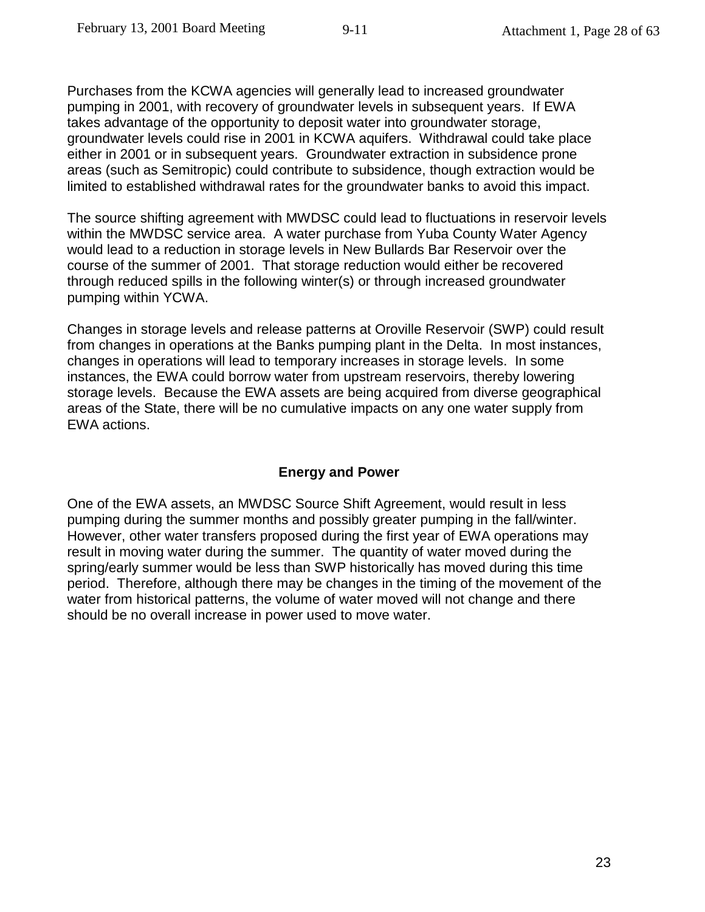Purchases from the KCWA agencies will generally lead to increased groundwater pumping in 2001, with recovery of groundwater levels in subsequent years. If EWA takes advantage of the opportunity to deposit water into groundwater storage, groundwater levels could rise in 2001 in KCWA aquifers. Withdrawal could take place either in 2001 or in subsequent years. Groundwater extraction in subsidence prone areas (such as Semitropic) could contribute to subsidence, though extraction would be limited to established withdrawal rates for the groundwater banks to avoid this impact.

The source shifting agreement with MWDSC could lead to fluctuations in reservoir levels within the MWDSC service area. A water purchase from Yuba County Water Agency would lead to a reduction in storage levels in New Bullards Bar Reservoir over the course of the summer of 2001. That storage reduction would either be recovered through reduced spills in the following winter(s) or through increased groundwater pumping within YCWA.

Changes in storage levels and release patterns at Oroville Reservoir (SWP) could result from changes in operations at the Banks pumping plant in the Delta. In most instances, changes in operations will lead to temporary increases in storage levels. In some instances, the EWA could borrow water from upstream reservoirs, thereby lowering storage levels. Because the EWA assets are being acquired from diverse geographical areas of the State, there will be no cumulative impacts on any one water supply from EWA actions.

#### **Energy and Power**

One of the EWA assets, an MWDSC Source Shift Agreement, would result in less pumping during the summer months and possibly greater pumping in the fall/winter. However, other water transfers proposed during the first year of EWA operations may result in moving water during the summer. The quantity of water moved during the spring/early summer would be less than SWP historically has moved during this time period. Therefore, although there may be changes in the timing of the movement of the water from historical patterns, the volume of water moved will not change and there should be no overall increase in power used to move water.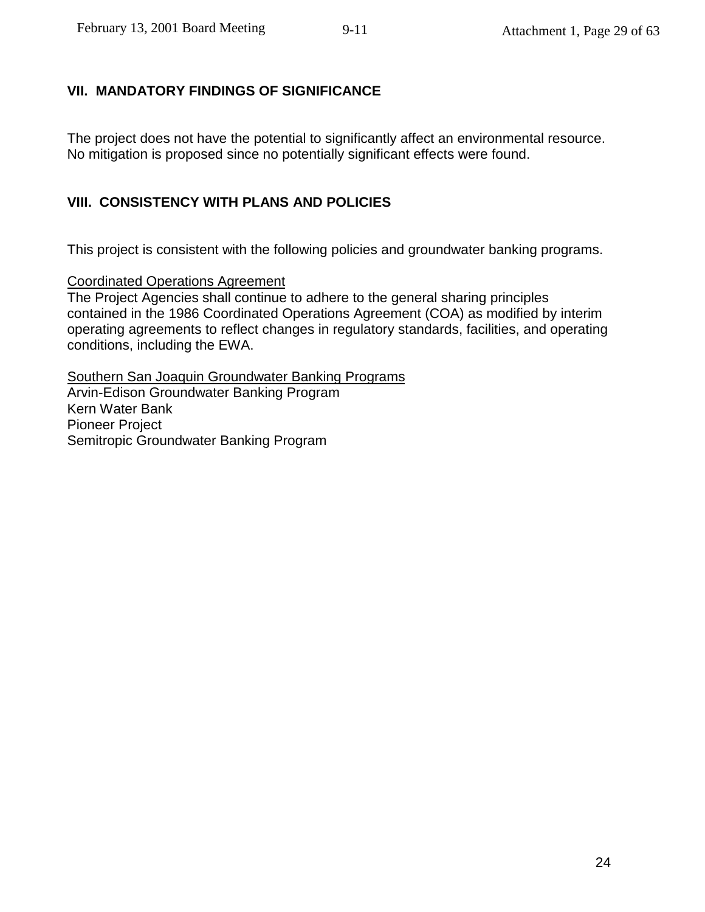### **VII. MANDATORY FINDINGS OF SIGNIFICANCE**

The project does not have the potential to significantly affect an environmental resource. No mitigation is proposed since no potentially significant effects were found.

### **VIII. CONSISTENCY WITH PLANS AND POLICIES**

This project is consistent with the following policies and groundwater banking programs.

#### Coordinated Operations Agreement

The Project Agencies shall continue to adhere to the general sharing principles contained in the 1986 Coordinated Operations Agreement (COA) as modified by interim operating agreements to reflect changes in regulatory standards, facilities, and operating conditions, including the EWA.

Southern San Joaquin Groundwater Banking Programs Arvin-Edison Groundwater Banking Program Kern Water Bank Pioneer Project Semitropic Groundwater Banking Program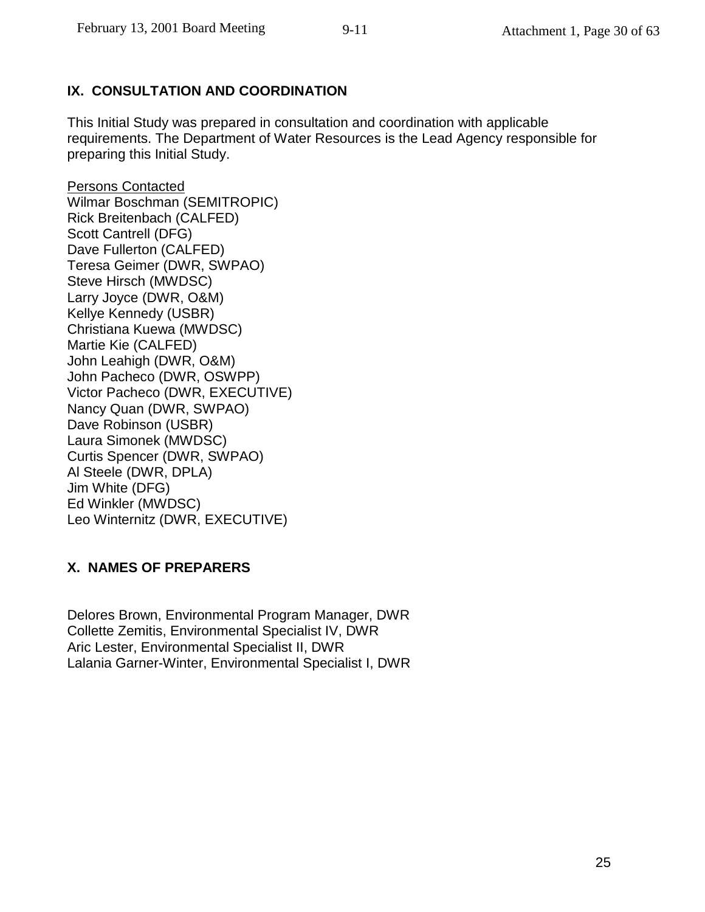# **IX. CONSULTATION AND COORDINATION**

This Initial Study was prepared in consultation and coordination with applicable requirements. The Department of Water Resources is the Lead Agency responsible for preparing this Initial Study.

Persons Contacted Wilmar Boschman (SEMITROPIC) Rick Breitenbach (CALFED) Scott Cantrell (DFG) Dave Fullerton (CALFED) Teresa Geimer (DWR, SWPAO) Steve Hirsch (MWDSC) Larry Joyce (DWR, O&M) Kellye Kennedy (USBR) Christiana Kuewa (MWDSC) Martie Kie (CALFED) John Leahigh (DWR, O&M) John Pacheco (DWR, OSWPP) Victor Pacheco (DWR, EXECUTIVE) Nancy Quan (DWR, SWPAO) Dave Robinson (USBR) Laura Simonek (MWDSC) Curtis Spencer (DWR, SWPAO) Al Steele (DWR, DPLA) Jim White (DFG) Ed Winkler (MWDSC) Leo Winternitz (DWR, EXECUTIVE)

# **X. NAMES OF PREPARERS**

Delores Brown, Environmental Program Manager, DWR Collette Zemitis, Environmental Specialist IV, DWR Aric Lester, Environmental Specialist II, DWR Lalania Garner-Winter, Environmental Specialist I, DWR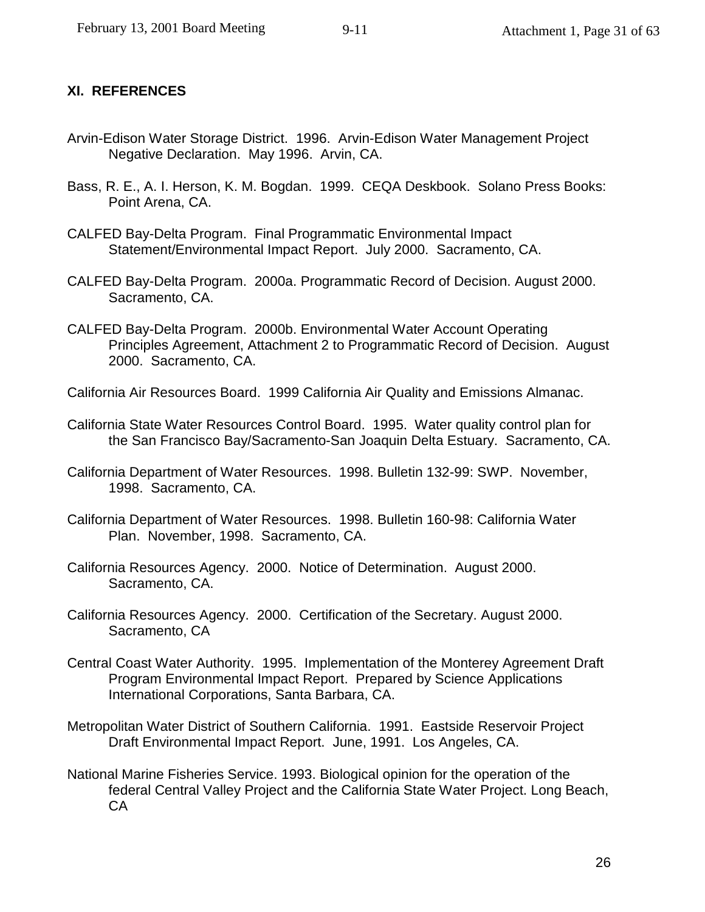### **XI. REFERENCES**

- Arvin-Edison Water Storage District. 1996. Arvin-Edison Water Management Project Negative Declaration. May 1996. Arvin, CA.
- Bass, R. E., A. I. Herson, K. M. Bogdan. 1999. CEQA Deskbook. Solano Press Books: Point Arena, CA.
- CALFED Bay-Delta Program. Final Programmatic Environmental Impact Statement/Environmental Impact Report. July 2000. Sacramento, CA.
- CALFED Bay-Delta Program. 2000a. Programmatic Record of Decision. August 2000. Sacramento, CA.
- CALFED Bay-Delta Program. 2000b. Environmental Water Account Operating Principles Agreement, Attachment 2 to Programmatic Record of Decision. August 2000. Sacramento, CA.
- California Air Resources Board. 1999 California Air Quality and Emissions Almanac.
- California State Water Resources Control Board. 1995. Water quality control plan for the San Francisco Bay/Sacramento-San Joaquin Delta Estuary. Sacramento, CA.
- California Department of Water Resources. 1998. Bulletin 132-99: SWP. November, 1998. Sacramento, CA.
- California Department of Water Resources. 1998. Bulletin 160-98: California Water Plan. November, 1998. Sacramento, CA.
- California Resources Agency. 2000. Notice of Determination. August 2000. Sacramento, CA.
- California Resources Agency. 2000. Certification of the Secretary. August 2000. Sacramento, CA
- Central Coast Water Authority. 1995. Implementation of the Monterey Agreement Draft Program Environmental Impact Report. Prepared by Science Applications International Corporations, Santa Barbara, CA.
- Metropolitan Water District of Southern California. 1991. Eastside Reservoir Project Draft Environmental Impact Report. June, 1991. Los Angeles, CA.
- National Marine Fisheries Service. 1993. Biological opinion for the operation of the federal Central Valley Project and the California State Water Project. Long Beach, CA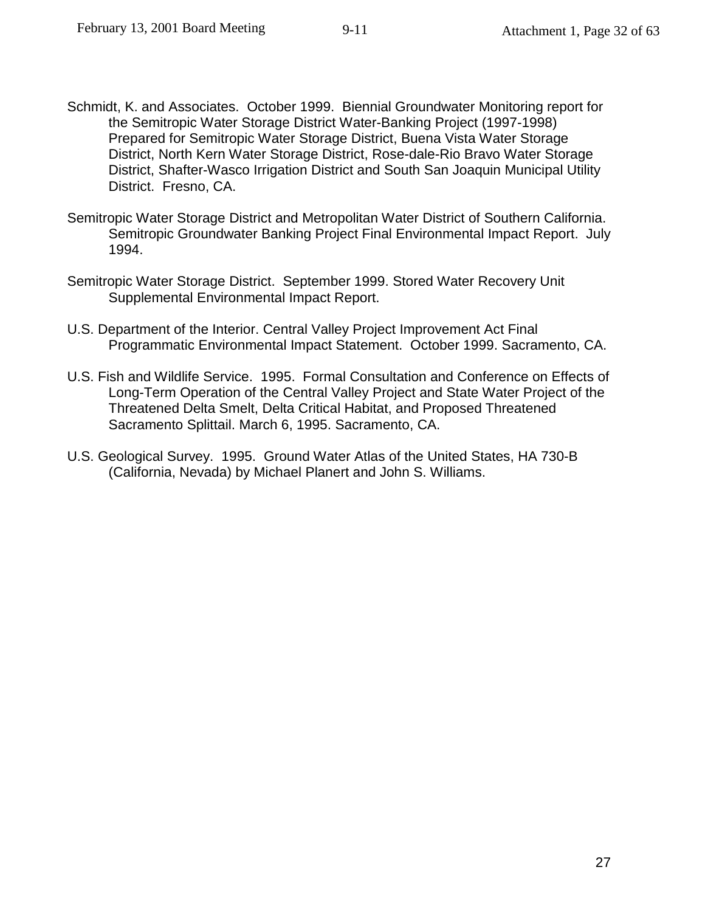- Schmidt, K. and Associates. October 1999. Biennial Groundwater Monitoring report for the Semitropic Water Storage District Water-Banking Project (1997-1998) Prepared for Semitropic Water Storage District, Buena Vista Water Storage District, North Kern Water Storage District, Rose-dale-Rio Bravo Water Storage District, Shafter-Wasco Irrigation District and South San Joaquin Municipal Utility District. Fresno, CA.
- Semitropic Water Storage District and Metropolitan Water District of Southern California. Semitropic Groundwater Banking Project Final Environmental Impact Report. July 1994.
- Semitropic Water Storage District. September 1999. Stored Water Recovery Unit Supplemental Environmental Impact Report.
- U.S. Department of the Interior. Central Valley Project Improvement Act Final Programmatic Environmental Impact Statement. October 1999. Sacramento, CA.
- U.S. Fish and Wildlife Service. 1995. Formal Consultation and Conference on Effects of Long-Term Operation of the Central Valley Project and State Water Project of the Threatened Delta Smelt, Delta Critical Habitat, and Proposed Threatened Sacramento Splittail. March 6, 1995. Sacramento, CA.
- U.S. Geological Survey. 1995. Ground Water Atlas of the United States, HA 730-B (California, Nevada) by Michael Planert and John S. Williams.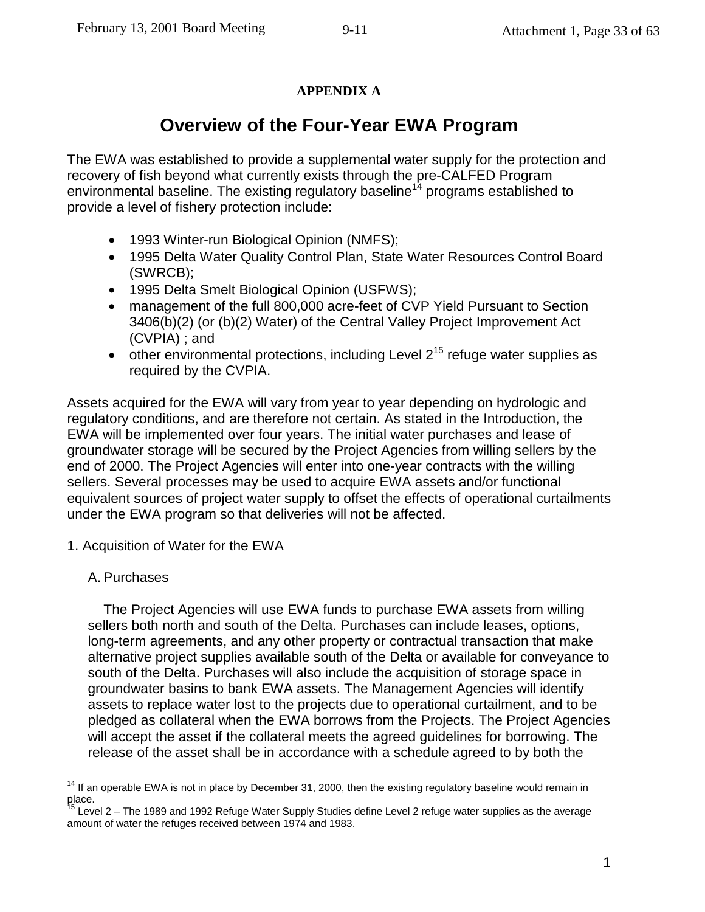# **APPENDIX A**

# **Overview of the Four-Year EWA Program**

The EWA was established to provide a supplemental water supply for the protection and recovery of fish beyond what currently exists through the pre-CALFED Program environmental baseline. The existing regulatory baseline<sup>14</sup> programs established to provide a level of fishery protection include:

- 1993 Winter-run Biological Opinion (NMFS);
- 1995 Delta Water Quality Control Plan, State Water Resources Control Board (SWRCB);
- 1995 Delta Smelt Biological Opinion (USFWS);
- management of the full 800,000 acre-feet of CVP Yield Pursuant to Section 3406(b)(2) (or (b)(2) Water) of the Central Valley Project Improvement Act (CVPIA) ; and
- other environmental protections, including Level  $2^{15}$  refuge water supplies as required by the CVPIA.

Assets acquired for the EWA will vary from year to year depending on hydrologic and regulatory conditions, and are therefore not certain. As stated in the Introduction, the EWA will be implemented over four years. The initial water purchases and lease of groundwater storage will be secured by the Project Agencies from willing sellers by the end of 2000. The Project Agencies will enter into one-year contracts with the willing sellers. Several processes may be used to acquire EWA assets and/or functional equivalent sources of project water supply to offset the effects of operational curtailments under the EWA program so that deliveries will not be affected.

- 1. Acquisition of Water for the EWA
	- A. Purchases

1

The Project Agencies will use EWA funds to purchase EWA assets from willing sellers both north and south of the Delta. Purchases can include leases, options, long-term agreements, and any other property or contractual transaction that make alternative project supplies available south of the Delta or available for conveyance to south of the Delta. Purchases will also include the acquisition of storage space in groundwater basins to bank EWA assets. The Management Agencies will identify assets to replace water lost to the projects due to operational curtailment, and to be pledged as collateral when the EWA borrows from the Projects. The Project Agencies will accept the asset if the collateral meets the agreed guidelines for borrowing. The release of the asset shall be in accordance with a schedule agreed to by both the

 $14$  If an operable EWA is not in place by December 31, 2000, then the existing regulatory baseline would remain in place.

Level 2 – The 1989 and 1992 Refuge Water Supply Studies define Level 2 refuge water supplies as the average amount of water the refuges received between 1974 and 1983.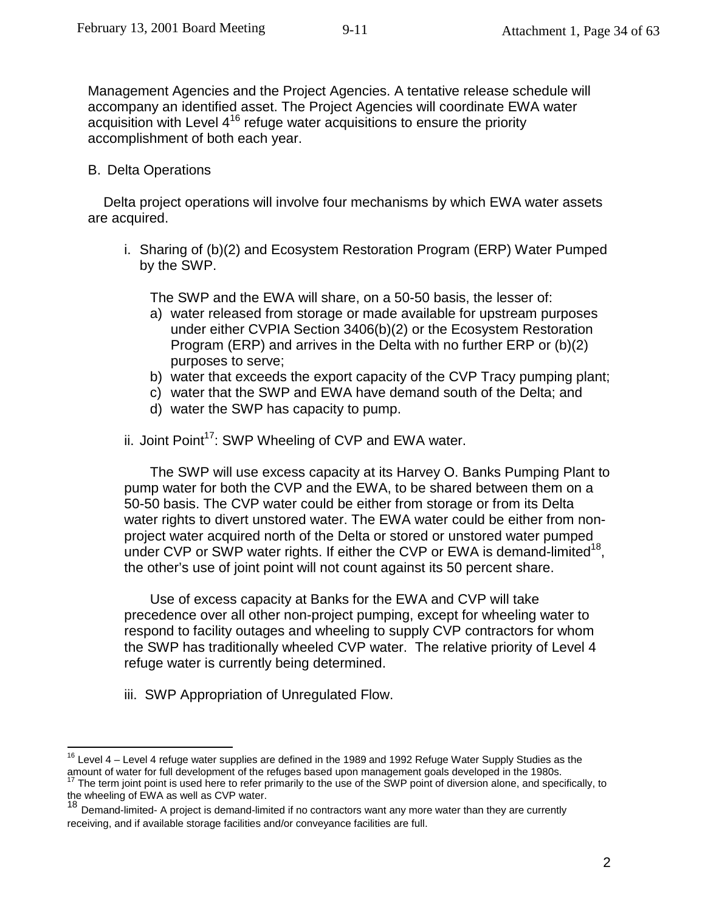Management Agencies and the Project Agencies. A tentative release schedule will accompany an identified asset. The Project Agencies will coordinate EWA water acquisition with Level  $4^{16}$  refuge water acquisitions to ensure the priority accomplishment of both each year.

#### B. Delta Operations

1

Delta project operations will involve four mechanisms by which EWA water assets are acquired.

i. Sharing of (b)(2) and Ecosystem Restoration Program (ERP) Water Pumped by the SWP.

The SWP and the EWA will share, on a 50-50 basis, the lesser of:

- a) water released from storage or made available for upstream purposes under either CVPIA Section 3406(b)(2) or the Ecosystem Restoration Program (ERP) and arrives in the Delta with no further ERP or (b)(2) purposes to serve;
- b) water that exceeds the export capacity of the CVP Tracy pumping plant;
- c) water that the SWP and EWA have demand south of the Delta; and
- d) water the SWP has capacity to pump.
- ii. Joint  $Point<sup>17</sup>$ : SWP Wheeling of CVP and EWA water.

The SWP will use excess capacity at its Harvey O. Banks Pumping Plant to pump water for both the CVP and the EWA, to be shared between them on a 50-50 basis. The CVP water could be either from storage or from its Delta water rights to divert unstored water. The EWA water could be either from nonproject water acquired north of the Delta or stored or unstored water pumped under CVP or SWP water rights. If either the CVP or EWA is demand-limited<sup>18</sup>, the other's use of joint point will not count against its 50 percent share.

Use of excess capacity at Banks for the EWA and CVP will take precedence over all other non-project pumping, except for wheeling water to respond to facility outages and wheeling to supply CVP contractors for whom the SWP has traditionally wheeled CVP water. The relative priority of Level 4 refuge water is currently being determined.

iii. SWP Appropriation of Unregulated Flow.

<sup>&</sup>lt;sup>16</sup> Level 4 – Level 4 refuge water supplies are defined in the 1989 and 1992 Refuge Water Supply Studies as the amount of water for full development of the refuges based upon management goals developed in the 1980s. The term joint point is used here to refer primarily to the use of the SWP point of diversion alone, and specifically, to the wheeling of EWA as well as CVP water.

<sup>18</sup> Demand-limited- A project is demand-limited if no contractors want any more water than they are currently receiving, and if available storage facilities and/or conveyance facilities are full.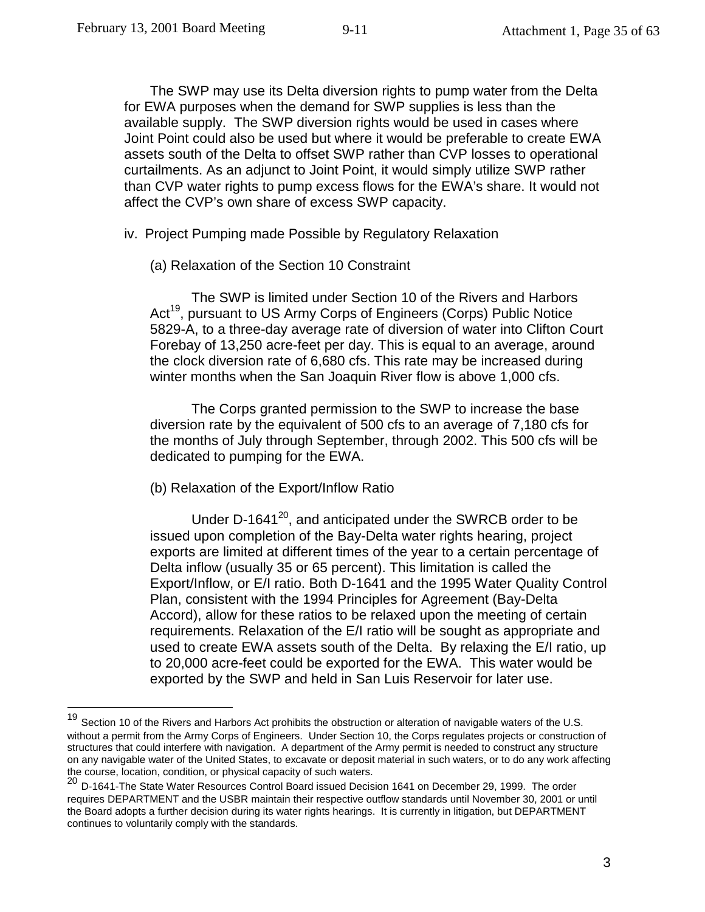1

The SWP may use its Delta diversion rights to pump water from the Delta for EWA purposes when the demand for SWP supplies is less than the available supply. The SWP diversion rights would be used in cases where Joint Point could also be used but where it would be preferable to create EWA assets south of the Delta to offset SWP rather than CVP losses to operational curtailments. As an adjunct to Joint Point, it would simply utilize SWP rather than CVP water rights to pump excess flows for the EWA's share. It would not affect the CVP's own share of excess SWP capacity.

iv. Project Pumping made Possible by Regulatory Relaxation

(a) Relaxation of the Section 10 Constraint

The SWP is limited under Section 10 of the Rivers and Harbors Act<sup>19</sup>, pursuant to US Army Corps of Engineers (Corps) Public Notice 5829-A, to a three-day average rate of diversion of water into Clifton Court Forebay of 13,250 acre-feet per day. This is equal to an average, around the clock diversion rate of 6,680 cfs. This rate may be increased during winter months when the San Joaquin River flow is above 1,000 cfs.

The Corps granted permission to the SWP to increase the base diversion rate by the equivalent of 500 cfs to an average of 7,180 cfs for the months of July through September, through 2002. This 500 cfs will be dedicated to pumping for the EWA.

(b) Relaxation of the Export/Inflow Ratio

Under D-1641 $20$ , and anticipated under the SWRCB order to be issued upon completion of the Bay-Delta water rights hearing, project exports are limited at different times of the year to a certain percentage of Delta inflow (usually 35 or 65 percent). This limitation is called the Export/Inflow, or E/I ratio. Both D-1641 and the 1995 Water Quality Control Plan, consistent with the 1994 Principles for Agreement (Bay-Delta Accord), allow for these ratios to be relaxed upon the meeting of certain requirements. Relaxation of the E/I ratio will be sought as appropriate and used to create EWA assets south of the Delta. By relaxing the E/I ratio, up to 20,000 acre-feet could be exported for the EWA. This water would be exported by the SWP and held in San Luis Reservoir for later use.

<sup>&</sup>lt;sup>19</sup> Section 10 of the Rivers and Harbors Act prohibits the obstruction or alteration of navigable waters of the U.S. without a permit from the Army Corps of Engineers. Under Section 10, the Corps regulates projects or construction of structures that could interfere with navigation. A department of the Army permit is needed to construct any structure on any navigable water of the United States, to excavate or deposit material in such waters, or to do any work affecting the course, location, condition, or physical capacity of such waters.

<sup>20</sup> D-1641-The State Water Resources Control Board issued Decision 1641 on December 29, 1999. The order requires DEPARTMENT and the USBR maintain their respective outflow standards until November 30, 2001 or until the Board adopts a further decision during its water rights hearings. It is currently in litigation, but DEPARTMENT continues to voluntarily comply with the standards.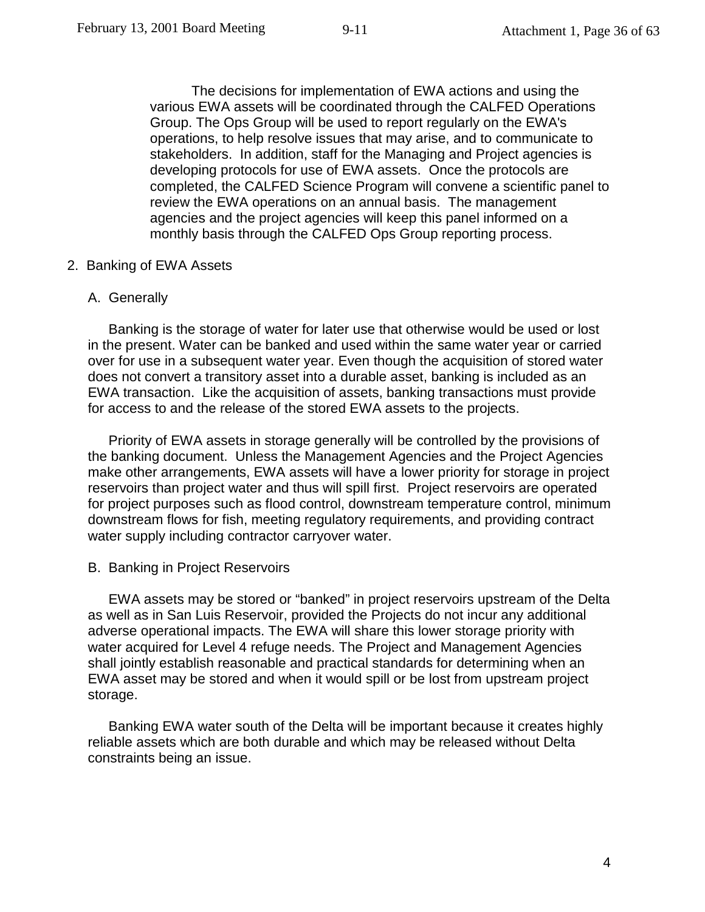The decisions for implementation of EWA actions and using the various EWA assets will be coordinated through the CALFED Operations Group. The Ops Group will be used to report regularly on the EWA's operations, to help resolve issues that may arise, and to communicate to stakeholders. In addition, staff for the Managing and Project agencies is developing protocols for use of EWA assets. Once the protocols are completed, the CALFED Science Program will convene a scientific panel to review the EWA operations on an annual basis. The management agencies and the project agencies will keep this panel informed on a monthly basis through the CALFED Ops Group reporting process.

#### 2. Banking of EWA Assets

#### A. Generally

Banking is the storage of water for later use that otherwise would be used or lost in the present. Water can be banked and used within the same water year or carried over for use in a subsequent water year. Even though the acquisition of stored water does not convert a transitory asset into a durable asset, banking is included as an EWA transaction. Like the acquisition of assets, banking transactions must provide for access to and the release of the stored EWA assets to the projects.

Priority of EWA assets in storage generally will be controlled by the provisions of the banking document. Unless the Management Agencies and the Project Agencies make other arrangements, EWA assets will have a lower priority for storage in project reservoirs than project water and thus will spill first. Project reservoirs are operated for project purposes such as flood control, downstream temperature control, minimum downstream flows for fish, meeting regulatory requirements, and providing contract water supply including contractor carryover water.

#### B. Banking in Project Reservoirs

EWA assets may be stored or "banked" in project reservoirs upstream of the Delta as well as in San Luis Reservoir, provided the Projects do not incur any additional adverse operational impacts. The EWA will share this lower storage priority with water acquired for Level 4 refuge needs. The Project and Management Agencies shall jointly establish reasonable and practical standards for determining when an EWA asset may be stored and when it would spill or be lost from upstream project storage.

Banking EWA water south of the Delta will be important because it creates highly reliable assets which are both durable and which may be released without Delta constraints being an issue.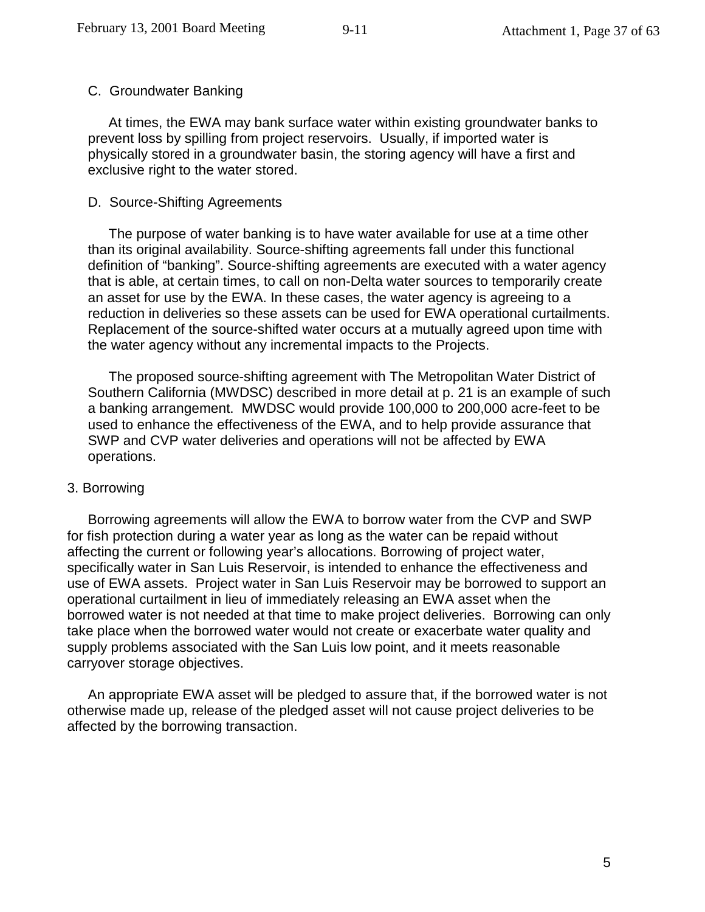#### C. Groundwater Banking

At times, the EWA may bank surface water within existing groundwater banks to prevent loss by spilling from project reservoirs. Usually, if imported water is physically stored in a groundwater basin, the storing agency will have a first and exclusive right to the water stored.

#### D. Source-Shifting Agreements

The purpose of water banking is to have water available for use at a time other than its original availability. Source-shifting agreements fall under this functional definition of "banking". Source-shifting agreements are executed with a water agency that is able, at certain times, to call on non-Delta water sources to temporarily create an asset for use by the EWA. In these cases, the water agency is agreeing to a reduction in deliveries so these assets can be used for EWA operational curtailments. Replacement of the source-shifted water occurs at a mutually agreed upon time with the water agency without any incremental impacts to the Projects.

The proposed source-shifting agreement with The Metropolitan Water District of Southern California (MWDSC) described in more detail at p. 21 is an example of such a banking arrangement. MWDSC would provide 100,000 to 200,000 acre-feet to be used to enhance the effectiveness of the EWA, and to help provide assurance that SWP and CVP water deliveries and operations will not be affected by EWA operations.

#### 3. Borrowing

Borrowing agreements will allow the EWA to borrow water from the CVP and SWP for fish protection during a water year as long as the water can be repaid without affecting the current or following year's allocations. Borrowing of project water, specifically water in San Luis Reservoir, is intended to enhance the effectiveness and use of EWA assets. Project water in San Luis Reservoir may be borrowed to support an operational curtailment in lieu of immediately releasing an EWA asset when the borrowed water is not needed at that time to make project deliveries. Borrowing can only take place when the borrowed water would not create or exacerbate water quality and supply problems associated with the San Luis low point, and it meets reasonable carryover storage objectives.

An appropriate EWA asset will be pledged to assure that, if the borrowed water is not otherwise made up, release of the pledged asset will not cause project deliveries to be affected by the borrowing transaction.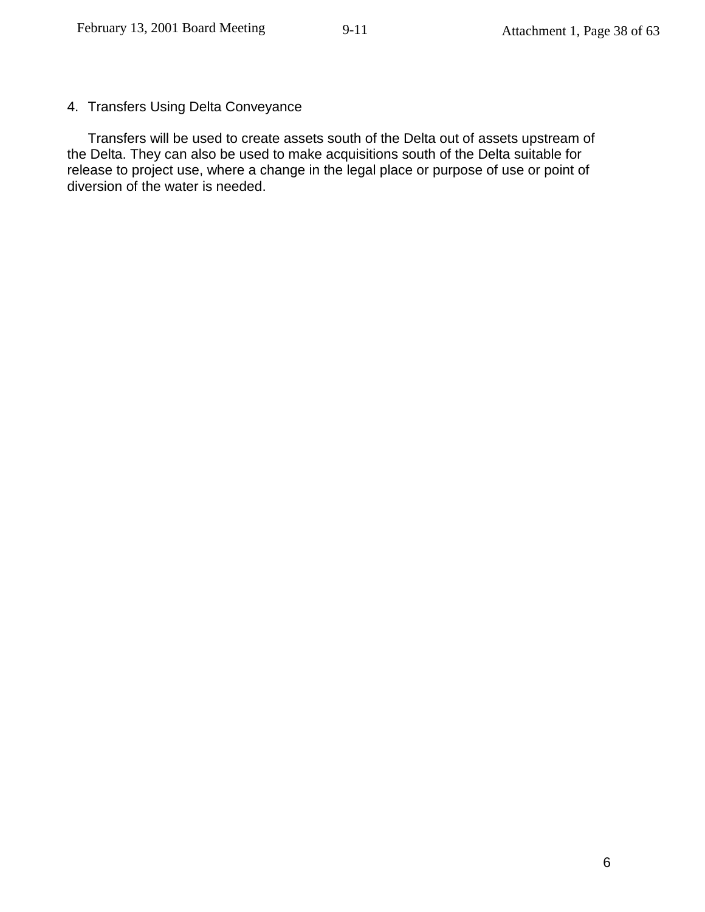4. Transfers Using Delta Conveyance

Transfers will be used to create assets south of the Delta out of assets upstream of the Delta. They can also be used to make acquisitions south of the Delta suitable for release to project use, where a change in the legal place or purpose of use or point of diversion of the water is needed.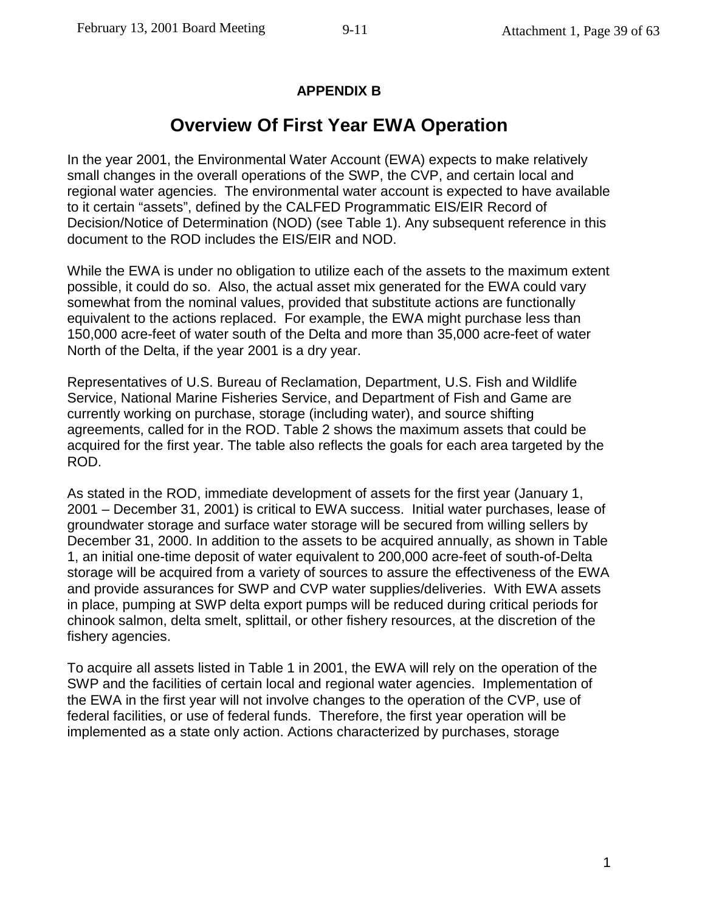# **APPENDIX B**

# **Overview Of First Year EWA Operation**

In the year 2001, the Environmental Water Account (EWA) expects to make relatively small changes in the overall operations of the SWP, the CVP, and certain local and regional water agencies. The environmental water account is expected to have available to it certain "assets", defined by the CALFED Programmatic EIS/EIR Record of Decision/Notice of Determination (NOD) (see Table 1). Any subsequent reference in this document to the ROD includes the EIS/EIR and NOD.

While the EWA is under no obligation to utilize each of the assets to the maximum extent possible, it could do so. Also, the actual asset mix generated for the EWA could vary somewhat from the nominal values, provided that substitute actions are functionally equivalent to the actions replaced. For example, the EWA might purchase less than 150,000 acre-feet of water south of the Delta and more than 35,000 acre-feet of water North of the Delta, if the year 2001 is a dry year.

Representatives of U.S. Bureau of Reclamation, Department, U.S. Fish and Wildlife Service, National Marine Fisheries Service, and Department of Fish and Game are currently working on purchase, storage (including water), and source shifting agreements, called for in the ROD. Table 2 shows the maximum assets that could be acquired for the first year. The table also reflects the goals for each area targeted by the ROD.

As stated in the ROD, immediate development of assets for the first year (January 1, 2001 – December 31, 2001) is critical to EWA success. Initial water purchases, lease of groundwater storage and surface water storage will be secured from willing sellers by December 31, 2000. In addition to the assets to be acquired annually, as shown in Table 1, an initial one-time deposit of water equivalent to 200,000 acre-feet of south-of-Delta storage will be acquired from a variety of sources to assure the effectiveness of the EWA and provide assurances for SWP and CVP water supplies/deliveries. With EWA assets in place, pumping at SWP delta export pumps will be reduced during critical periods for chinook salmon, delta smelt, splittail, or other fishery resources, at the discretion of the fishery agencies.

To acquire all assets listed in Table 1 in 2001, the EWA will rely on the operation of the SWP and the facilities of certain local and regional water agencies. Implementation of the EWA in the first year will not involve changes to the operation of the CVP, use of federal facilities, or use of federal funds. Therefore, the first year operation will be implemented as a state only action. Actions characterized by purchases, storage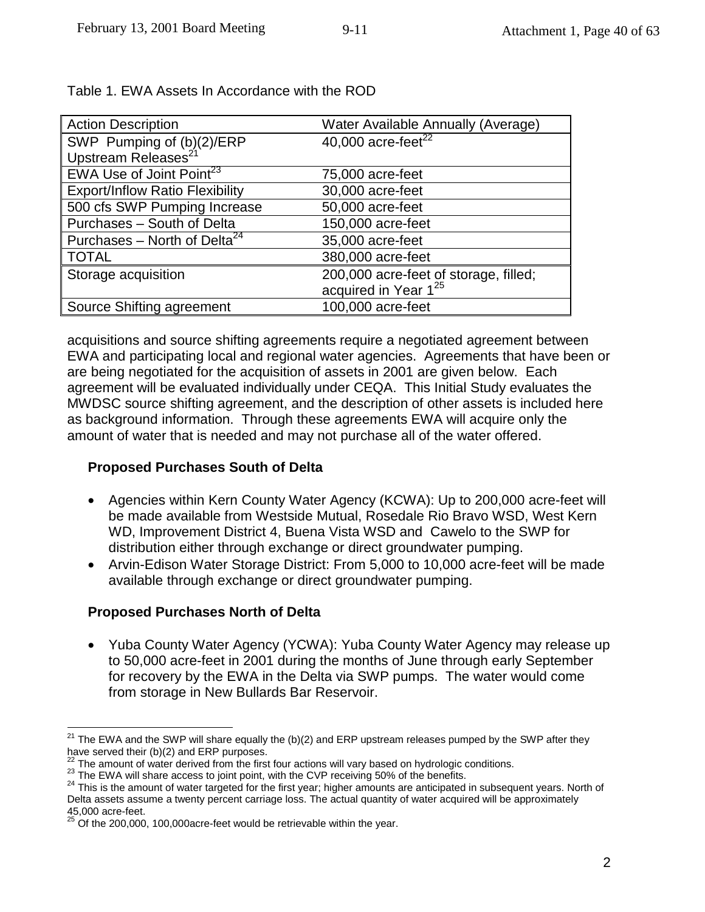| <b>Action Description</b>                | <b>Water Available Annually (Average)</b> |  |  |  |  |
|------------------------------------------|-------------------------------------------|--|--|--|--|
| SWP Pumping of (b)(2)/ERP                | $40,000$ acre-feet <sup>22</sup>          |  |  |  |  |
| Upstream Releases <sup>21</sup>          |                                           |  |  |  |  |
| EWA Use of Joint Point <sup>23</sup>     | 75,000 acre-feet                          |  |  |  |  |
| <b>Export/Inflow Ratio Flexibility</b>   | 30,000 acre-feet                          |  |  |  |  |
| 500 cfs SWP Pumping Increase             | 50,000 acre-feet                          |  |  |  |  |
| Purchases - South of Delta               | 150,000 acre-feet                         |  |  |  |  |
| Purchases – North of Delta <sup>24</sup> | 35,000 acre-feet                          |  |  |  |  |
| <b>TOTAL</b>                             | 380,000 acre-feet                         |  |  |  |  |
| Storage acquisition                      | 200,000 acre-feet of storage, filled;     |  |  |  |  |
|                                          | acquired in Year 1 <sup>25</sup>          |  |  |  |  |
| Source Shifting agreement                | 100,000 acre-feet                         |  |  |  |  |

Table 1. EWA Assets In Accordance with the ROD

acquisitions and source shifting agreements require a negotiated agreement between EWA and participating local and regional water agencies. Agreements that have been or are being negotiated for the acquisition of assets in 2001 are given below. Each agreement will be evaluated individually under CEQA. This Initial Study evaluates the MWDSC source shifting agreement, and the description of other assets is included here as background information. Through these agreements EWA will acquire only the amount of water that is needed and may not purchase all of the water offered.

# **Proposed Purchases South of Delta**

- Agencies within Kern County Water Agency (KCWA): Up to 200,000 acre-feet will be made available from Westside Mutual, Rosedale Rio Bravo WSD, West Kern WD, Improvement District 4, Buena Vista WSD and Cawelo to the SWP for distribution either through exchange or direct groundwater pumping.
- Arvin-Edison Water Storage District: From 5,000 to 10,000 acre-feet will be made available through exchange or direct groundwater pumping.

# **Proposed Purchases North of Delta**

• Yuba County Water Agency (YCWA): Yuba County Water Agency may release up to 50,000 acre-feet in 2001 during the months of June through early September for recovery by the EWA in the Delta via SWP pumps. The water would come from storage in New Bullards Bar Reservoir.

<sup>1</sup> <sup>21</sup> The EWA and the SWP will share equally the (b)(2) and ERP upstream releases pumped by the SWP after they have served their (b)(2) and ERP purposes.<br><sup>22</sup> The amount of water derived from the first four actions will vary based on hydrologic conditions.

<sup>&</sup>lt;sup>23</sup> The EWA will share access to joint point, with the CVP receiving 50% of the benefits.<br><sup>24</sup> This is the amount of water targeted for the first year; higher amounts are anticipated in subsequent years. North of Delta assets assume a twenty percent carriage loss. The actual quantity of water acquired will be approximately 45,000 acre-feet.

 $^{25}$  Of the 200,000, 100,000acre-feet would be retrievable within the year.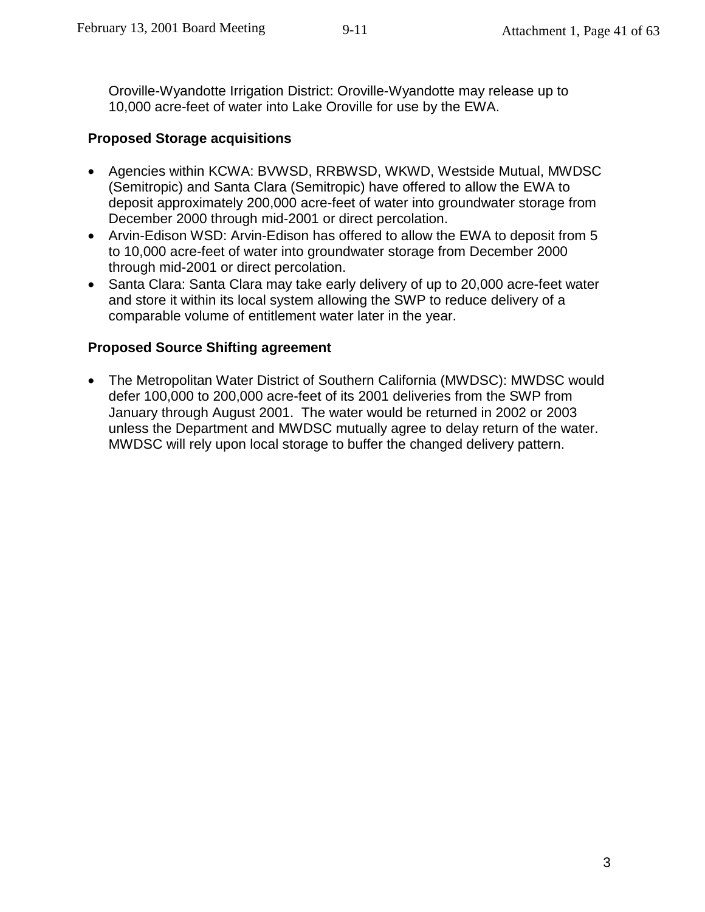Oroville-Wyandotte Irrigation District: Oroville-Wyandotte may release up to 10,000 acre-feet of water into Lake Oroville for use by the EWA.

## **Proposed Storage acquisitions**

- Agencies within KCWA: BVWSD, RRBWSD, WKWD, Westside Mutual, MWDSC (Semitropic) and Santa Clara (Semitropic) have offered to allow the EWA to deposit approximately 200,000 acre-feet of water into groundwater storage from December 2000 through mid-2001 or direct percolation.
- Arvin-Edison WSD: Arvin-Edison has offered to allow the EWA to deposit from 5 to 10,000 acre-feet of water into groundwater storage from December 2000 through mid-2001 or direct percolation.
- Santa Clara: Santa Clara may take early delivery of up to 20,000 acre-feet water and store it within its local system allowing the SWP to reduce delivery of a comparable volume of entitlement water later in the year.

### **Proposed Source Shifting agreement**

• The Metropolitan Water District of Southern California (MWDSC): MWDSC would defer 100,000 to 200,000 acre-feet of its 2001 deliveries from the SWP from January through August 2001. The water would be returned in 2002 or 2003 unless the Department and MWDSC mutually agree to delay return of the water. MWDSC will rely upon local storage to buffer the changed delivery pattern.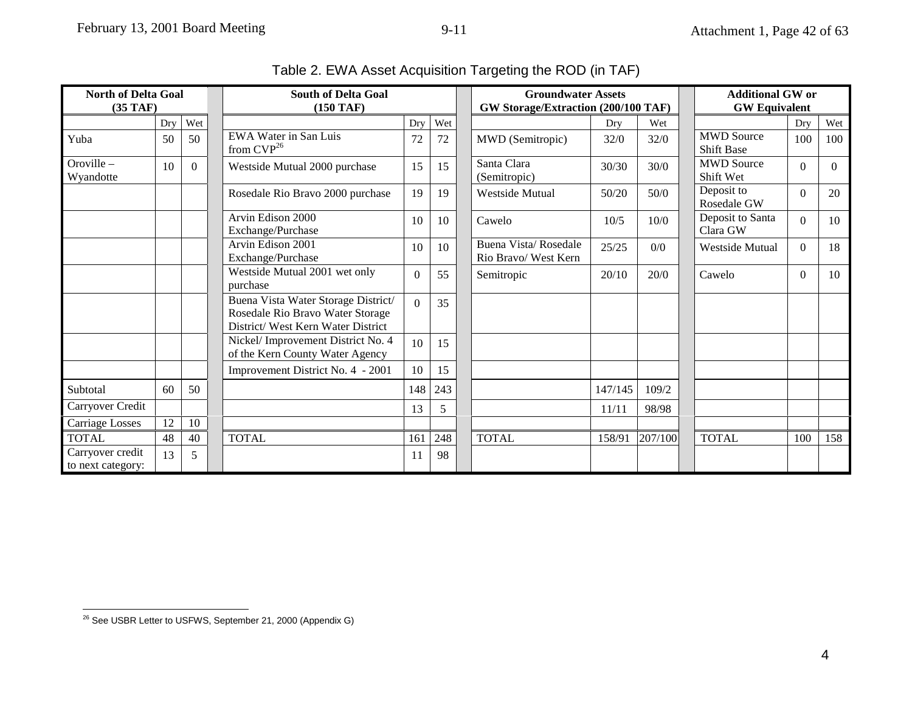| <b>North of Delta Goal</b>            |                 | <b>South of Delta Goal</b> |                                                                                                              |          | <b>Groundwater Assets</b> |                                              |         | <b>Additional GW or</b> |  |                                        |          |          |
|---------------------------------------|-----------------|----------------------------|--------------------------------------------------------------------------------------------------------------|----------|---------------------------|----------------------------------------------|---------|-------------------------|--|----------------------------------------|----------|----------|
| $(35)$ TAF)                           |                 |                            | $(150)$ TAF)                                                                                                 |          |                           | GW Storage/Extraction (200/100 TAF)          |         |                         |  | <b>GW Equivalent</b>                   |          |          |
|                                       | Dry             | Wet                        |                                                                                                              | Drv      | Wet                       |                                              | Drv     | Wet                     |  |                                        | Drv      | Wet      |
| Yuba                                  | 50              | 50                         | EWA Water in San Luis<br>from $CVP^{26}$                                                                     | 72       | 72                        | MWD (Semitropic)                             | 32/0    | 32/0                    |  | <b>MWD Source</b><br><b>Shift Base</b> | 100      | 100      |
| $Oroville -$<br>Wyandotte             | 10              | $\theta$                   | Westside Mutual 2000 purchase                                                                                | 15       | 15                        | Santa Clara<br>(Semitropic)                  | 30/30   | 30/0                    |  | <b>MWD Source</b><br>Shift Wet         | $\Omega$ | $\theta$ |
|                                       |                 |                            | Rosedale Rio Bravo 2000 purchase                                                                             | 19       | 19                        | <b>Westside Mutual</b>                       | 50/20   | 50/0                    |  | Deposit to<br>Rosedale GW              | $\Omega$ | 20       |
|                                       |                 |                            | Arvin Edison 2000<br>Exchange/Purchase                                                                       | 10       | 10                        | Cawelo                                       | 10/5    | $10/0$                  |  | Deposit to Santa<br>Clara GW           | $\Omega$ | 10       |
|                                       |                 |                            | Arvin Edison 2001<br>Exchange/Purchase                                                                       | 10       | 10                        | Buena Vista/Rosedale<br>Rio Bravo/ West Kern | 25/25   | 0/0                     |  | <b>Westside Mutual</b>                 | $\Omega$ | 18       |
|                                       |                 |                            | Westside Mutual 2001 wet only<br>purchase                                                                    | $\Omega$ | 55                        | Semitropic                                   | 20/10   | 20/0                    |  | Cawelo                                 | $\Omega$ | 10       |
|                                       |                 |                            | Buena Vista Water Storage District/<br>Rosedale Rio Bravo Water Storage<br>District/West Kern Water District | $\Omega$ | 35                        |                                              |         |                         |  |                                        |          |          |
|                                       |                 |                            | Nickel/Improvement District No. 4<br>of the Kern County Water Agency                                         | 10       | 15                        |                                              |         |                         |  |                                        |          |          |
|                                       |                 |                            | Improvement District No. 4 - 2001                                                                            | 10       | 15                        |                                              |         |                         |  |                                        |          |          |
| Subtotal                              | 60              | 50                         |                                                                                                              | 148      | 243                       |                                              | 147/145 | 109/2                   |  |                                        |          |          |
| Carryover Credit                      |                 |                            |                                                                                                              | 13       | 5                         |                                              | 11/11   | 98/98                   |  |                                        |          |          |
| Carriage Losses                       | $\overline{12}$ | 10                         |                                                                                                              |          |                           |                                              |         |                         |  |                                        |          |          |
| <b>TOTAL</b>                          | 48              | 40                         | <b>TOTAL</b>                                                                                                 | 161      | 248                       | <b>TOTAL</b>                                 | 158/91  | 207/100                 |  | <b>TOTAL</b>                           | 100      | 158      |
| Carryover credit<br>to next category: | 13              | 5                          |                                                                                                              | 11       | 98                        |                                              |         |                         |  |                                        |          |          |

# Table 2. EWA Asset Acquisition Targeting the ROD (in TAF)

9-11

<sup>&</sup>lt;sup>26</sup> See USBR Letter to USFWS, September 21, 2000 (Appendix G)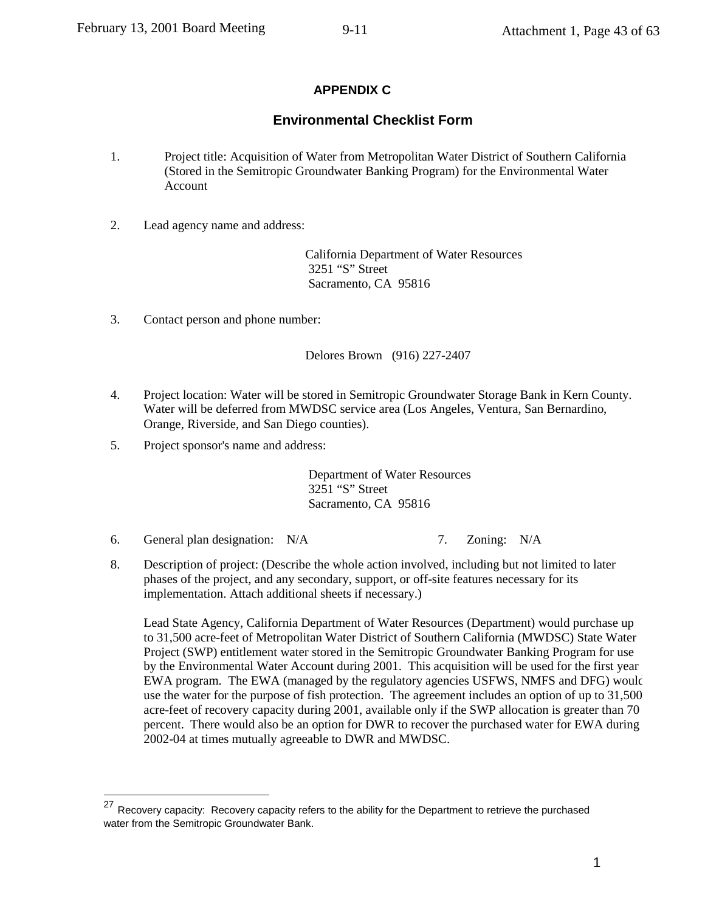#### **APPENDIX C**

#### **Environmental Checklist Form**

- 1. Project title: Acquisition of Water from Metropolitan Water District of Southern California (Stored in the Semitropic Groundwater Banking Program) for the Environmental Water Account
- 2. Lead agency name and address:

 California Department of Water Resources 3251 "S" Street Sacramento, CA 95816

3. Contact person and phone number:

Delores Brown (916) 227-2407

- 4. Project location: Water will be stored in Semitropic Groundwater Storage Bank in Kern County. Water will be deferred from MWDSC service area (Los Angeles, Ventura, San Bernardino, Orange, Riverside, and San Diego counties).
- 5. Project sponsor's name and address:

 Department of Water Resources 3251 "S" Street Sacramento, CA 95816

- 6. General plan designation: N/A 7. Zoning: N/A
- 8. Description of project: (Describe the whole action involved, including but not limited to later phases of the project, and any secondary, support, or off-site features necessary for its implementation. Attach additional sheets if necessary.)

Lead State Agency, California Department of Water Resources (Department) would purchase up to 31,500 acre-feet of Metropolitan Water District of Southern California (MWDSC) State Water Project (SWP) entitlement water stored in the Semitropic Groundwater Banking Program for use by the Environmental Water Account during 2001. This acquisition will be used for the first year EWA program. The EWA (managed by the regulatory agencies USFWS, NMFS and DFG) would use the water for the purpose of fish protection. The agreement includes an option of up to 31,500 acre-feet of recovery capacity during 2001, available only if the SWP allocation is greater than 70 percent. There would also be an option for DWR to recover the purchased water for EWA during 2002-04 at times mutually agreeable to DWR and MWDSC.

<sup>27</sup> Recovery capacity: Recovery capacity refers to the ability for the Department to retrieve the purchased water from the Semitropic Groundwater Bank.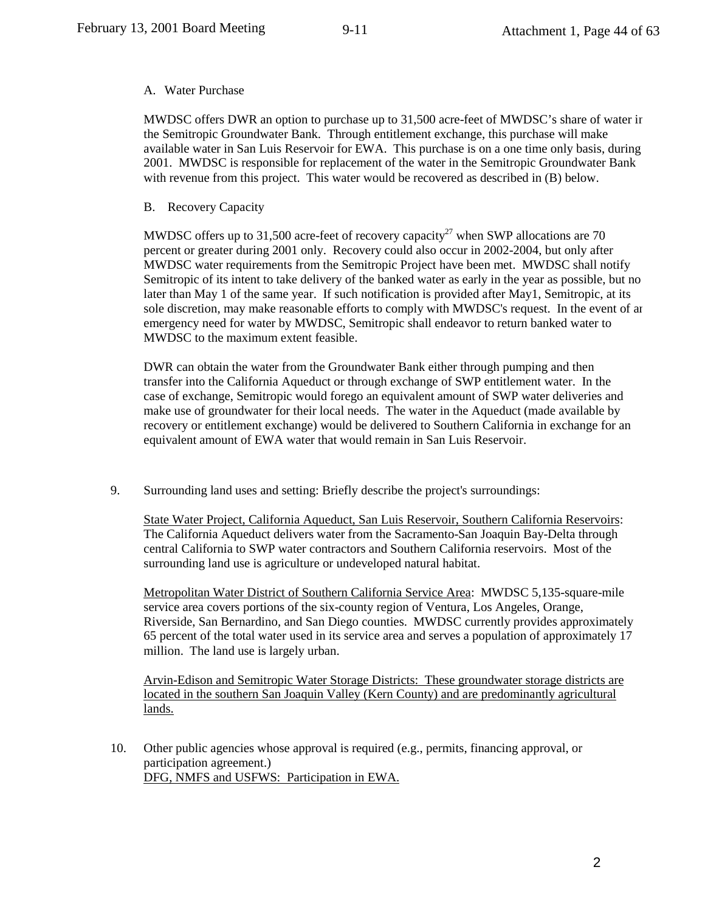#### A. Water Purchase

MWDSC offers DWR an option to purchase up to 31,500 acre-feet of MWDSC's share of water in the Semitropic Groundwater Bank. Through entitlement exchange, this purchase will make available water in San Luis Reservoir for EWA. This purchase is on a one time only basis, during 2001. MWDSC is responsible for replacement of the water in the Semitropic Groundwater Bank with revenue from this project. This water would be recovered as described in  $(B)$  below.

#### B. Recovery Capacity

MWDSC offers up to 31,500 acre-feet of recovery capacity<sup>27</sup> when SWP allocations are 70 percent or greater during 2001 only. Recovery could also occur in 2002-2004, but only after MWDSC water requirements from the Semitropic Project have been met. MWDSC shall notify Semitropic of its intent to take delivery of the banked water as early in the year as possible, but no later than May 1 of the same year. If such notification is provided after May1, Semitropic, at its sole discretion, may make reasonable efforts to comply with MWDSC's request. In the event of an emergency need for water by MWDSC, Semitropic shall endeavor to return banked water to MWDSC to the maximum extent feasible.

DWR can obtain the water from the Groundwater Bank either through pumping and then transfer into the California Aqueduct or through exchange of SWP entitlement water. In the case of exchange, Semitropic would forego an equivalent amount of SWP water deliveries and make use of groundwater for their local needs. The water in the Aqueduct (made available by recovery or entitlement exchange) would be delivered to Southern California in exchange for an equivalent amount of EWA water that would remain in San Luis Reservoir.

9. Surrounding land uses and setting: Briefly describe the project's surroundings:

State Water Project, California Aqueduct, San Luis Reservoir, Southern California Reservoirs: The California Aqueduct delivers water from the Sacramento-San Joaquin Bay-Delta through central California to SWP water contractors and Southern California reservoirs. Most of the surrounding land use is agriculture or undeveloped natural habitat.

Metropolitan Water District of Southern California Service Area: MWDSC 5,135-square-mile service area covers portions of the six-county region of Ventura, Los Angeles, Orange, Riverside, San Bernardino, and San Diego counties. MWDSC currently provides approximately 65 percent of the total water used in its service area and serves a population of approximately 17 million. The land use is largely urban.

Arvin-Edison and Semitropic Water Storage Districts: These groundwater storage districts are located in the southern San Joaquin Valley (Kern County) and are predominantly agricultural lands.

10. Other public agencies whose approval is required (e.g., permits, financing approval, or participation agreement.) DFG, NMFS and USFWS: Participation in EWA.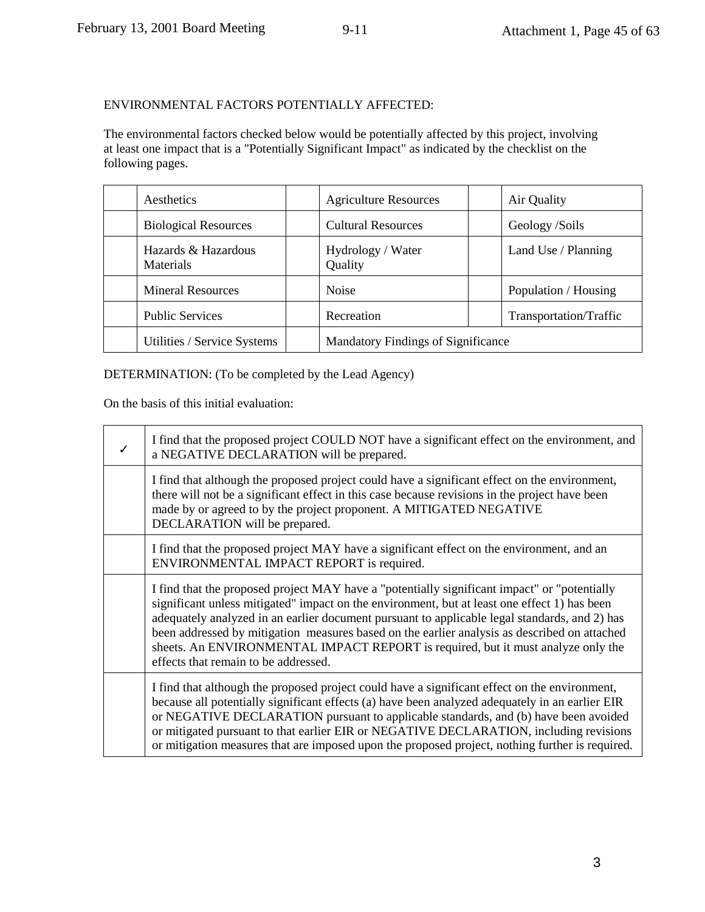#### ENVIRONMENTAL FACTORS POTENTIALLY AFFECTED:

The environmental factors checked below would be potentially affected by this project, involving at least one impact that is a "Potentially Significant Impact" as indicated by the checklist on the following pages.

| Aesthetics                              | <b>Agriculture Resources</b>              | Air Quality            |  |  |
|-----------------------------------------|-------------------------------------------|------------------------|--|--|
| <b>Biological Resources</b>             | <b>Cultural Resources</b>                 | Geology /Soils         |  |  |
| Hazards & Hazardous<br><b>Materials</b> | Hydrology / Water<br>Quality              | Land Use / Planning    |  |  |
| <b>Mineral Resources</b>                | <b>Noise</b>                              | Population / Housing   |  |  |
| <b>Public Services</b>                  | Recreation                                | Transportation/Traffic |  |  |
| Utilities / Service Systems             | <b>Mandatory Findings of Significance</b> |                        |  |  |

#### DETERMINATION: (To be completed by the Lead Agency)

On the basis of this initial evaluation:

| I find that the proposed project COULD NOT have a significant effect on the environment, and<br>a NEGATIVE DECLARATION will be prepared.                                                                                                                                                                                                                                                                                                                                                                                  |
|---------------------------------------------------------------------------------------------------------------------------------------------------------------------------------------------------------------------------------------------------------------------------------------------------------------------------------------------------------------------------------------------------------------------------------------------------------------------------------------------------------------------------|
| I find that although the proposed project could have a significant effect on the environment,<br>there will not be a significant effect in this case because revisions in the project have been<br>made by or agreed to by the project proponent. A MITIGATED NEGATIVE<br>DECLARATION will be prepared.                                                                                                                                                                                                                   |
| I find that the proposed project MAY have a significant effect on the environment, and an<br>ENVIRONMENTAL IMPACT REPORT is required.                                                                                                                                                                                                                                                                                                                                                                                     |
| I find that the proposed project MAY have a "potentially significant impact" or "potentially<br>significant unless mitigated" impact on the environment, but at least one effect 1) has been<br>adequately analyzed in an earlier document pursuant to applicable legal standards, and 2) has<br>been addressed by mitigation measures based on the earlier analysis as described on attached<br>sheets. An ENVIRONMENTAL IMPACT REPORT is required, but it must analyze only the<br>effects that remain to be addressed. |
| I find that although the proposed project could have a significant effect on the environment,<br>because all potentially significant effects (a) have been analyzed adequately in an earlier EIR<br>or NEGATIVE DECLARATION pursuant to applicable standards, and (b) have been avoided<br>or mitigated pursuant to that earlier EIR or NEGATIVE DECLARATION, including revisions<br>or mitigation measures that are imposed upon the proposed project, nothing further is required.                                      |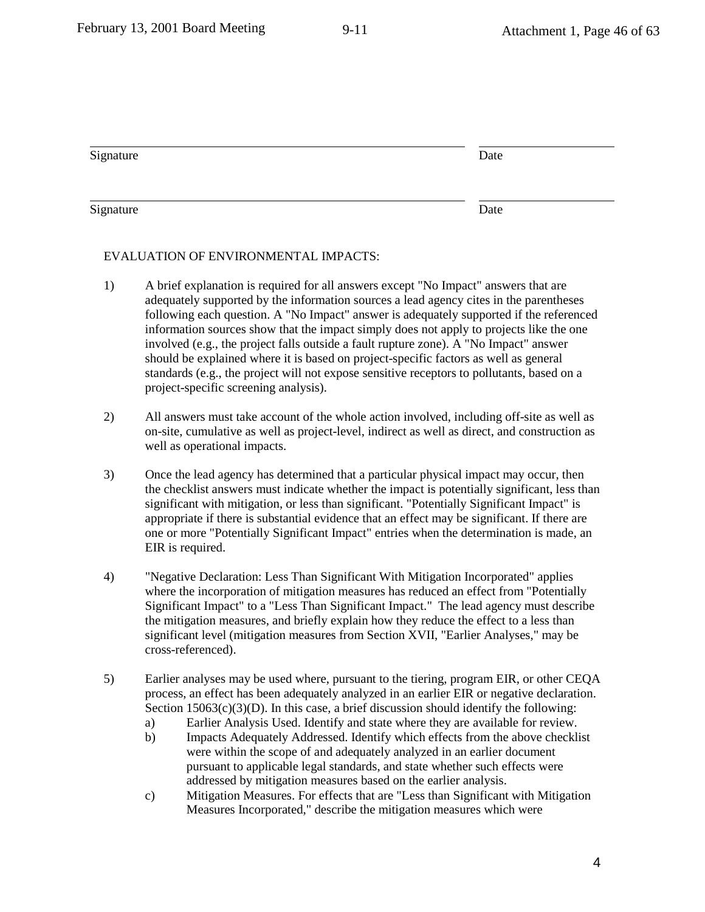| Signature | Date |
|-----------|------|
| Signature | Date |

#### EVALUATION OF ENVIRONMENTAL IMPACTS:

- 1) A brief explanation is required for all answers except "No Impact" answers that are adequately supported by the information sources a lead agency cites in the parentheses following each question. A "No Impact" answer is adequately supported if the referenced information sources show that the impact simply does not apply to projects like the one involved (e.g., the project falls outside a fault rupture zone). A "No Impact" answer should be explained where it is based on project-specific factors as well as general standards (e.g., the project will not expose sensitive receptors to pollutants, based on a project-specific screening analysis).
- 2) All answers must take account of the whole action involved, including off-site as well as on-site, cumulative as well as project-level, indirect as well as direct, and construction as well as operational impacts.
- 3) Once the lead agency has determined that a particular physical impact may occur, then the checklist answers must indicate whether the impact is potentially significant, less than significant with mitigation, or less than significant. "Potentially Significant Impact" is appropriate if there is substantial evidence that an effect may be significant. If there are one or more "Potentially Significant Impact" entries when the determination is made, an EIR is required.
- 4) "Negative Declaration: Less Than Significant With Mitigation Incorporated" applies where the incorporation of mitigation measures has reduced an effect from "Potentially Significant Impact" to a "Less Than Significant Impact." The lead agency must describe the mitigation measures, and briefly explain how they reduce the effect to a less than significant level (mitigation measures from Section XVII, "Earlier Analyses," may be cross-referenced).
- 5) Earlier analyses may be used where, pursuant to the tiering, program EIR, or other CEQA process, an effect has been adequately analyzed in an earlier EIR or negative declaration. Section  $15063(c)(3)(D)$ . In this case, a brief discussion should identify the following:
	- a) Earlier Analysis Used. Identify and state where they are available for review.
	- b) Impacts Adequately Addressed. Identify which effects from the above checklist were within the scope of and adequately analyzed in an earlier document pursuant to applicable legal standards, and state whether such effects were addressed by mitigation measures based on the earlier analysis.
	- c) Mitigation Measures. For effects that are "Less than Significant with Mitigation Measures Incorporated," describe the mitigation measures which were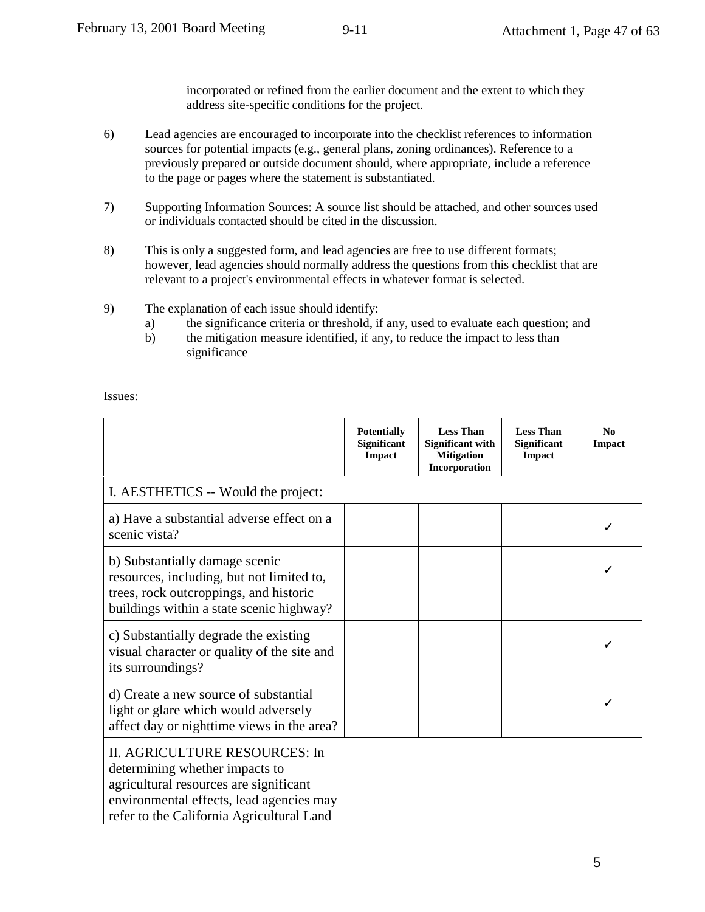incorporated or refined from the earlier document and the extent to which they address site-specific conditions for the project.

- 6) Lead agencies are encouraged to incorporate into the checklist references to information sources for potential impacts (e.g., general plans, zoning ordinances). Reference to a previously prepared or outside document should, where appropriate, include a reference to the page or pages where the statement is substantiated.
- 7) Supporting Information Sources: A source list should be attached, and other sources used or individuals contacted should be cited in the discussion.
- 8) This is only a suggested form, and lead agencies are free to use different formats; however, lead agencies should normally address the questions from this checklist that are relevant to a project's environmental effects in whatever format is selected.
- 9) The explanation of each issue should identify:
	- a) the significance criteria or threshold, if any, used to evaluate each question; and
	- b) the mitigation measure identified, if any, to reduce the impact to less than significance

Issues:

|                                                                                                                                                                                                    | <b>Potentially</b><br><b>Significant</b><br>Impact | <b>Less Than</b><br><b>Significant with</b><br><b>Mitigation</b><br>Incorporation | <b>Less Than</b><br>Significant<br><b>Impact</b> | N <sub>0</sub><br>Impact |
|----------------------------------------------------------------------------------------------------------------------------------------------------------------------------------------------------|----------------------------------------------------|-----------------------------------------------------------------------------------|--------------------------------------------------|--------------------------|
| I. AESTHETICS -- Would the project:                                                                                                                                                                |                                                    |                                                                                   |                                                  |                          |
| a) Have a substantial adverse effect on a<br>scenic vista?                                                                                                                                         |                                                    |                                                                                   |                                                  |                          |
| b) Substantially damage scenic<br>resources, including, but not limited to,<br>trees, rock outcroppings, and historic<br>buildings within a state scenic highway?                                  |                                                    |                                                                                   |                                                  |                          |
| c) Substantially degrade the existing<br>visual character or quality of the site and<br>its surroundings?                                                                                          |                                                    |                                                                                   |                                                  |                          |
| d) Create a new source of substantial<br>light or glare which would adversely<br>affect day or nighttime views in the area?                                                                        |                                                    |                                                                                   |                                                  |                          |
| II. AGRICULTURE RESOURCES: In<br>determining whether impacts to<br>agricultural resources are significant<br>environmental effects, lead agencies may<br>refer to the California Agricultural Land |                                                    |                                                                                   |                                                  |                          |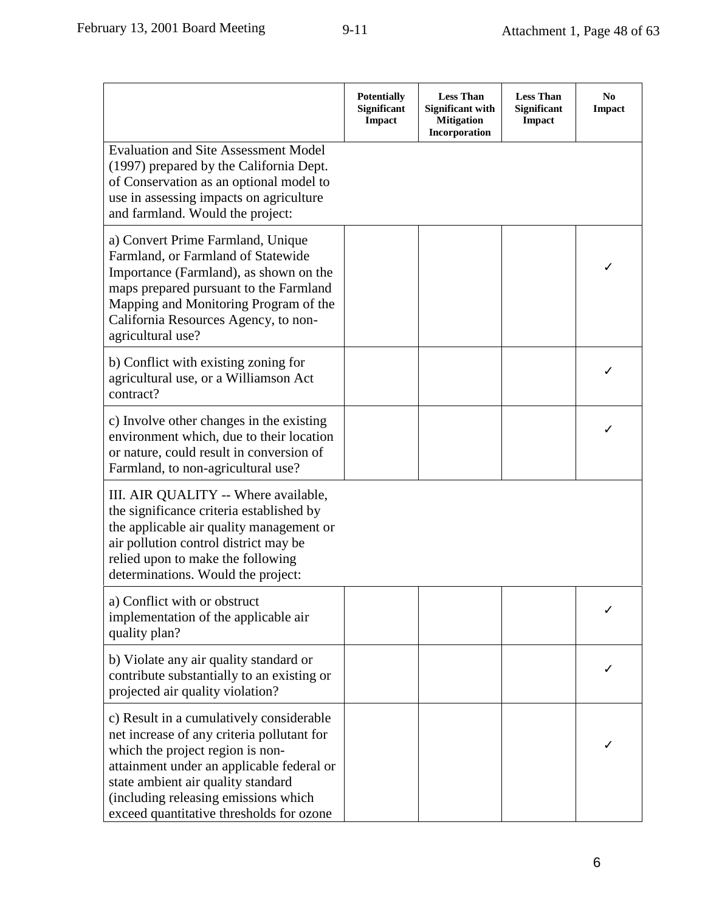|                                                                                                                                                                                                                                                                                                   | <b>Potentially</b><br>Significant<br><b>Impact</b> | <b>Less Than</b><br><b>Significant with</b><br><b>Mitigation</b><br>Incorporation | <b>Less Than</b><br>Significant<br><b>Impact</b> | N <sub>0</sub><br>Impact |
|---------------------------------------------------------------------------------------------------------------------------------------------------------------------------------------------------------------------------------------------------------------------------------------------------|----------------------------------------------------|-----------------------------------------------------------------------------------|--------------------------------------------------|--------------------------|
| <b>Evaluation and Site Assessment Model</b><br>(1997) prepared by the California Dept.<br>of Conservation as an optional model to<br>use in assessing impacts on agriculture<br>and farmland. Would the project:                                                                                  |                                                    |                                                                                   |                                                  |                          |
| a) Convert Prime Farmland, Unique<br>Farmland, or Farmland of Statewide<br>Importance (Farmland), as shown on the<br>maps prepared pursuant to the Farmland<br>Mapping and Monitoring Program of the<br>California Resources Agency, to non-<br>agricultural use?                                 |                                                    |                                                                                   |                                                  |                          |
| b) Conflict with existing zoning for<br>agricultural use, or a Williamson Act<br>contract?                                                                                                                                                                                                        |                                                    |                                                                                   |                                                  |                          |
| c) Involve other changes in the existing<br>environment which, due to their location<br>or nature, could result in conversion of<br>Farmland, to non-agricultural use?                                                                                                                            |                                                    |                                                                                   |                                                  |                          |
| III. AIR QUALITY -- Where available,<br>the significance criteria established by<br>the applicable air quality management or<br>air pollution control district may be<br>relied upon to make the following<br>determinations. Would the project:                                                  |                                                    |                                                                                   |                                                  |                          |
| a) Conflict with or obstruct<br>implementation of the applicable air<br>quality plan?                                                                                                                                                                                                             |                                                    |                                                                                   |                                                  |                          |
| b) Violate any air quality standard or<br>contribute substantially to an existing or<br>projected air quality violation?                                                                                                                                                                          |                                                    |                                                                                   |                                                  |                          |
| c) Result in a cumulatively considerable<br>net increase of any criteria pollutant for<br>which the project region is non-<br>attainment under an applicable federal or<br>state ambient air quality standard<br>(including releasing emissions which<br>exceed quantitative thresholds for ozone |                                                    |                                                                                   |                                                  |                          |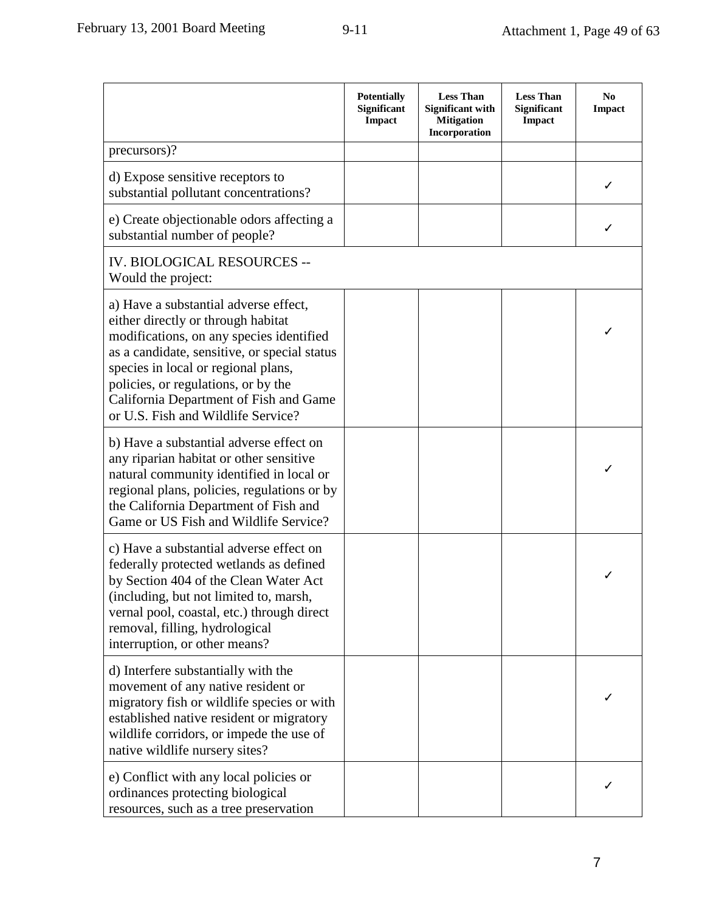|                                                                                                                                                                                                                                                                                                                                       | <b>Potentially</b><br>Significant<br>Impact | <b>Less Than</b><br><b>Significant with</b><br><b>Mitigation</b><br>Incorporation | <b>Less Than</b><br>Significant<br><b>Impact</b> | N <sub>0</sub><br>Impact |
|---------------------------------------------------------------------------------------------------------------------------------------------------------------------------------------------------------------------------------------------------------------------------------------------------------------------------------------|---------------------------------------------|-----------------------------------------------------------------------------------|--------------------------------------------------|--------------------------|
| precursors)?                                                                                                                                                                                                                                                                                                                          |                                             |                                                                                   |                                                  |                          |
| d) Expose sensitive receptors to<br>substantial pollutant concentrations?                                                                                                                                                                                                                                                             |                                             |                                                                                   |                                                  |                          |
| e) Create objectionable odors affecting a<br>substantial number of people?                                                                                                                                                                                                                                                            |                                             |                                                                                   |                                                  |                          |
| IV. BIOLOGICAL RESOURCES --<br>Would the project:                                                                                                                                                                                                                                                                                     |                                             |                                                                                   |                                                  |                          |
| a) Have a substantial adverse effect,<br>either directly or through habitat<br>modifications, on any species identified<br>as a candidate, sensitive, or special status<br>species in local or regional plans,<br>policies, or regulations, or by the<br>California Department of Fish and Game<br>or U.S. Fish and Wildlife Service? |                                             |                                                                                   |                                                  |                          |
| b) Have a substantial adverse effect on<br>any riparian habitat or other sensitive<br>natural community identified in local or<br>regional plans, policies, regulations or by<br>the California Department of Fish and<br>Game or US Fish and Wildlife Service?                                                                       |                                             |                                                                                   |                                                  |                          |
| c) Have a substantial adverse effect on<br>federally protected wetlands as defined<br>by Section 404 of the Clean Water Act<br>(including, but not limited to, marsh,<br>vernal pool, coastal, etc.) through direct<br>removal, filling, hydrological<br>interruption, or other means?                                                |                                             |                                                                                   |                                                  |                          |
| d) Interfere substantially with the<br>movement of any native resident or<br>migratory fish or wildlife species or with<br>established native resident or migratory<br>wildlife corridors, or impede the use of<br>native wildlife nursery sites?                                                                                     |                                             |                                                                                   |                                                  |                          |
| e) Conflict with any local policies or<br>ordinances protecting biological<br>resources, such as a tree preservation                                                                                                                                                                                                                  |                                             |                                                                                   |                                                  |                          |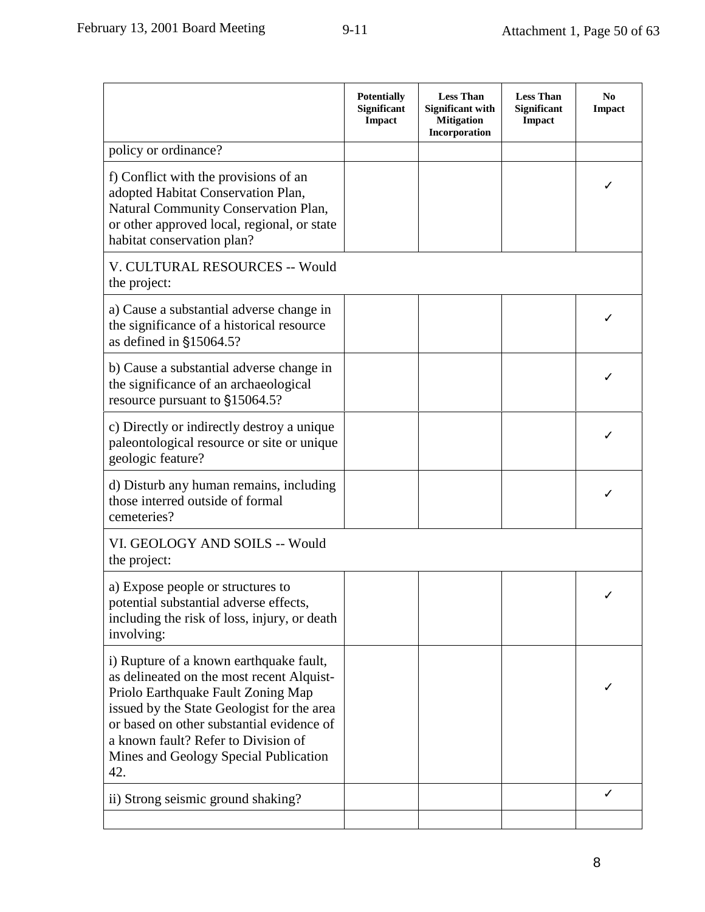|                                                                                                                                                                                                                                                                                                              | <b>Potentially</b><br>Significant<br>Impact | <b>Less Than</b><br><b>Significant with</b><br><b>Mitigation</b><br>Incorporation | <b>Less Than</b><br>Significant<br>Impact | N <sub>0</sub><br><b>Impact</b> |
|--------------------------------------------------------------------------------------------------------------------------------------------------------------------------------------------------------------------------------------------------------------------------------------------------------------|---------------------------------------------|-----------------------------------------------------------------------------------|-------------------------------------------|---------------------------------|
| policy or ordinance?                                                                                                                                                                                                                                                                                         |                                             |                                                                                   |                                           |                                 |
| f) Conflict with the provisions of an<br>adopted Habitat Conservation Plan,<br>Natural Community Conservation Plan,<br>or other approved local, regional, or state<br>habitat conservation plan?                                                                                                             |                                             |                                                                                   |                                           |                                 |
| V. CULTURAL RESOURCES -- Would<br>the project:                                                                                                                                                                                                                                                               |                                             |                                                                                   |                                           |                                 |
| a) Cause a substantial adverse change in<br>the significance of a historical resource<br>as defined in §15064.5?                                                                                                                                                                                             |                                             |                                                                                   |                                           |                                 |
| b) Cause a substantial adverse change in<br>the significance of an archaeological<br>resource pursuant to §15064.5?                                                                                                                                                                                          |                                             |                                                                                   |                                           |                                 |
| c) Directly or indirectly destroy a unique<br>paleontological resource or site or unique<br>geologic feature?                                                                                                                                                                                                |                                             |                                                                                   |                                           |                                 |
| d) Disturb any human remains, including<br>those interred outside of formal<br>cemeteries?                                                                                                                                                                                                                   |                                             |                                                                                   |                                           |                                 |
| VI. GEOLOGY AND SOILS -- Would<br>the project:                                                                                                                                                                                                                                                               |                                             |                                                                                   |                                           |                                 |
| a) Expose people or structures to<br>potential substantial adverse effects,<br>including the risk of loss, injury, or death<br>involving:                                                                                                                                                                    |                                             |                                                                                   |                                           | ∕                               |
| i) Rupture of a known earthquake fault,<br>as delineated on the most recent Alquist-<br>Priolo Earthquake Fault Zoning Map<br>issued by the State Geologist for the area<br>or based on other substantial evidence of<br>a known fault? Refer to Division of<br>Mines and Geology Special Publication<br>42. |                                             |                                                                                   |                                           |                                 |
| ii) Strong seismic ground shaking?                                                                                                                                                                                                                                                                           |                                             |                                                                                   |                                           | J                               |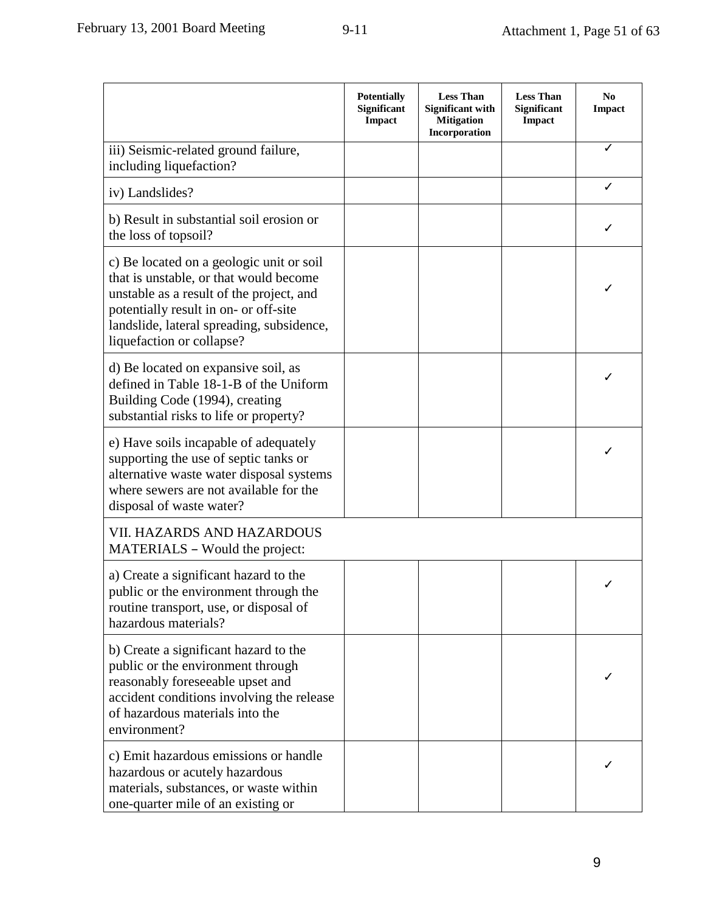|                                                                                                                                                                                                                                                   | <b>Potentially</b><br>Significant<br>Impact | <b>Less Than</b><br><b>Significant with</b><br><b>Mitigation</b><br>Incorporation | <b>Less Than</b><br>Significant<br><b>Impact</b> | N <sub>0</sub><br>Impact |
|---------------------------------------------------------------------------------------------------------------------------------------------------------------------------------------------------------------------------------------------------|---------------------------------------------|-----------------------------------------------------------------------------------|--------------------------------------------------|--------------------------|
| iii) Seismic-related ground failure,<br>including liquefaction?                                                                                                                                                                                   |                                             |                                                                                   |                                                  |                          |
| iv) Landslides?                                                                                                                                                                                                                                   |                                             |                                                                                   |                                                  | ✓                        |
| b) Result in substantial soil erosion or<br>the loss of topsoil?                                                                                                                                                                                  |                                             |                                                                                   |                                                  |                          |
| c) Be located on a geologic unit or soil<br>that is unstable, or that would become<br>unstable as a result of the project, and<br>potentially result in on- or off-site<br>landslide, lateral spreading, subsidence,<br>liquefaction or collapse? |                                             |                                                                                   |                                                  |                          |
| d) Be located on expansive soil, as<br>defined in Table 18-1-B of the Uniform<br>Building Code (1994), creating<br>substantial risks to life or property?                                                                                         |                                             |                                                                                   |                                                  |                          |
| e) Have soils incapable of adequately<br>supporting the use of septic tanks or<br>alternative waste water disposal systems<br>where sewers are not available for the<br>disposal of waste water?                                                  |                                             |                                                                                   |                                                  |                          |
| <b>VII. HAZARDS AND HAZARDOUS</b><br>MATERIALS – Would the project:                                                                                                                                                                               |                                             |                                                                                   |                                                  |                          |
| a) Create a significant hazard to the<br>public or the environment through the<br>routine transport, use, or disposal of<br>hazardous materials?                                                                                                  |                                             |                                                                                   |                                                  |                          |
| b) Create a significant hazard to the<br>public or the environment through<br>reasonably foreseeable upset and<br>accident conditions involving the release<br>of hazardous materials into the<br>environment?                                    |                                             |                                                                                   |                                                  |                          |
| c) Emit hazardous emissions or handle<br>hazardous or acutely hazardous<br>materials, substances, or waste within<br>one-quarter mile of an existing or                                                                                           |                                             |                                                                                   |                                                  |                          |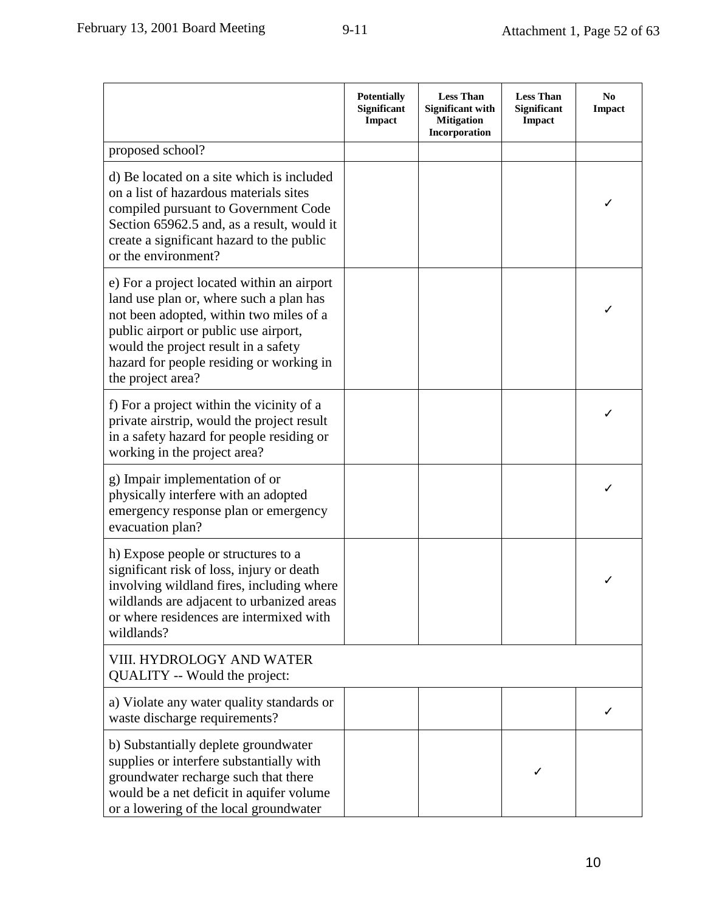|                                                                                                                                                                                                                                                                                    | <b>Potentially</b><br>Significant<br>Impact | <b>Less Than</b><br><b>Significant with</b><br><b>Mitigation</b><br>Incorporation | <b>Less Than</b><br>Significant<br>Impact | N <sub>0</sub><br><b>Impact</b> |
|------------------------------------------------------------------------------------------------------------------------------------------------------------------------------------------------------------------------------------------------------------------------------------|---------------------------------------------|-----------------------------------------------------------------------------------|-------------------------------------------|---------------------------------|
| proposed school?                                                                                                                                                                                                                                                                   |                                             |                                                                                   |                                           |                                 |
| d) Be located on a site which is included<br>on a list of hazardous materials sites<br>compiled pursuant to Government Code<br>Section 65962.5 and, as a result, would it<br>create a significant hazard to the public<br>or the environment?                                      |                                             |                                                                                   |                                           |                                 |
| e) For a project located within an airport<br>land use plan or, where such a plan has<br>not been adopted, within two miles of a<br>public airport or public use airport,<br>would the project result in a safety<br>hazard for people residing or working in<br>the project area? |                                             |                                                                                   |                                           |                                 |
| f) For a project within the vicinity of a<br>private airstrip, would the project result<br>in a safety hazard for people residing or<br>working in the project area?                                                                                                               |                                             |                                                                                   |                                           |                                 |
| g) Impair implementation of or<br>physically interfere with an adopted<br>emergency response plan or emergency<br>evacuation plan?                                                                                                                                                 |                                             |                                                                                   |                                           |                                 |
| h) Expose people or structures to a<br>significant risk of loss, injury or death<br>involving wildland fires, including where<br>wildlands are adjacent to urbanized areas<br>or where residences are intermixed with<br>wildlands?                                                |                                             |                                                                                   |                                           |                                 |
| VIII. HYDROLOGY AND WATER<br>QUALITY -- Would the project:                                                                                                                                                                                                                         |                                             |                                                                                   |                                           |                                 |
| a) Violate any water quality standards or<br>waste discharge requirements?                                                                                                                                                                                                         |                                             |                                                                                   |                                           |                                 |
| b) Substantially deplete groundwater<br>supplies or interfere substantially with<br>groundwater recharge such that there<br>would be a net deficit in aquifer volume<br>or a lowering of the local groundwater                                                                     |                                             |                                                                                   |                                           |                                 |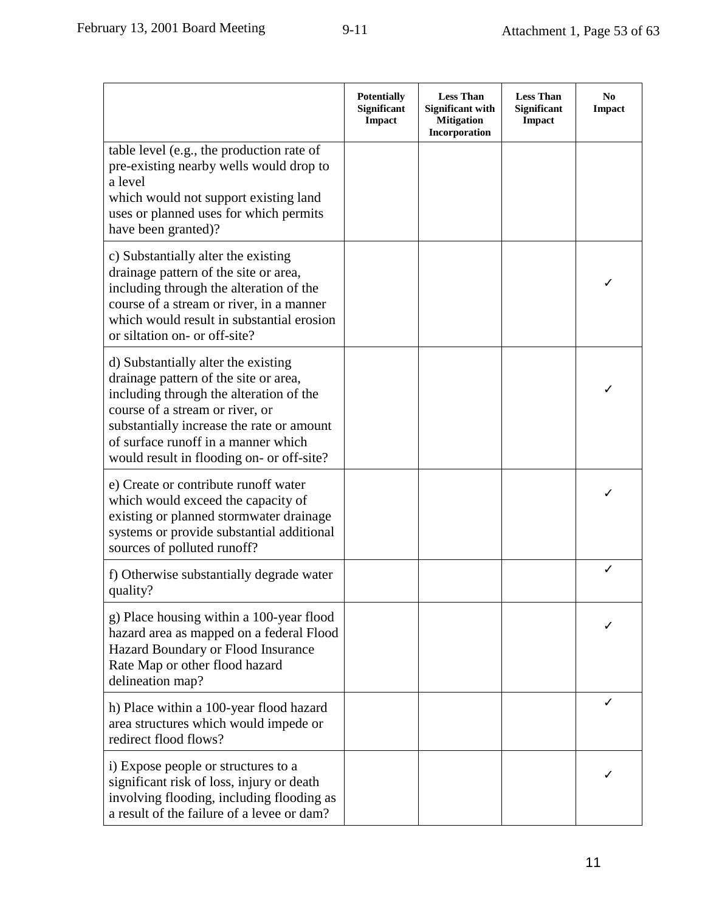|                                                                                                                                                                                                                                                                                             | <b>Potentially</b><br>Significant<br>Impact | <b>Less Than</b><br><b>Significant with</b><br><b>Mitigation</b><br>Incorporation | <b>Less Than</b><br>Significant<br><b>Impact</b> | N <sub>0</sub><br>Impact |
|---------------------------------------------------------------------------------------------------------------------------------------------------------------------------------------------------------------------------------------------------------------------------------------------|---------------------------------------------|-----------------------------------------------------------------------------------|--------------------------------------------------|--------------------------|
| table level (e.g., the production rate of<br>pre-existing nearby wells would drop to<br>a level<br>which would not support existing land<br>uses or planned uses for which permits<br>have been granted)?                                                                                   |                                             |                                                                                   |                                                  |                          |
| c) Substantially alter the existing<br>drainage pattern of the site or area,<br>including through the alteration of the<br>course of a stream or river, in a manner<br>which would result in substantial erosion<br>or siltation on- or off-site?                                           |                                             |                                                                                   |                                                  |                          |
| d) Substantially alter the existing<br>drainage pattern of the site or area,<br>including through the alteration of the<br>course of a stream or river, or<br>substantially increase the rate or amount<br>of surface runoff in a manner which<br>would result in flooding on- or off-site? |                                             |                                                                                   |                                                  |                          |
| e) Create or contribute runoff water<br>which would exceed the capacity of<br>existing or planned stormwater drainage<br>systems or provide substantial additional<br>sources of polluted runoff?                                                                                           |                                             |                                                                                   |                                                  |                          |
| f) Otherwise substantially degrade water<br>quality?                                                                                                                                                                                                                                        |                                             |                                                                                   |                                                  |                          |
| g) Place housing within a 100-year flood<br>hazard area as mapped on a federal Flood<br>Hazard Boundary or Flood Insurance<br>Rate Map or other flood hazard<br>delineation map?                                                                                                            |                                             |                                                                                   |                                                  |                          |
| h) Place within a 100-year flood hazard<br>area structures which would impede or<br>redirect flood flows?                                                                                                                                                                                   |                                             |                                                                                   |                                                  |                          |
| i) Expose people or structures to a<br>significant risk of loss, injury or death<br>involving flooding, including flooding as<br>a result of the failure of a levee or dam?                                                                                                                 |                                             |                                                                                   |                                                  |                          |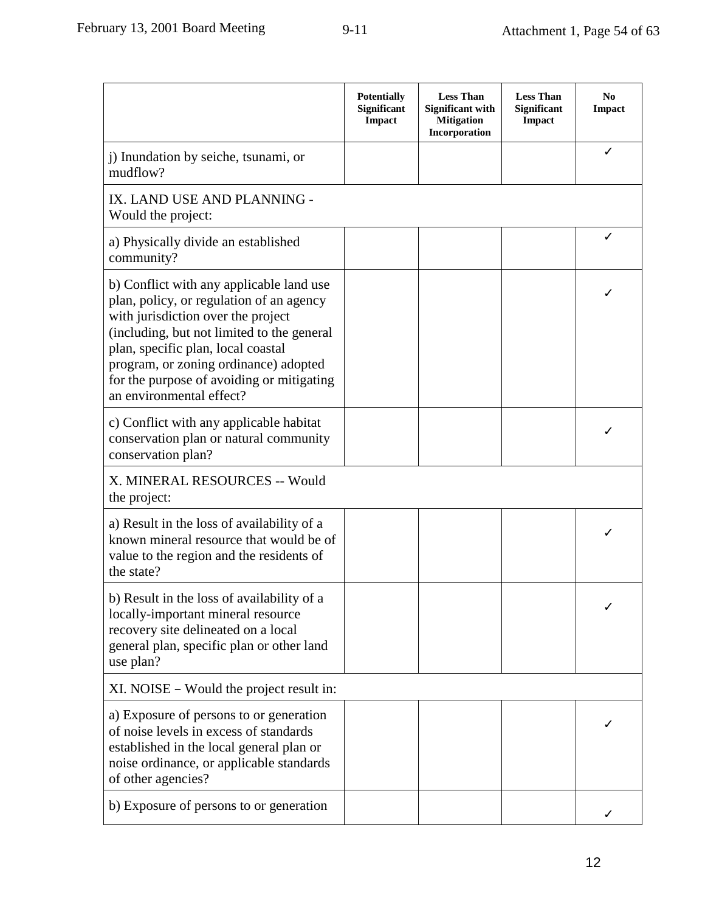|                                                                                                                                                                                                                                                                                                                                  | <b>Potentially</b><br>Significant<br>Impact | <b>Less Than</b><br><b>Significant with</b><br><b>Mitigation</b><br>Incorporation | <b>Less Than</b><br>Significant<br>Impact | N <sub>0</sub><br>Impact |
|----------------------------------------------------------------------------------------------------------------------------------------------------------------------------------------------------------------------------------------------------------------------------------------------------------------------------------|---------------------------------------------|-----------------------------------------------------------------------------------|-------------------------------------------|--------------------------|
| j) Inundation by seiche, tsunami, or<br>mudflow?                                                                                                                                                                                                                                                                                 |                                             |                                                                                   |                                           | ✓                        |
| IX. LAND USE AND PLANNING -<br>Would the project:                                                                                                                                                                                                                                                                                |                                             |                                                                                   |                                           |                          |
| a) Physically divide an established<br>community?                                                                                                                                                                                                                                                                                |                                             |                                                                                   |                                           |                          |
| b) Conflict with any applicable land use<br>plan, policy, or regulation of an agency<br>with jurisdiction over the project<br>(including, but not limited to the general<br>plan, specific plan, local coastal<br>program, or zoning ordinance) adopted<br>for the purpose of avoiding or mitigating<br>an environmental effect? |                                             |                                                                                   |                                           |                          |
| c) Conflict with any applicable habitat<br>conservation plan or natural community<br>conservation plan?                                                                                                                                                                                                                          |                                             |                                                                                   |                                           |                          |
| X. MINERAL RESOURCES -- Would<br>the project:                                                                                                                                                                                                                                                                                    |                                             |                                                                                   |                                           |                          |
| a) Result in the loss of availability of a<br>known mineral resource that would be of<br>value to the region and the residents of<br>the state?                                                                                                                                                                                  |                                             |                                                                                   |                                           |                          |
| b) Result in the loss of availability of a<br>locally-important mineral resource<br>recovery site delineated on a local<br>general plan, specific plan or other land<br>use plan?                                                                                                                                                |                                             |                                                                                   |                                           |                          |
| XI. NOISE – Would the project result in:                                                                                                                                                                                                                                                                                         |                                             |                                                                                   |                                           |                          |
| a) Exposure of persons to or generation<br>of noise levels in excess of standards<br>established in the local general plan or<br>noise ordinance, or applicable standards<br>of other agencies?                                                                                                                                  |                                             |                                                                                   |                                           |                          |
| b) Exposure of persons to or generation                                                                                                                                                                                                                                                                                          |                                             |                                                                                   |                                           |                          |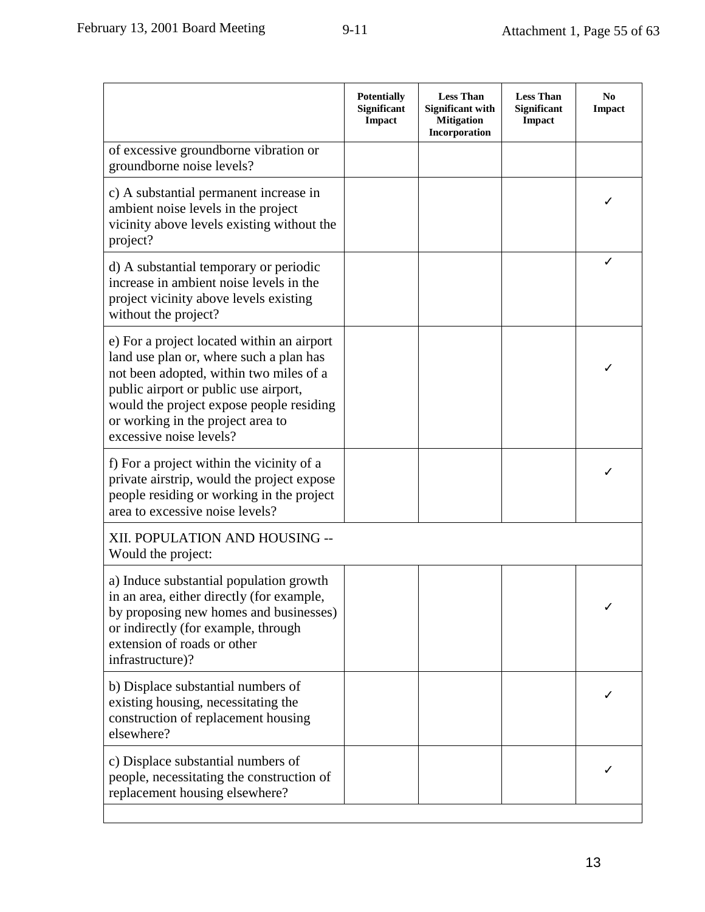|                                                                                                                                                                                                                                                                                       | <b>Potentially</b><br>Significant<br>Impact | <b>Less Than</b><br><b>Significant with</b><br><b>Mitigation</b><br>Incorporation | <b>Less Than</b><br>Significant<br><b>Impact</b> | N <sub>0</sub><br><b>Impact</b> |
|---------------------------------------------------------------------------------------------------------------------------------------------------------------------------------------------------------------------------------------------------------------------------------------|---------------------------------------------|-----------------------------------------------------------------------------------|--------------------------------------------------|---------------------------------|
| of excessive groundborne vibration or<br>groundborne noise levels?                                                                                                                                                                                                                    |                                             |                                                                                   |                                                  |                                 |
| c) A substantial permanent increase in<br>ambient noise levels in the project<br>vicinity above levels existing without the<br>project?                                                                                                                                               |                                             |                                                                                   |                                                  |                                 |
| d) A substantial temporary or periodic<br>increase in ambient noise levels in the<br>project vicinity above levels existing<br>without the project?                                                                                                                                   |                                             |                                                                                   |                                                  | ✓                               |
| e) For a project located within an airport<br>land use plan or, where such a plan has<br>not been adopted, within two miles of a<br>public airport or public use airport,<br>would the project expose people residing<br>or working in the project area to<br>excessive noise levels? |                                             |                                                                                   |                                                  |                                 |
| f) For a project within the vicinity of a<br>private airstrip, would the project expose<br>people residing or working in the project<br>area to excessive noise levels?                                                                                                               |                                             |                                                                                   |                                                  |                                 |
| XII. POPULATION AND HOUSING --<br>Would the project:                                                                                                                                                                                                                                  |                                             |                                                                                   |                                                  |                                 |
| a) Induce substantial population growth<br>in an area, either directly (for example,<br>by proposing new homes and businesses)<br>or indirectly (for example, through<br>extension of roads or other<br>infrastructure)?                                                              |                                             |                                                                                   |                                                  |                                 |
| b) Displace substantial numbers of<br>existing housing, necessitating the<br>construction of replacement housing<br>elsewhere?                                                                                                                                                        |                                             |                                                                                   |                                                  |                                 |
| c) Displace substantial numbers of<br>people, necessitating the construction of<br>replacement housing elsewhere?                                                                                                                                                                     |                                             |                                                                                   |                                                  |                                 |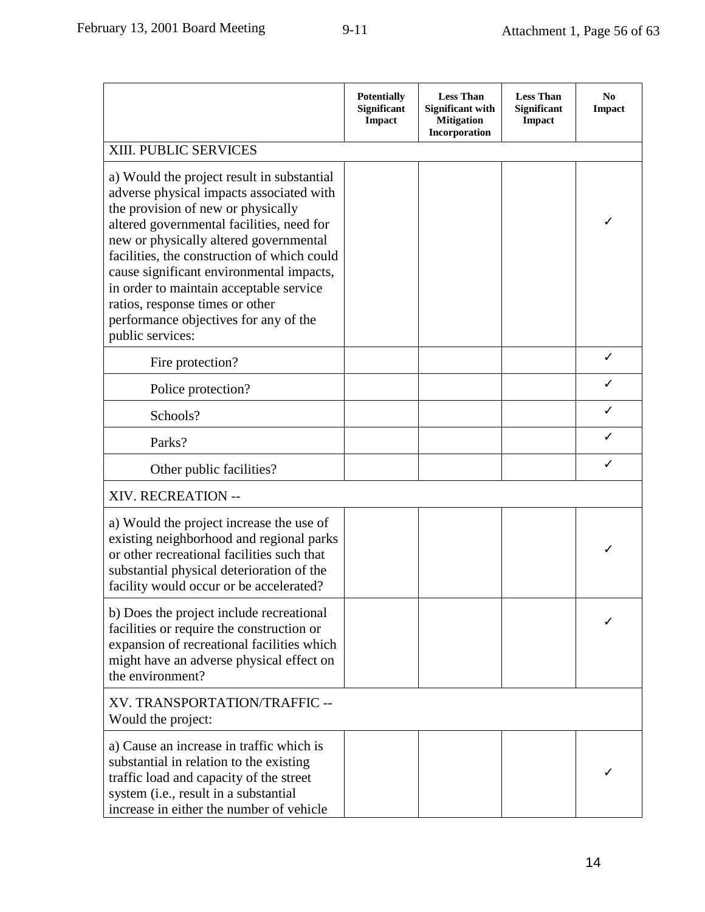|                                                                                                                                                                                                                                                                                                                                                                                                                                                           | <b>Potentially</b><br>Significant<br>Impact | <b>Less Than</b><br><b>Significant with</b><br><b>Mitigation</b><br>Incorporation | <b>Less Than</b><br>Significant<br><b>Impact</b> | N <sub>0</sub><br>Impact |
|-----------------------------------------------------------------------------------------------------------------------------------------------------------------------------------------------------------------------------------------------------------------------------------------------------------------------------------------------------------------------------------------------------------------------------------------------------------|---------------------------------------------|-----------------------------------------------------------------------------------|--------------------------------------------------|--------------------------|
| <b>XIII. PUBLIC SERVICES</b>                                                                                                                                                                                                                                                                                                                                                                                                                              |                                             |                                                                                   |                                                  |                          |
| a) Would the project result in substantial<br>adverse physical impacts associated with<br>the provision of new or physically<br>altered governmental facilities, need for<br>new or physically altered governmental<br>facilities, the construction of which could<br>cause significant environmental impacts,<br>in order to maintain acceptable service<br>ratios, response times or other<br>performance objectives for any of the<br>public services: |                                             |                                                                                   |                                                  |                          |
| Fire protection?                                                                                                                                                                                                                                                                                                                                                                                                                                          |                                             |                                                                                   |                                                  | $\checkmark$             |
| Police protection?                                                                                                                                                                                                                                                                                                                                                                                                                                        |                                             |                                                                                   |                                                  |                          |
| Schools?                                                                                                                                                                                                                                                                                                                                                                                                                                                  |                                             |                                                                                   |                                                  |                          |
| Parks?                                                                                                                                                                                                                                                                                                                                                                                                                                                    |                                             |                                                                                   |                                                  |                          |
| Other public facilities?                                                                                                                                                                                                                                                                                                                                                                                                                                  |                                             |                                                                                   |                                                  |                          |
| XIV. RECREATION --                                                                                                                                                                                                                                                                                                                                                                                                                                        |                                             |                                                                                   |                                                  |                          |
| a) Would the project increase the use of<br>existing neighborhood and regional parks<br>or other recreational facilities such that<br>substantial physical deterioration of the<br>facility would occur or be accelerated?                                                                                                                                                                                                                                |                                             |                                                                                   |                                                  |                          |
| b) Does the project include recreational<br>facilities or require the construction or<br>expansion of recreational facilities which<br>might have an adverse physical effect on<br>the environment?                                                                                                                                                                                                                                                       |                                             |                                                                                   |                                                  |                          |
| XV. TRANSPORTATION/TRAFFIC --<br>Would the project:                                                                                                                                                                                                                                                                                                                                                                                                       |                                             |                                                                                   |                                                  |                          |
| a) Cause an increase in traffic which is<br>substantial in relation to the existing<br>traffic load and capacity of the street<br>system (i.e., result in a substantial<br>increase in either the number of vehicle                                                                                                                                                                                                                                       |                                             |                                                                                   |                                                  |                          |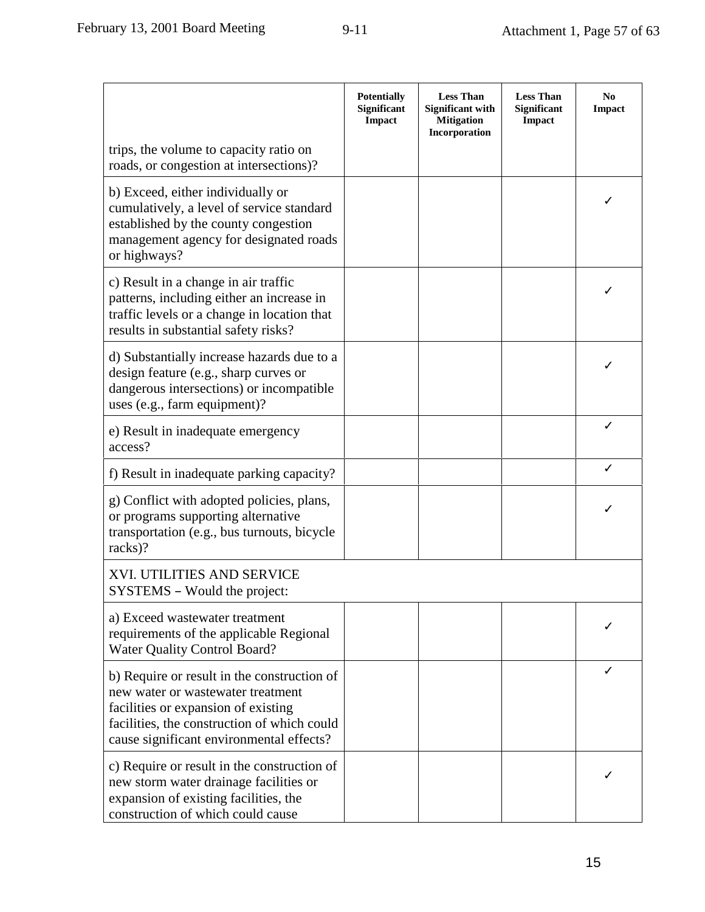|                                                                                                                                                                                                                    | <b>Potentially</b><br>Significant<br>Impact | <b>Less Than</b><br><b>Significant with</b><br><b>Mitigation</b><br>Incorporation | <b>Less Than</b><br>Significant<br><b>Impact</b> | N <sub>0</sub><br>Impact |
|--------------------------------------------------------------------------------------------------------------------------------------------------------------------------------------------------------------------|---------------------------------------------|-----------------------------------------------------------------------------------|--------------------------------------------------|--------------------------|
| trips, the volume to capacity ratio on<br>roads, or congestion at intersections)?                                                                                                                                  |                                             |                                                                                   |                                                  |                          |
| b) Exceed, either individually or<br>cumulatively, a level of service standard<br>established by the county congestion<br>management agency for designated roads<br>or highways?                                   |                                             |                                                                                   |                                                  |                          |
| c) Result in a change in air traffic<br>patterns, including either an increase in<br>traffic levels or a change in location that<br>results in substantial safety risks?                                           |                                             |                                                                                   |                                                  |                          |
| d) Substantially increase hazards due to a<br>design feature (e.g., sharp curves or<br>dangerous intersections) or incompatible<br>uses (e.g., farm equipment)?                                                    |                                             |                                                                                   |                                                  |                          |
| e) Result in inadequate emergency<br>access?                                                                                                                                                                       |                                             |                                                                                   |                                                  | ✓                        |
| f) Result in inadequate parking capacity?                                                                                                                                                                          |                                             |                                                                                   |                                                  | ✓                        |
| g) Conflict with adopted policies, plans,<br>or programs supporting alternative<br>transportation (e.g., bus turnouts, bicycle<br>racks)?                                                                          |                                             |                                                                                   |                                                  |                          |
| XVI. UTILITIES AND SERVICE<br>SYSTEMS – Would the project:                                                                                                                                                         |                                             |                                                                                   |                                                  |                          |
| a) Exceed wastewater treatment<br>requirements of the applicable Regional<br><b>Water Quality Control Board?</b>                                                                                                   |                                             |                                                                                   |                                                  |                          |
| b) Require or result in the construction of<br>new water or wastewater treatment<br>facilities or expansion of existing<br>facilities, the construction of which could<br>cause significant environmental effects? |                                             |                                                                                   |                                                  |                          |
| c) Require or result in the construction of<br>new storm water drainage facilities or<br>expansion of existing facilities, the<br>construction of which could cause                                                |                                             |                                                                                   |                                                  |                          |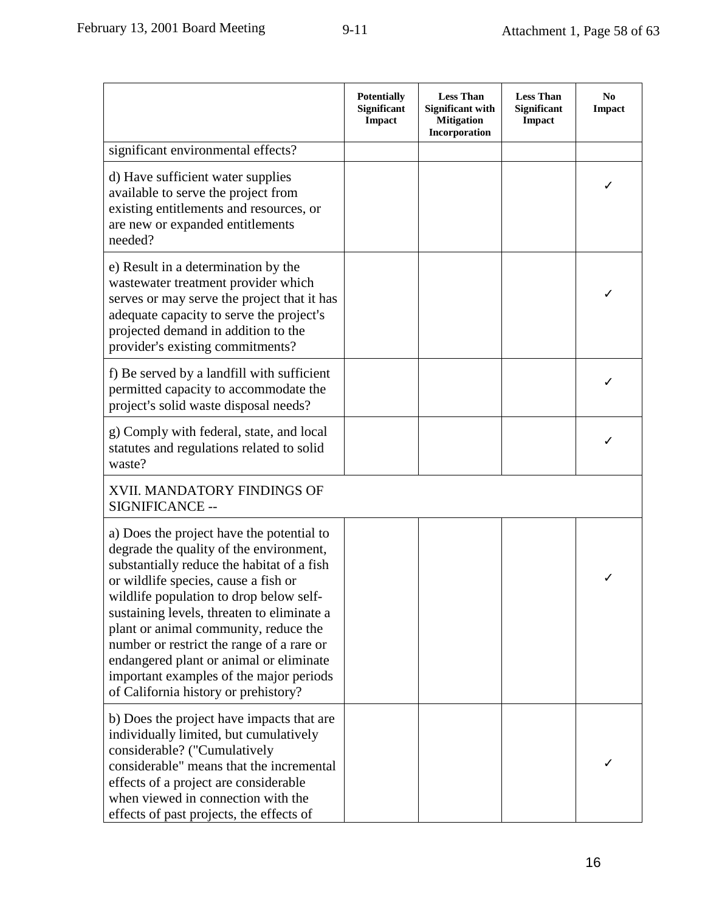|                                                                                                                                                                                                                                                                                                                                                                                                                                                                                         | <b>Potentially</b><br>Significant<br>Impact | <b>Less Than</b><br><b>Significant with</b><br><b>Mitigation</b><br>Incorporation | <b>Less Than</b><br>Significant<br>Impact | N <sub>0</sub><br>Impact |
|-----------------------------------------------------------------------------------------------------------------------------------------------------------------------------------------------------------------------------------------------------------------------------------------------------------------------------------------------------------------------------------------------------------------------------------------------------------------------------------------|---------------------------------------------|-----------------------------------------------------------------------------------|-------------------------------------------|--------------------------|
| significant environmental effects?                                                                                                                                                                                                                                                                                                                                                                                                                                                      |                                             |                                                                                   |                                           |                          |
| d) Have sufficient water supplies<br>available to serve the project from<br>existing entitlements and resources, or<br>are new or expanded entitlements<br>needed?                                                                                                                                                                                                                                                                                                                      |                                             |                                                                                   |                                           |                          |
| e) Result in a determination by the<br>wastewater treatment provider which<br>serves or may serve the project that it has<br>adequate capacity to serve the project's<br>projected demand in addition to the<br>provider's existing commitments?                                                                                                                                                                                                                                        |                                             |                                                                                   |                                           |                          |
| f) Be served by a landfill with sufficient<br>permitted capacity to accommodate the<br>project's solid waste disposal needs?                                                                                                                                                                                                                                                                                                                                                            |                                             |                                                                                   |                                           |                          |
| g) Comply with federal, state, and local<br>statutes and regulations related to solid<br>waste?                                                                                                                                                                                                                                                                                                                                                                                         |                                             |                                                                                   |                                           |                          |
| XVII. MANDATORY FINDINGS OF<br>SIGNIFICANCE --                                                                                                                                                                                                                                                                                                                                                                                                                                          |                                             |                                                                                   |                                           |                          |
| a) Does the project have the potential to<br>degrade the quality of the environment,<br>substantially reduce the habitat of a fish<br>or wildlife species, cause a fish or<br>wildlife population to drop below self-<br>sustaining levels, threaten to eliminate a<br>plant or animal community, reduce the<br>number or restrict the range of a rare or<br>endangered plant or animal or eliminate<br>important examples of the major periods<br>of California history or prehistory? |                                             |                                                                                   |                                           |                          |
| b) Does the project have impacts that are<br>individually limited, but cumulatively<br>considerable? ("Cumulatively<br>considerable" means that the incremental<br>effects of a project are considerable<br>when viewed in connection with the<br>effects of past projects, the effects of                                                                                                                                                                                              |                                             |                                                                                   |                                           |                          |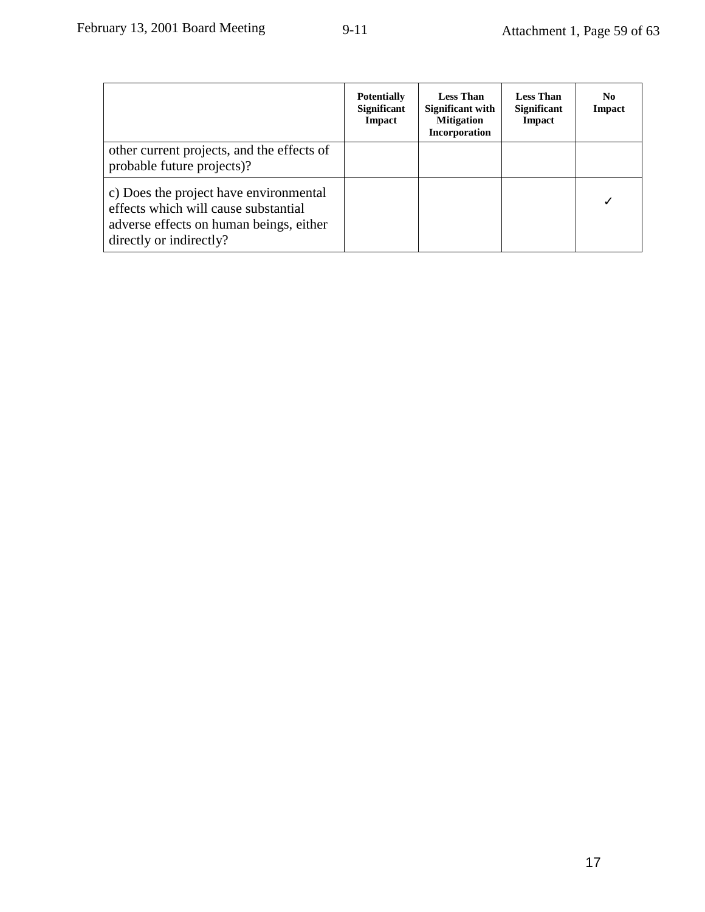|                                                                                                                                                      | <b>Potentially</b><br><b>Significant</b><br>Impact | <b>Less Than</b><br>Significant with<br><b>Mitigation</b><br>Incorporation | <b>Less Than</b><br><b>Significant</b><br><b>Impact</b> | No.<br>Impact |
|------------------------------------------------------------------------------------------------------------------------------------------------------|----------------------------------------------------|----------------------------------------------------------------------------|---------------------------------------------------------|---------------|
| other current projects, and the effects of<br>probable future projects)?                                                                             |                                                    |                                                                            |                                                         |               |
| c) Does the project have environmental<br>effects which will cause substantial<br>adverse effects on human beings, either<br>directly or indirectly? |                                                    |                                                                            |                                                         |               |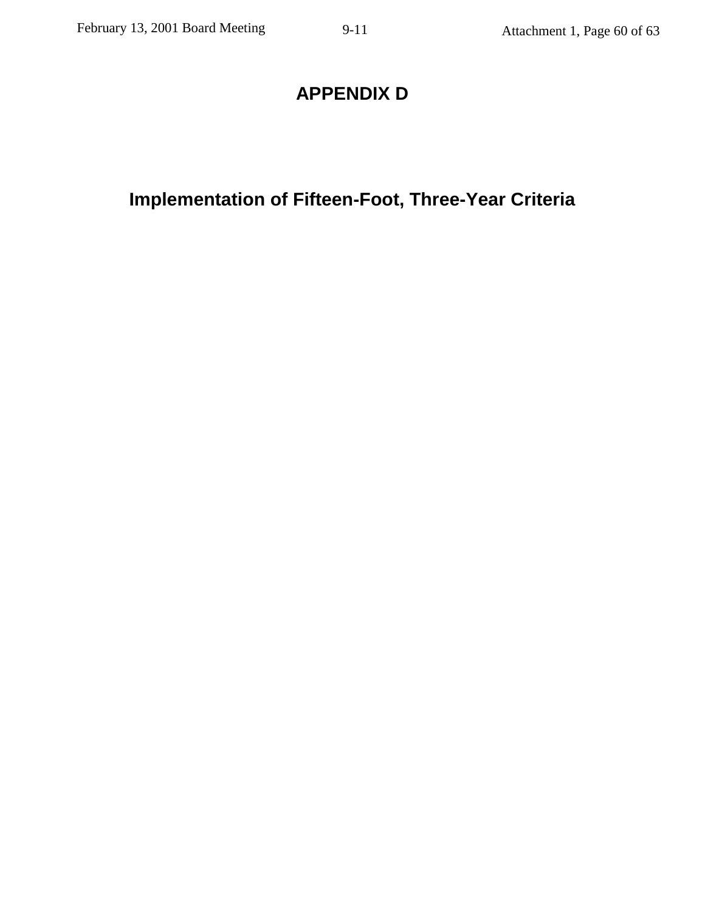# **APPENDIX D**

**Implementation of Fifteen-Foot, Three-Year Criteria**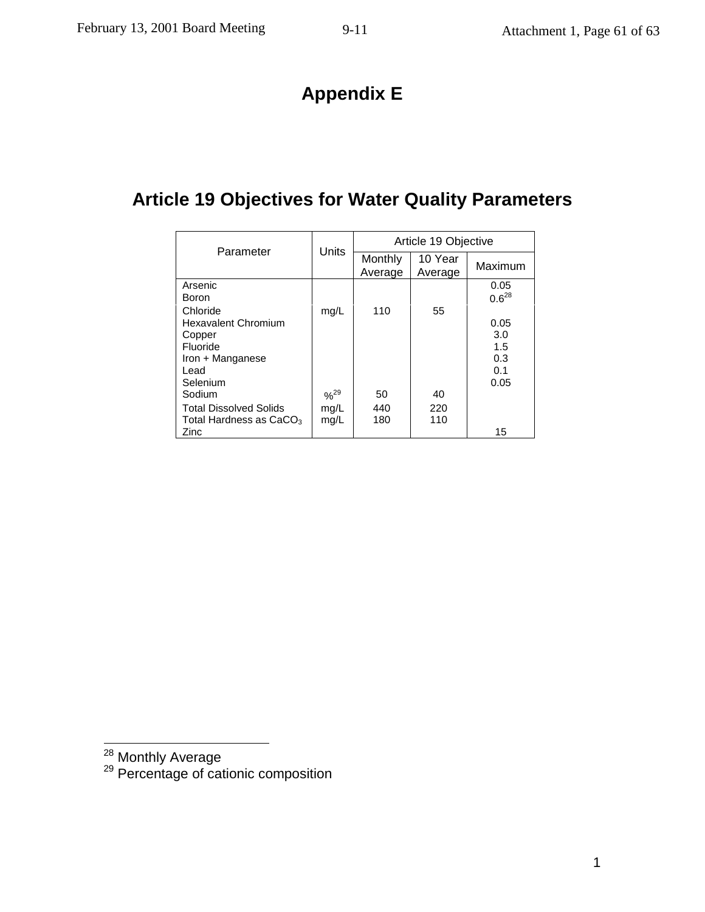# **Appendix E**

# **Article 19 Objectives for Water Quality Parameters**

| Parameter                                                                                                    | Units        | Article 19 Objective |                    |                                                        |
|--------------------------------------------------------------------------------------------------------------|--------------|----------------------|--------------------|--------------------------------------------------------|
|                                                                                                              |              | Monthly<br>Average   | 10 Year<br>Average | Maximum                                                |
| Arsenic<br>Boron<br>Chloride<br><b>Hexavalent Chromium</b><br>Copper<br>Fluoride<br>Iron + Manganese<br>Lead | mg/L         | 110                  | 55                 | 0.05<br>$0.6^{28}$<br>0.05<br>3.0<br>1.5<br>0.3<br>0.1 |
| Selenium<br>Sodium                                                                                           | $% ^{29}$    | 50                   | 40                 | 0.05                                                   |
| <b>Total Dissolved Solids</b><br>Total Hardness as CaCO <sub>3</sub><br>Zinc                                 | mg/L<br>mg/L | 440<br>180           | 220<br>110         | 15                                                     |

l

<sup>28</sup> Monthly Average<br><sup>29</sup> Percentage of cationic composition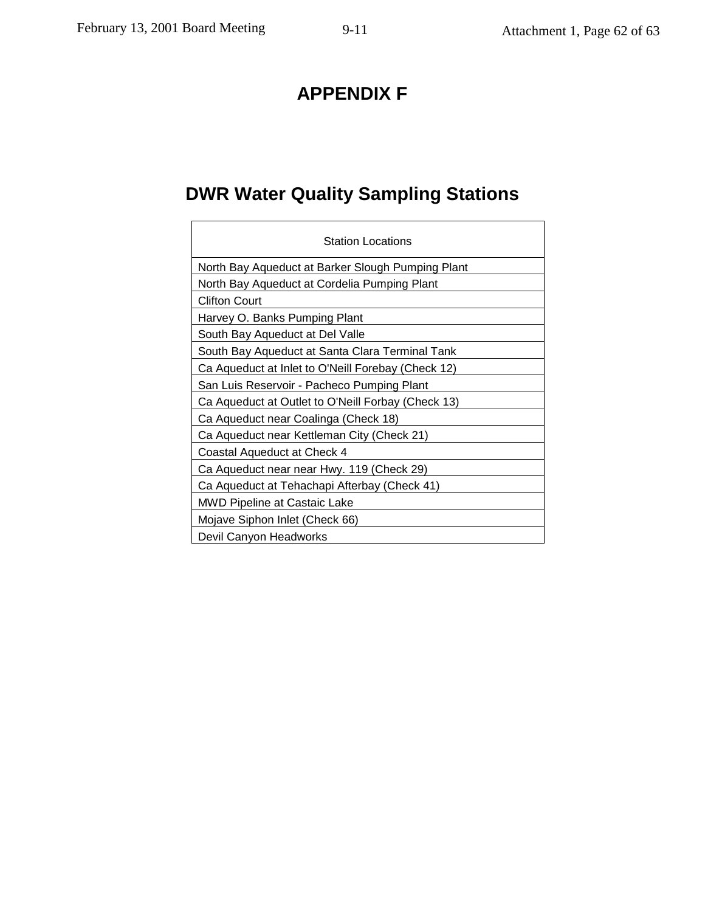# **APPENDIX F**

# **DWR Water Quality Sampling Stations**

| <b>Station Locations</b>                           |
|----------------------------------------------------|
| North Bay Aqueduct at Barker Slough Pumping Plant  |
| North Bay Aqueduct at Cordelia Pumping Plant       |
| <b>Clifton Court</b>                               |
| Harvey O. Banks Pumping Plant                      |
| South Bay Aqueduct at Del Valle                    |
| South Bay Aqueduct at Santa Clara Terminal Tank    |
| Ca Aqueduct at Inlet to O'Neill Forebay (Check 12) |
| San Luis Reservoir - Pacheco Pumping Plant         |
| Ca Aqueduct at Outlet to O'Neill Forbay (Check 13) |
| Ca Aqueduct near Coalinga (Check 18)               |
| Ca Aqueduct near Kettleman City (Check 21)         |
| Coastal Aqueduct at Check 4                        |
| Ca Aqueduct near near Hwy. 119 (Check 29)          |
| Ca Aqueduct at Tehachapi Afterbay (Check 41)       |
| <b>MWD Pipeline at Castaic Lake</b>                |
| Mojave Siphon Inlet (Check 66)                     |
| Devil Canyon Headworks                             |